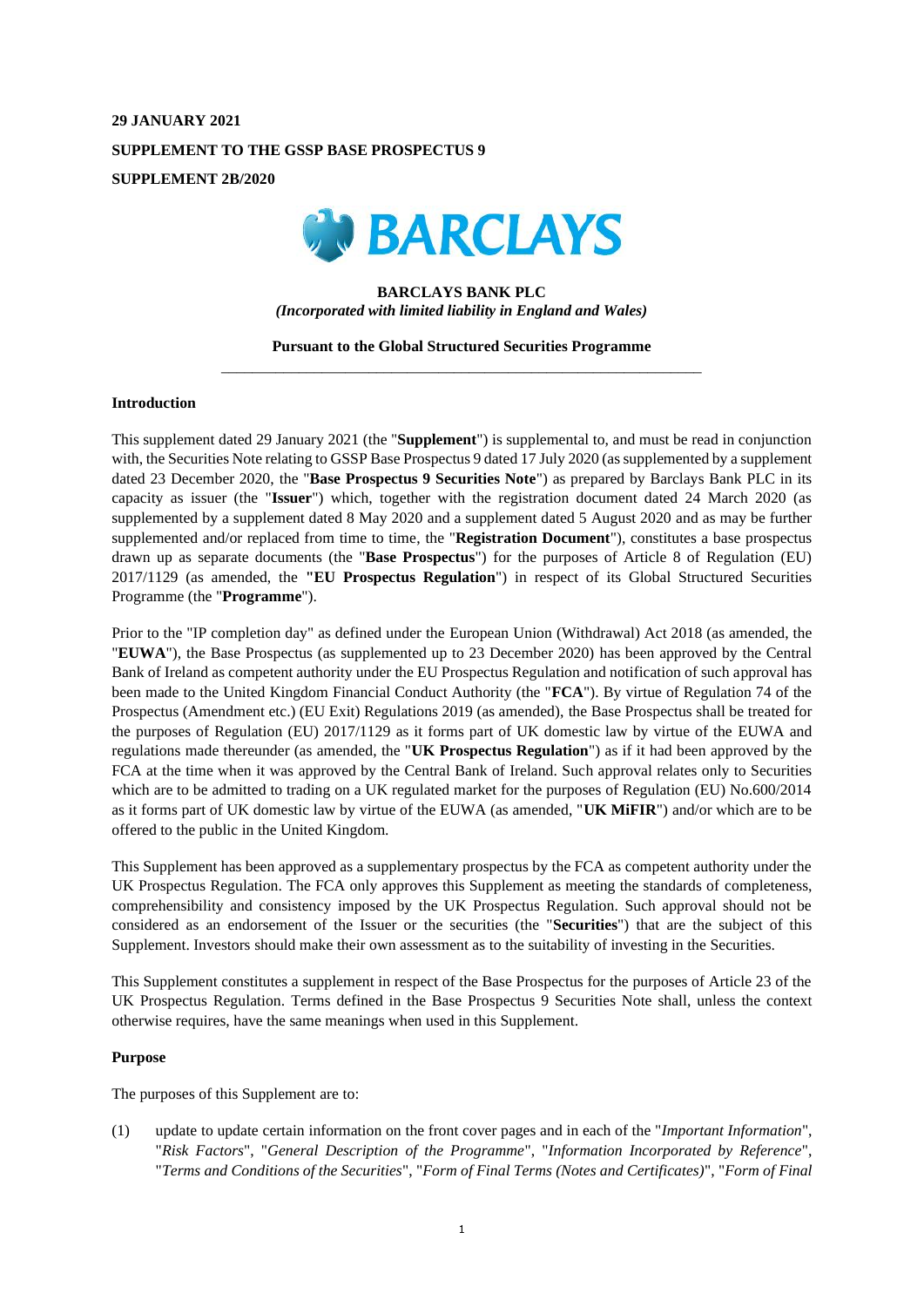# **29 JANUARY 2021 SUPPLEMENT TO THE GSSP BASE PROSPECTUS 9 SUPPLEMENT 2B/2020**



# **BARCLAYS BANK PLC** *(Incorporated with limited liability in England and Wales)*

# **Pursuant to the Global Structured Securities Programme** \_\_\_\_\_\_\_\_\_\_\_\_\_\_\_\_\_\_\_\_\_\_\_\_\_\_\_\_\_\_\_\_\_\_\_\_\_\_\_\_\_\_\_\_\_\_\_\_\_\_\_\_\_\_\_\_\_\_\_\_\_\_

#### **Introduction**

This supplement dated 29 January 2021 (the "**Supplement**") is supplemental to, and must be read in conjunction with, the Securities Note relating to GSSP Base Prospectus 9 dated 17 July 2020 (as supplemented by a supplement dated 23 December 2020, the "**Base Prospectus 9 Securities Note**") as prepared by Barclays Bank PLC in its capacity as issuer (the "**Issuer**") which, together with the registration document dated 24 March 2020 (as supplemented by a supplement dated 8 May 2020 and a supplement dated 5 August 2020 and as may be further supplemented and/or replaced from time to time, the "**Registration Document**"), constitutes a base prospectus drawn up as separate documents (the "**Base Prospectus**") for the purposes of Article 8 of Regulation (EU) 2017/1129 (as amended, the **"EU Prospectus Regulation**") in respect of its Global Structured Securities Programme (the "**Programme**").

Prior to the "IP completion day" as defined under the European Union (Withdrawal) Act 2018 (as amended, the "**EUWA**"), the Base Prospectus (as supplemented up to 23 December 2020) has been approved by the Central Bank of Ireland as competent authority under the EU Prospectus Regulation and notification of such approval has been made to the United Kingdom Financial Conduct Authority (the "**FCA**"). By virtue of Regulation 74 of the Prospectus (Amendment etc.) (EU Exit) Regulations 2019 (as amended), the Base Prospectus shall be treated for the purposes of Regulation (EU) 2017/1129 as it forms part of UK domestic law by virtue of the EUWA and regulations made thereunder (as amended, the "**UK Prospectus Regulation**") as if it had been approved by the FCA at the time when it was approved by the Central Bank of Ireland. Such approval relates only to Securities which are to be admitted to trading on a UK regulated market for the purposes of Regulation (EU) No.600/2014 as it forms part of UK domestic law by virtue of the EUWA (as amended, "**UK MiFIR**") and/or which are to be offered to the public in the United Kingdom.

This Supplement has been approved as a supplementary prospectus by the FCA as competent authority under the UK Prospectus Regulation. The FCA only approves this Supplement as meeting the standards of completeness, comprehensibility and consistency imposed by the UK Prospectus Regulation. Such approval should not be considered as an endorsement of the Issuer or the securities (the "**Securities**") that are the subject of this Supplement. Investors should make their own assessment as to the suitability of investing in the Securities.

This Supplement constitutes a supplement in respect of the Base Prospectus for the purposes of Article 23 of the UK Prospectus Regulation. Terms defined in the Base Prospectus 9 Securities Note shall, unless the context otherwise requires, have the same meanings when used in this Supplement.

#### **Purpose**

The purposes of this Supplement are to:

(1) update to update certain information on the front cover pages and in each of the "*Important Information*", "*Risk Factors*", "*General Description of the Programme*", "*Information Incorporated by Reference*", "*Terms and Conditions of the Securities*", "*Form of Final Terms (Notes and Certificates)*", "*Form of Final*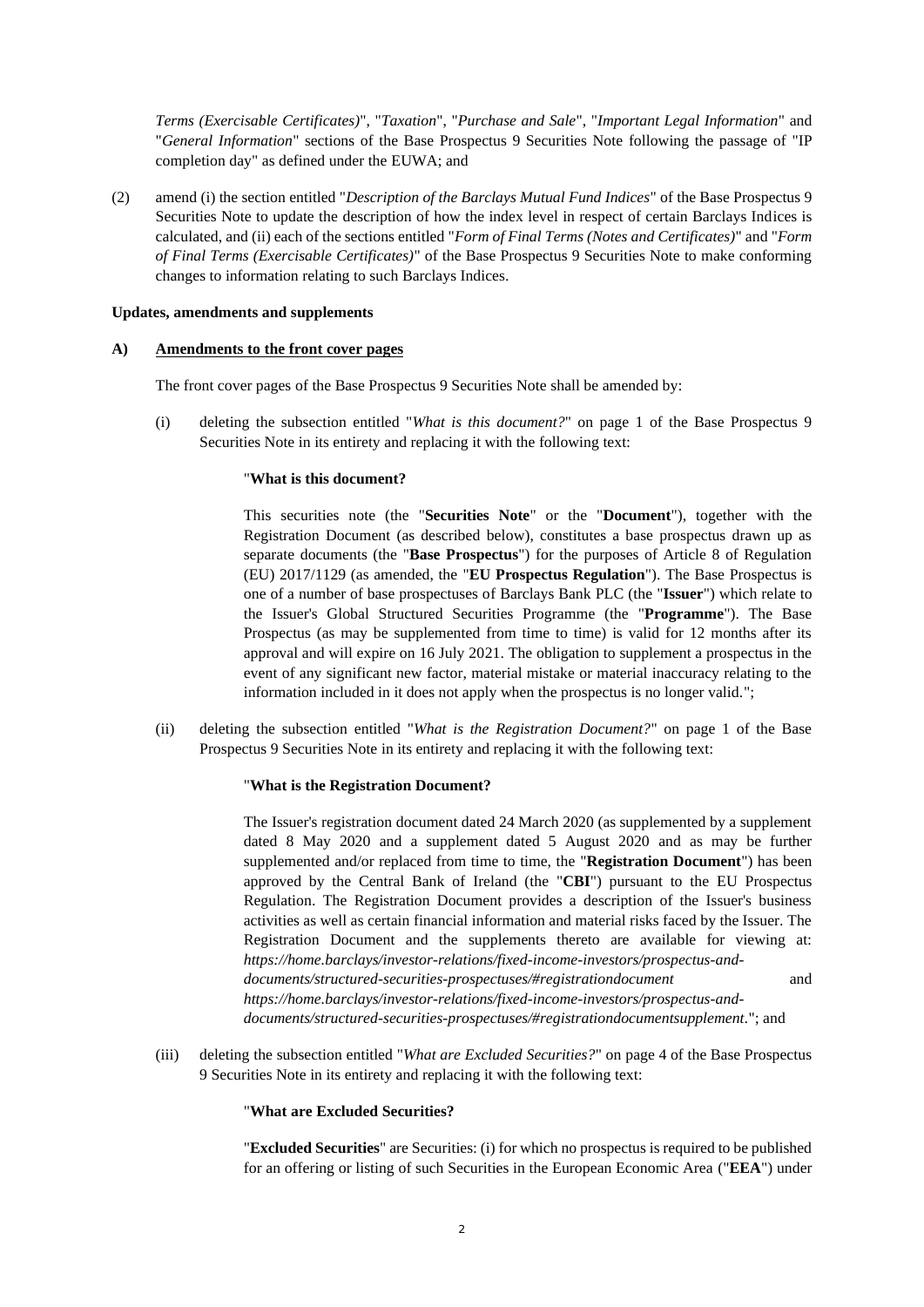*Terms (Exercisable Certificates)*", "*Taxation*", "*Purchase and Sale*", "*Important Legal Information*" and "*General Information*" sections of the Base Prospectus 9 Securities Note following the passage of "IP completion day" as defined under the EUWA; and

(2) amend (i) the section entitled "*Description of the Barclays Mutual Fund Indices*" of the Base Prospectus 9 Securities Note to update the description of how the index level in respect of certain Barclays Indices is calculated, and (ii) each of the sections entitled "*Form of Final Terms (Notes and Certificates)*" and "*Form of Final Terms (Exercisable Certificates)*" of the Base Prospectus 9 Securities Note to make conforming changes to information relating to such Barclays Indices.

# **Updates, amendments and supplements**

## **A) Amendments to the front cover pages**

The front cover pages of the Base Prospectus 9 Securities Note shall be amended by:

(i) deleting the subsection entitled "*What is this document?*" on page 1 of the Base Prospectus 9 Securities Note in its entirety and replacing it with the following text:

## "**What is this document?**

This securities note (the "**Securities Note**" or the "**Document**"), together with the Registration Document (as described below), constitutes a base prospectus drawn up as separate documents (the "**Base Prospectus**") for the purposes of Article 8 of Regulation (EU) 2017/1129 (as amended, the "**EU Prospectus Regulation**"). The Base Prospectus is one of a number of base prospectuses of Barclays Bank PLC (the "**Issuer**") which relate to the Issuer's Global Structured Securities Programme (the "**Programme**"). The Base Prospectus (as may be supplemented from time to time) is valid for 12 months after its approval and will expire on 16 July 2021. The obligation to supplement a prospectus in the event of any significant new factor, material mistake or material inaccuracy relating to the information included in it does not apply when the prospectus is no longer valid.";

(ii) deleting the subsection entitled "*What is the Registration Document?*" on page 1 of the Base Prospectus 9 Securities Note in its entirety and replacing it with the following text:

# "**What is the Registration Document?**

The Issuer's registration document dated 24 March 2020 (as supplemented by a supplement dated 8 May 2020 and a supplement dated 5 August 2020 and as may be further supplemented and/or replaced from time to time, the "**Registration Document**") has been approved by the Central Bank of Ireland (the "**CBI**") pursuant to the EU Prospectus Regulation. The Registration Document provides a description of the Issuer's business activities as well as certain financial information and material risks faced by the Issuer. The Registration Document and the supplements thereto are available for viewing at: *https://home.barclays/investor-relations/fixed-income-investors/prospectus-anddocuments/structured-securities-prospectuses/#registrationdocument* and *https://home.barclays/investor-relations/fixed-income-investors/prospectus-anddocuments/structured-securities-prospectuses/#registrationdocumentsupplement.*"; and

(iii) deleting the subsection entitled "*What are Excluded Securities?*" on page 4 of the Base Prospectus 9 Securities Note in its entirety and replacing it with the following text:

## "**What are Excluded Securities?**

"**Excluded Securities**" are Securities: (i) for which no prospectus is required to be published for an offering or listing of such Securities in the European Economic Area ("**EEA**") under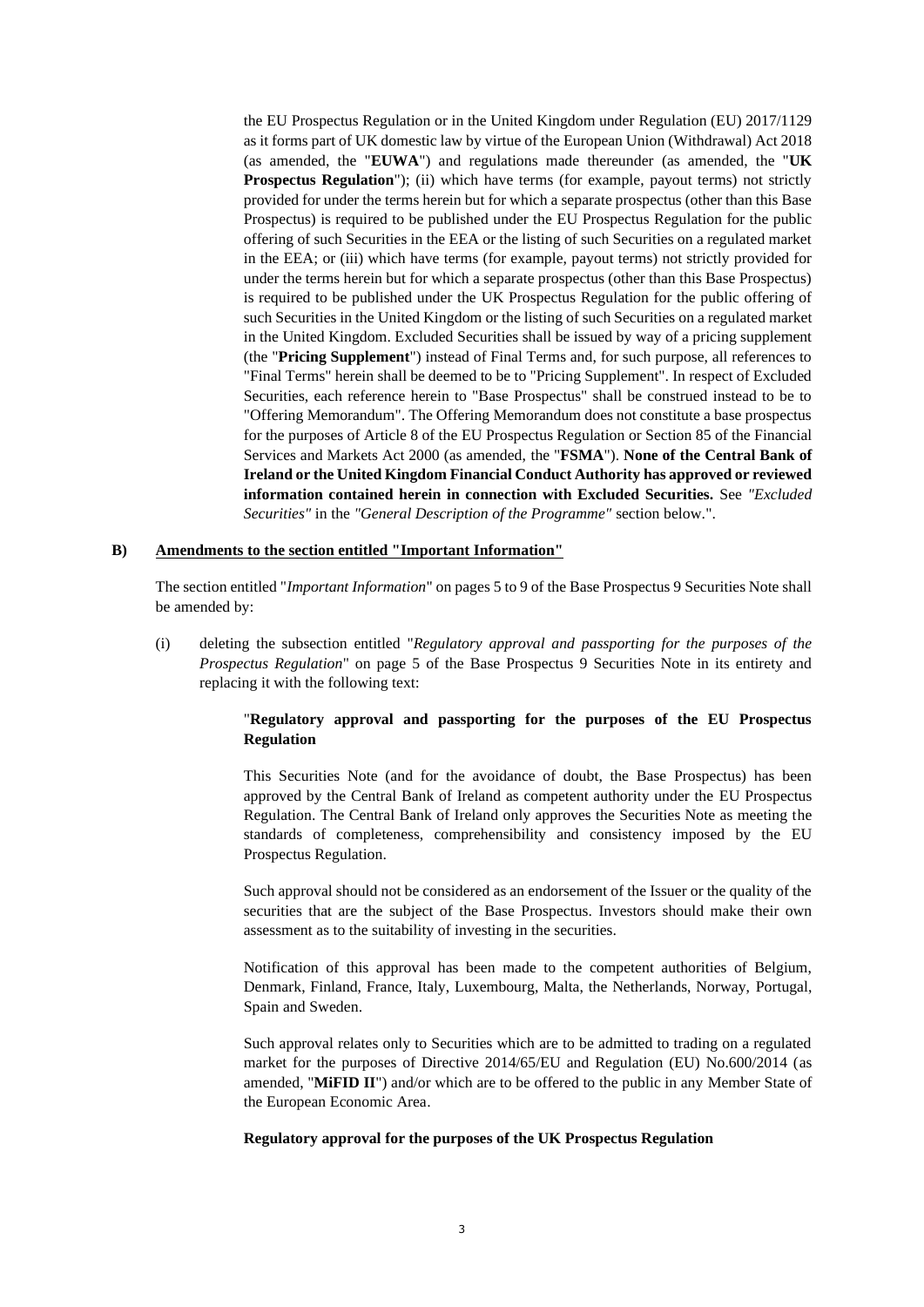the EU Prospectus Regulation or in the United Kingdom under Regulation (EU) 2017/1129 as it forms part of UK domestic law by virtue of the European Union (Withdrawal) Act 2018 (as amended, the "**EUWA**") and regulations made thereunder (as amended, the "**UK**  Prospectus Regulation"); (ii) which have terms (for example, payout terms) not strictly provided for under the terms herein but for which a separate prospectus (other than this Base Prospectus) is required to be published under the EU Prospectus Regulation for the public offering of such Securities in the EEA or the listing of such Securities on a regulated market in the EEA; or (iii) which have terms (for example, payout terms) not strictly provided for under the terms herein but for which a separate prospectus (other than this Base Prospectus) is required to be published under the UK Prospectus Regulation for the public offering of such Securities in the United Kingdom or the listing of such Securities on a regulated market in the United Kingdom. Excluded Securities shall be issued by way of a pricing supplement (the "**Pricing Supplement**") instead of Final Terms and, for such purpose, all references to "Final Terms" herein shall be deemed to be to "Pricing Supplement". In respect of Excluded Securities, each reference herein to "Base Prospectus" shall be construed instead to be to "Offering Memorandum". The Offering Memorandum does not constitute a base prospectus for the purposes of Article 8 of the EU Prospectus Regulation or Section 85 of the Financial Services and Markets Act 2000 (as amended, the "**FSMA**"). **None of the Central Bank of Ireland or the United Kingdom Financial Conduct Authority has approved or reviewed information contained herein in connection with Excluded Securities.** See *"Excluded Securities"* in the *"General Description of the Programme"* section below.".

## **B) Amendments to the section entitled "Important Information"**

The section entitled "*Important Information*" on pages 5 to 9 of the Base Prospectus 9 Securities Note shall be amended by:

(i) deleting the subsection entitled "*Regulatory approval and passporting for the purposes of the Prospectus Regulation*" on page 5 of the Base Prospectus 9 Securities Note in its entirety and replacing it with the following text:

# "**Regulatory approval and passporting for the purposes of the EU Prospectus Regulation**

This Securities Note (and for the avoidance of doubt, the Base Prospectus) has been approved by the Central Bank of Ireland as competent authority under the EU Prospectus Regulation. The Central Bank of Ireland only approves the Securities Note as meeting the standards of completeness, comprehensibility and consistency imposed by the EU Prospectus Regulation.

Such approval should not be considered as an endorsement of the Issuer or the quality of the securities that are the subject of the Base Prospectus. Investors should make their own assessment as to the suitability of investing in the securities.

Notification of this approval has been made to the competent authorities of Belgium, Denmark, Finland, France, Italy, Luxembourg, Malta, the Netherlands, Norway, Portugal, Spain and Sweden.

Such approval relates only to Securities which are to be admitted to trading on a regulated market for the purposes of Directive 2014/65/EU and Regulation (EU) No.600/2014 (as amended, "**MiFID II**") and/or which are to be offered to the public in any Member State of the European Economic Area.

## **Regulatory approval for the purposes of the UK Prospectus Regulation**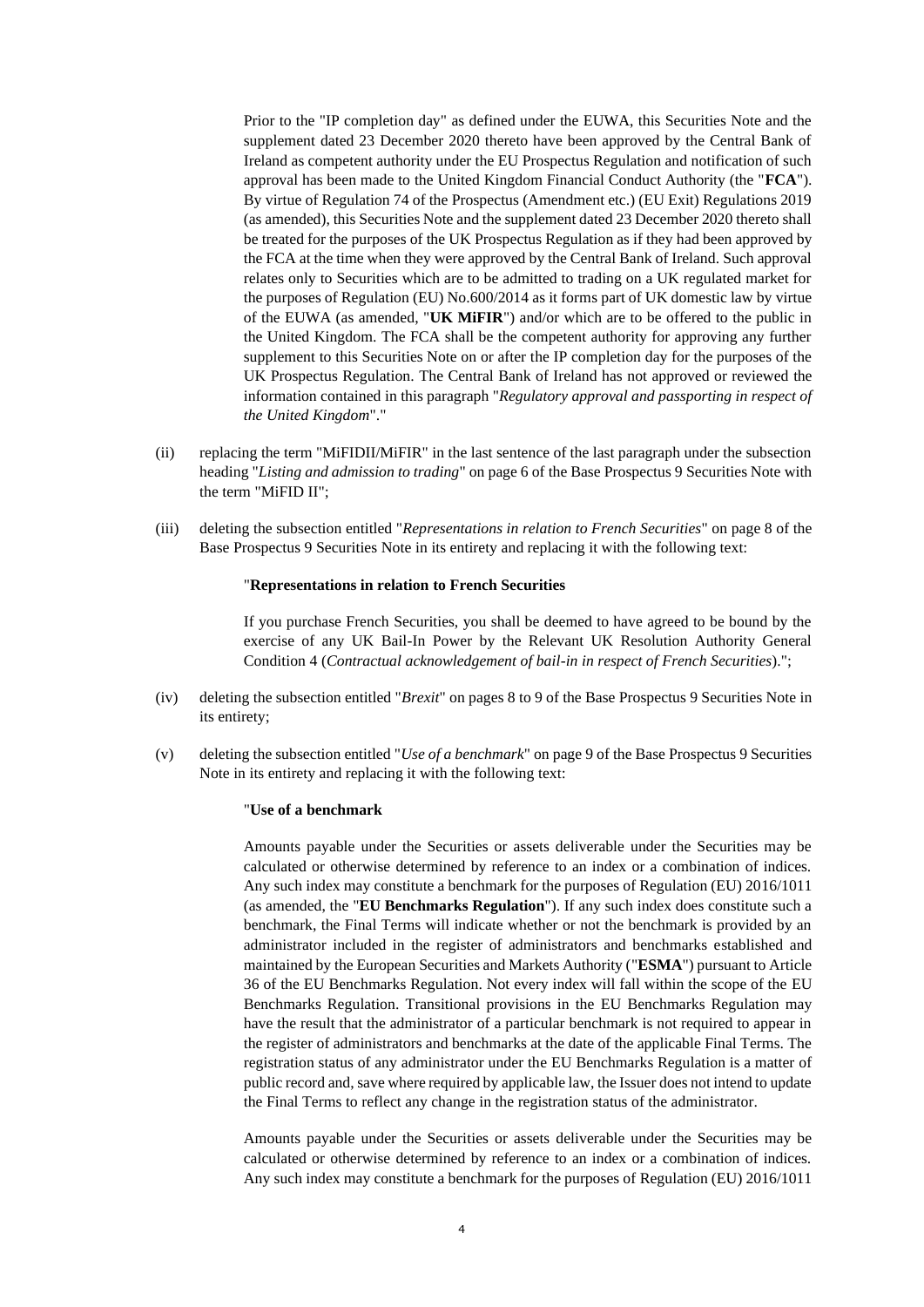Prior to the "IP completion day" as defined under the EUWA, this Securities Note and the supplement dated 23 December 2020 thereto have been approved by the Central Bank of Ireland as competent authority under the EU Prospectus Regulation and notification of such approval has been made to the United Kingdom Financial Conduct Authority (the "**FCA**"). By virtue of Regulation 74 of the Prospectus (Amendment etc.) (EU Exit) Regulations 2019 (as amended), this Securities Note and the supplement dated 23 December 2020 thereto shall be treated for the purposes of the UK Prospectus Regulation as if they had been approved by the FCA at the time when they were approved by the Central Bank of Ireland. Such approval relates only to Securities which are to be admitted to trading on a UK regulated market for the purposes of Regulation (EU) No.600/2014 as it forms part of UK domestic law by virtue of the EUWA (as amended, "**UK MiFIR**") and/or which are to be offered to the public in the United Kingdom. The FCA shall be the competent authority for approving any further supplement to this Securities Note on or after the IP completion day for the purposes of the UK Prospectus Regulation. The Central Bank of Ireland has not approved or reviewed the information contained in this paragraph "*Regulatory approval and passporting in respect of the United Kingdom*"."

- (ii) replacing the term "MiFIDII/MiFIR" in the last sentence of the last paragraph under the subsection heading "*Listing and admission to trading*" on page 6 of the Base Prospectus 9 Securities Note with the term "MiFID II";
- (iii) deleting the subsection entitled "*Representations in relation to French Securities*" on page 8 of the Base Prospectus 9 Securities Note in its entirety and replacing it with the following text:

#### "**Representations in relation to French Securities**

If you purchase French Securities, you shall be deemed to have agreed to be bound by the exercise of any UK Bail-In Power by the Relevant UK Resolution Authority General Condition 4 (*Contractual acknowledgement of bail-in in respect of French Securities*).";

- (iv) deleting the subsection entitled "*Brexit*" on pages 8 to 9 of the Base Prospectus 9 Securities Note in its entirety;
- (v) deleting the subsection entitled "*Use of a benchmark*" on page 9 of the Base Prospectus 9 Securities Note in its entirety and replacing it with the following text:

#### "**Use of a benchmark**

Amounts payable under the Securities or assets deliverable under the Securities may be calculated or otherwise determined by reference to an index or a combination of indices. Any such index may constitute a benchmark for the purposes of Regulation (EU) 2016/1011 (as amended, the "**EU Benchmarks Regulation**"). If any such index does constitute such a benchmark, the Final Terms will indicate whether or not the benchmark is provided by an administrator included in the register of administrators and benchmarks established and maintained by the European Securities and Markets Authority ("**ESMA**") pursuant to Article 36 of the EU Benchmarks Regulation. Not every index will fall within the scope of the EU Benchmarks Regulation. Transitional provisions in the EU Benchmarks Regulation may have the result that the administrator of a particular benchmark is not required to appear in the register of administrators and benchmarks at the date of the applicable Final Terms. The registration status of any administrator under the EU Benchmarks Regulation is a matter of public record and, save where required by applicable law, the Issuer does not intend to update the Final Terms to reflect any change in the registration status of the administrator.

Amounts payable under the Securities or assets deliverable under the Securities may be calculated or otherwise determined by reference to an index or a combination of indices. Any such index may constitute a benchmark for the purposes of Regulation (EU) 2016/1011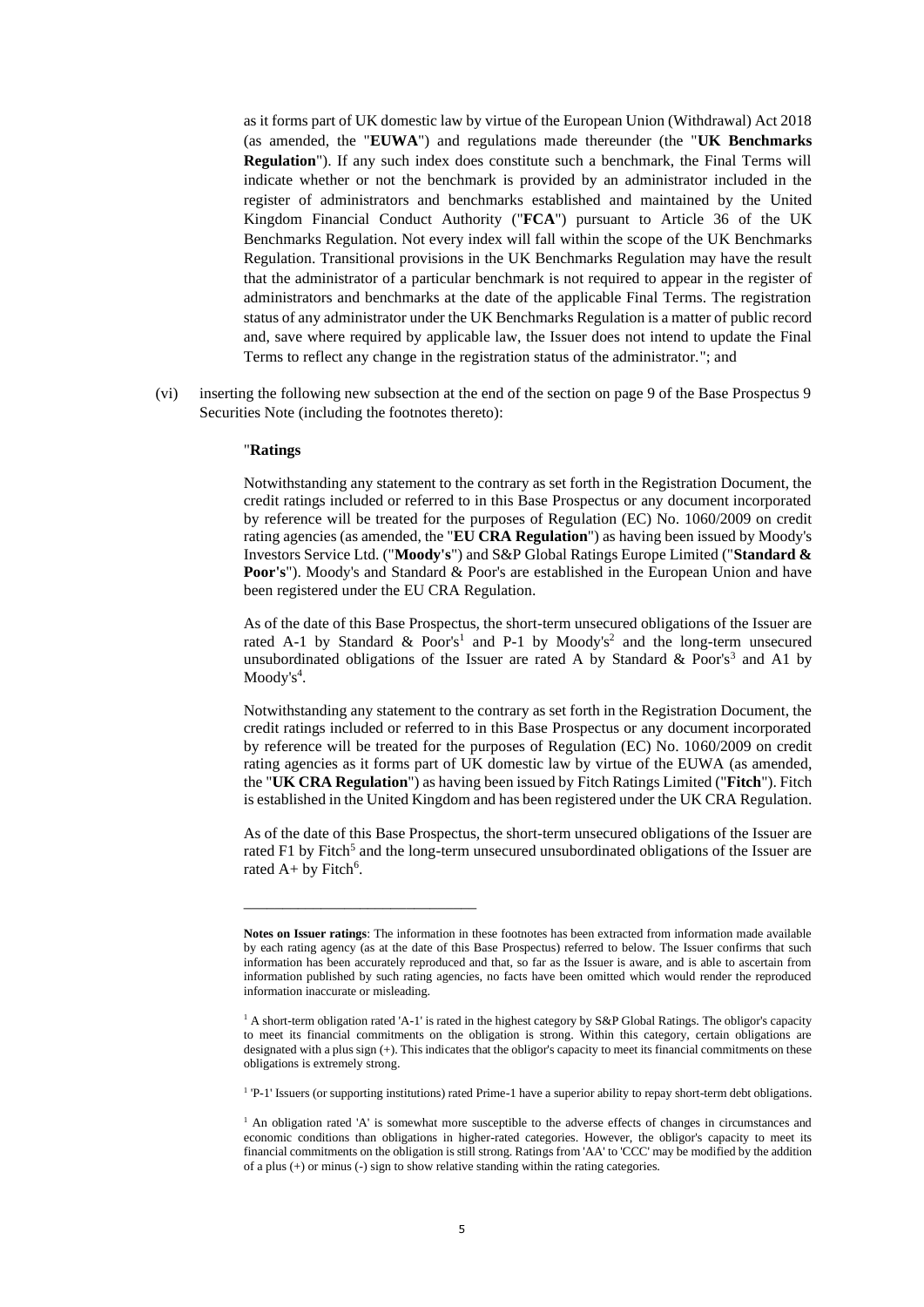as it forms part of UK domestic law by virtue of the European Union (Withdrawal) Act 2018 (as amended, the "**EUWA**") and regulations made thereunder (the "**UK Benchmarks Regulation**"). If any such index does constitute such a benchmark, the Final Terms will indicate whether or not the benchmark is provided by an administrator included in the register of administrators and benchmarks established and maintained by the United Kingdom Financial Conduct Authority ("**FCA**") pursuant to Article 36 of the UK Benchmarks Regulation. Not every index will fall within the scope of the UK Benchmarks Regulation. Transitional provisions in the UK Benchmarks Regulation may have the result that the administrator of a particular benchmark is not required to appear in the register of administrators and benchmarks at the date of the applicable Final Terms. The registration status of any administrator under the UK Benchmarks Regulation is a matter of public record and, save where required by applicable law, the Issuer does not intend to update the Final Terms to reflect any change in the registration status of the administrator."; and

(vi) inserting the following new subsection at the end of the section on page 9 of the Base Prospectus 9 Securities Note (including the footnotes thereto):

#### "**Ratings**

Notwithstanding any statement to the contrary as set forth in the Registration Document, the credit ratings included or referred to in this Base Prospectus or any document incorporated by reference will be treated for the purposes of Regulation (EC) No. 1060/2009 on credit rating agencies (as amended, the "**EU CRA Regulation**") as having been issued by Moody's Investors Service Ltd. ("**Moody's**") and S&P Global Ratings Europe Limited ("**Standard & Poor's**"). Moody's and Standard & Poor's are established in the European Union and have been registered under the EU CRA Regulation.

As of the date of this Base Prospectus, the short-term unsecured obligations of the Issuer are rated A-1 by Standard & Poor's<sup>1</sup> and P-1 by Moody's<sup>2</sup> and the long-term unsecured unsubordinated obligations of the Issuer are rated A by Standard & Poor's<sup>3</sup> and A1 by Moody's<sup>4</sup>.

Notwithstanding any statement to the contrary as set forth in the Registration Document, the credit ratings included or referred to in this Base Prospectus or any document incorporated by reference will be treated for the purposes of Regulation (EC) No. 1060/2009 on credit rating agencies as it forms part of UK domestic law by virtue of the EUWA (as amended, the "**UK CRA Regulation**") as having been issued by Fitch Ratings Limited ("**Fitch**"). Fitch is established in the United Kingdom and has been registered under the UK CRA Regulation.

As of the date of this Base Prospectus, the short-term unsecured obligations of the Issuer are rated F1 by Fitch<sup>5</sup> and the long-term unsecured unsubordinated obligations of the Issuer are rated  $A+$  by Fitch<sup>6</sup>.

\_\_\_\_\_\_\_\_\_\_\_\_\_\_\_\_\_\_\_\_\_\_\_\_\_\_\_\_\_\_

**Notes on Issuer ratings**: The information in these footnotes has been extracted from information made available by each rating agency (as at the date of this Base Prospectus) referred to below. The Issuer confirms that such information has been accurately reproduced and that, so far as the Issuer is aware, and is able to ascertain from information published by such rating agencies, no facts have been omitted which would render the reproduced information inaccurate or misleading.

<sup>&</sup>lt;sup>1</sup> A short-term obligation rated 'A-1' is rated in the highest category by S&P Global Ratings. The obligor's capacity to meet its financial commitments on the obligation is strong. Within this category, certain obligations are designated with a plus sign (+). This indicates that the obligor's capacity to meet its financial commitments on these obligations is extremely strong.

<sup>&</sup>lt;sup>1</sup> 'P-1' Issuers (or supporting institutions) rated Prime-1 have a superior ability to repay short-term debt obligations.

<sup>&</sup>lt;sup>1</sup> An obligation rated 'A' is somewhat more susceptible to the adverse effects of changes in circumstances and economic conditions than obligations in higher-rated categories. However, the obligor's capacity to meet its financial commitments on the obligation is still strong. Ratings from 'AA' to 'CCC' may be modified by the addition of a plus (+) or minus (-) sign to show relative standing within the rating categories.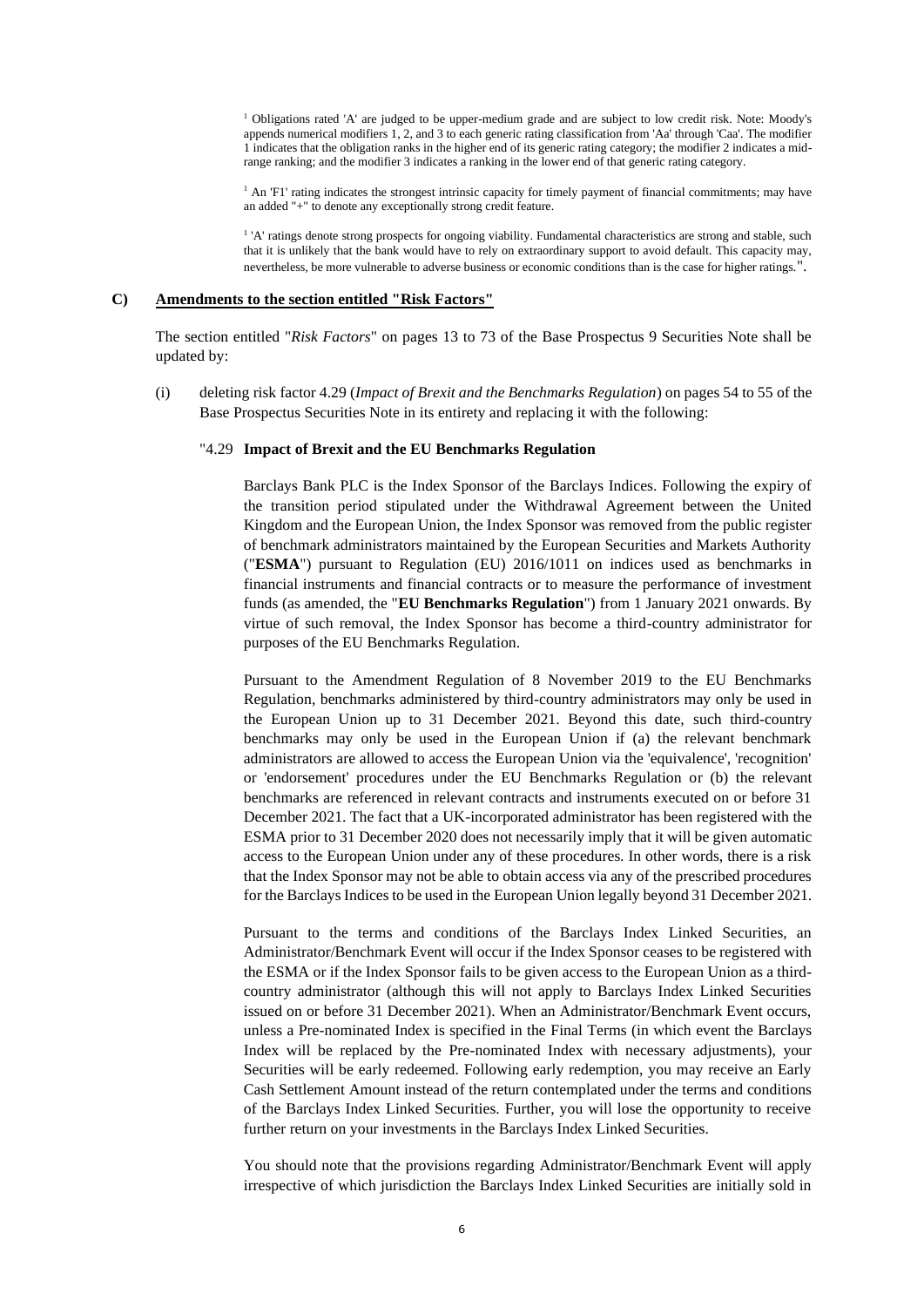<sup>1</sup> Obligations rated 'A' are judged to be upper-medium grade and are subject to low credit risk. Note: Moody's appends numerical modifiers 1, 2, and 3 to each generic rating classification from 'Aa' through 'Caa'. The modifier 1 indicates that the obligation ranks in the higher end of its generic rating category; the modifier 2 indicates a midrange ranking; and the modifier 3 indicates a ranking in the lower end of that generic rating category.

<sup>1</sup> An 'F1' rating indicates the strongest intrinsic capacity for timely payment of financial commitments; may have an added "+" to denote any exceptionally strong credit feature.

<sup>1</sup> 'A' ratings denote strong prospects for ongoing viability. Fundamental characteristics are strong and stable, such that it is unlikely that the bank would have to rely on extraordinary support to avoid default. This capacity may, nevertheless, be more vulnerable to adverse business or economic conditions than is the case for higher ratings.".

#### **C) Amendments to the section entitled "Risk Factors"**

The section entitled "*Risk Factors*" on pages 13 to 73 of the Base Prospectus 9 Securities Note shall be updated by:

(i) deleting risk factor 4.29 (*Impact of Brexit and the Benchmarks Regulation*) on pages 54 to 55 of the Base Prospectus Securities Note in its entirety and replacing it with the following:

## "4.29 **Impact of Brexit and the EU Benchmarks Regulation**

Barclays Bank PLC is the Index Sponsor of the Barclays Indices. Following the expiry of the transition period stipulated under the Withdrawal Agreement between the United Kingdom and the European Union, the Index Sponsor was removed from the public register of benchmark administrators maintained by the European Securities and Markets Authority ("**ESMA**") pursuant to Regulation (EU) 2016/1011 on indices used as benchmarks in financial instruments and financial contracts or to measure the performance of investment funds (as amended, the "**EU Benchmarks Regulation**") from 1 January 2021 onwards. By virtue of such removal, the Index Sponsor has become a third-country administrator for purposes of the EU Benchmarks Regulation.

Pursuant to the Amendment Regulation of 8 November 2019 to the EU Benchmarks Regulation, benchmarks administered by third-country administrators may only be used in the European Union up to 31 December 2021. Beyond this date, such third-country benchmarks may only be used in the European Union if (a) the relevant benchmark administrators are allowed to access the European Union via the 'equivalence', 'recognition' or 'endorsement' procedures under the EU Benchmarks Regulation or (b) the relevant benchmarks are referenced in relevant contracts and instruments executed on or before 31 December 2021. The fact that a UK-incorporated administrator has been registered with the ESMA prior to 31 December 2020 does not necessarily imply that it will be given automatic access to the European Union under any of these procedures. In other words, there is a risk that the Index Sponsor may not be able to obtain access via any of the prescribed procedures for the Barclays Indices to be used in the European Union legally beyond 31 December 2021.

Pursuant to the terms and conditions of the Barclays Index Linked Securities, an Administrator/Benchmark Event will occur if the Index Sponsor ceases to be registered with the ESMA or if the Index Sponsor fails to be given access to the European Union as a thirdcountry administrator (although this will not apply to Barclays Index Linked Securities issued on or before 31 December 2021). When an Administrator/Benchmark Event occurs, unless a Pre-nominated Index is specified in the Final Terms (in which event the Barclays Index will be replaced by the Pre-nominated Index with necessary adjustments), your Securities will be early redeemed. Following early redemption, you may receive an Early Cash Settlement Amount instead of the return contemplated under the terms and conditions of the Barclays Index Linked Securities. Further, you will lose the opportunity to receive further return on your investments in the Barclays Index Linked Securities.

You should note that the provisions regarding Administrator/Benchmark Event will apply irrespective of which jurisdiction the Barclays Index Linked Securities are initially sold in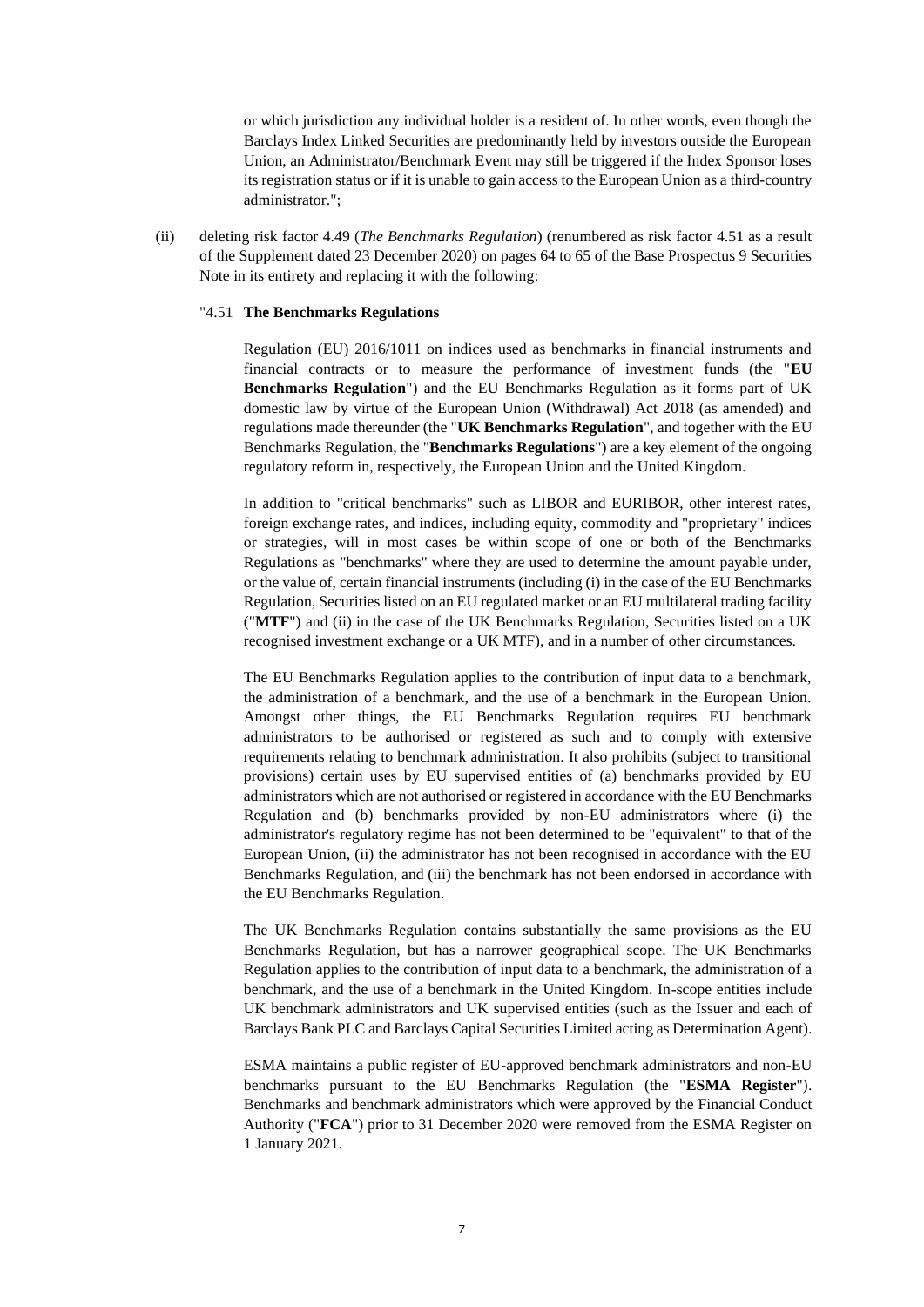or which jurisdiction any individual holder is a resident of. In other words, even though the Barclays Index Linked Securities are predominantly held by investors outside the European Union, an Administrator/Benchmark Event may still be triggered if the Index Sponsor loses its registration status or if it is unable to gain access to the European Union as a third-country administrator.";

(ii) deleting risk factor 4.49 (*The Benchmarks Regulation*) (renumbered as risk factor 4.51 as a result of the Supplement dated 23 December 2020) on pages 64 to 65 of the Base Prospectus 9 Securities Note in its entirety and replacing it with the following:

#### "4.51 **The Benchmarks Regulations**

Regulation (EU) 2016/1011 on indices used as benchmarks in financial instruments and financial contracts or to measure the performance of investment funds (the "**EU Benchmarks Regulation**") and the EU Benchmarks Regulation as it forms part of UK domestic law by virtue of the European Union (Withdrawal) Act 2018 (as amended) and regulations made thereunder (the "**UK Benchmarks Regulation**", and together with the EU Benchmarks Regulation, the "**Benchmarks Regulations**") are a key element of the ongoing regulatory reform in, respectively, the European Union and the United Kingdom.

In addition to "critical benchmarks" such as LIBOR and EURIBOR, other interest rates, foreign exchange rates, and indices, including equity, commodity and "proprietary" indices or strategies, will in most cases be within scope of one or both of the Benchmarks Regulations as "benchmarks" where they are used to determine the amount payable under, or the value of, certain financial instruments (including (i) in the case of the EU Benchmarks Regulation, Securities listed on an EU regulated market or an EU multilateral trading facility ("**MTF**") and (ii) in the case of the UK Benchmarks Regulation, Securities listed on a UK recognised investment exchange or a UK MTF), and in a number of other circumstances.

The EU Benchmarks Regulation applies to the contribution of input data to a benchmark, the administration of a benchmark, and the use of a benchmark in the European Union. Amongst other things, the EU Benchmarks Regulation requires EU benchmark administrators to be authorised or registered as such and to comply with extensive requirements relating to benchmark administration. It also prohibits (subject to transitional provisions) certain uses by EU supervised entities of (a) benchmarks provided by EU administrators which are not authorised or registered in accordance with the EU Benchmarks Regulation and (b) benchmarks provided by non-EU administrators where (i) the administrator's regulatory regime has not been determined to be "equivalent" to that of the European Union, (ii) the administrator has not been recognised in accordance with the EU Benchmarks Regulation, and (iii) the benchmark has not been endorsed in accordance with the EU Benchmarks Regulation.

The UK Benchmarks Regulation contains substantially the same provisions as the EU Benchmarks Regulation, but has a narrower geographical scope. The UK Benchmarks Regulation applies to the contribution of input data to a benchmark, the administration of a benchmark, and the use of a benchmark in the United Kingdom. In-scope entities include UK benchmark administrators and UK supervised entities (such as the Issuer and each of Barclays Bank PLC and Barclays Capital Securities Limited acting as Determination Agent).

ESMA maintains a public register of EU-approved benchmark administrators and non-EU benchmarks pursuant to the EU Benchmarks Regulation (the "**ESMA Register**"). Benchmarks and benchmark administrators which were approved by the Financial Conduct Authority ("**FCA**") prior to 31 December 2020 were removed from the ESMA Register on 1 January 2021.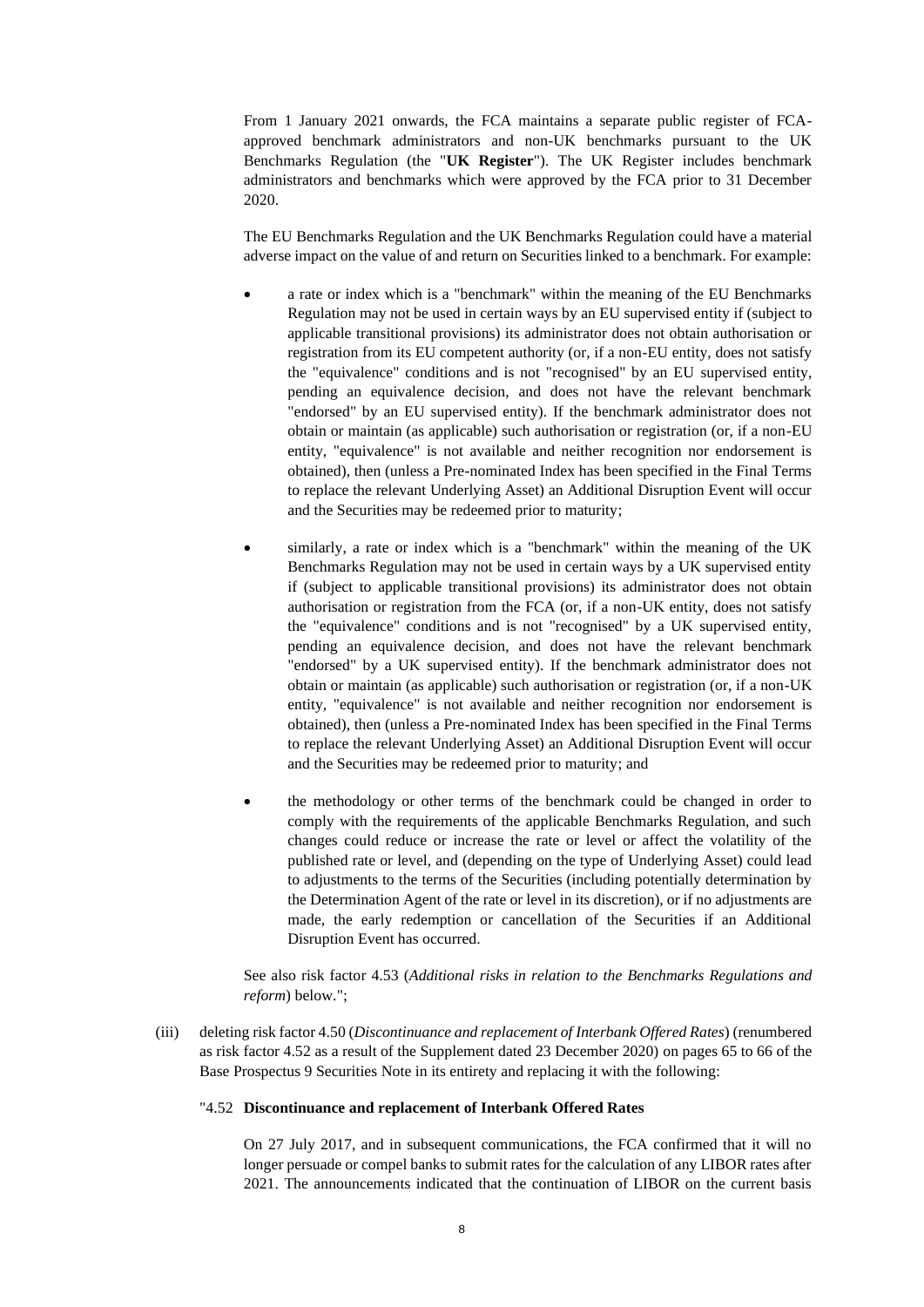From 1 January 2021 onwards, the FCA maintains a separate public register of FCAapproved benchmark administrators and non-UK benchmarks pursuant to the UK Benchmarks Regulation (the "**UK Register**"). The UK Register includes benchmark administrators and benchmarks which were approved by the FCA prior to 31 December 2020.

The EU Benchmarks Regulation and the UK Benchmarks Regulation could have a material adverse impact on the value of and return on Securities linked to a benchmark. For example:

- a rate or index which is a "benchmark" within the meaning of the EU Benchmarks Regulation may not be used in certain ways by an EU supervised entity if (subject to applicable transitional provisions) its administrator does not obtain authorisation or registration from its EU competent authority (or, if a non-EU entity, does not satisfy the "equivalence" conditions and is not "recognised" by an EU supervised entity, pending an equivalence decision, and does not have the relevant benchmark "endorsed" by an EU supervised entity). If the benchmark administrator does not obtain or maintain (as applicable) such authorisation or registration (or, if a non-EU entity, "equivalence" is not available and neither recognition nor endorsement is obtained), then (unless a Pre-nominated Index has been specified in the Final Terms to replace the relevant Underlying Asset) an Additional Disruption Event will occur and the Securities may be redeemed prior to maturity;
- similarly, a rate or index which is a "benchmark" within the meaning of the UK Benchmarks Regulation may not be used in certain ways by a UK supervised entity if (subject to applicable transitional provisions) its administrator does not obtain authorisation or registration from the FCA (or, if a non-UK entity, does not satisfy the "equivalence" conditions and is not "recognised" by a UK supervised entity, pending an equivalence decision, and does not have the relevant benchmark "endorsed" by a UK supervised entity). If the benchmark administrator does not obtain or maintain (as applicable) such authorisation or registration (or, if a non-UK entity, "equivalence" is not available and neither recognition nor endorsement is obtained), then (unless a Pre-nominated Index has been specified in the Final Terms to replace the relevant Underlying Asset) an Additional Disruption Event will occur and the Securities may be redeemed prior to maturity; and
- the methodology or other terms of the benchmark could be changed in order to comply with the requirements of the applicable Benchmarks Regulation, and such changes could reduce or increase the rate or level or affect the volatility of the published rate or level, and (depending on the type of Underlying Asset) could lead to adjustments to the terms of the Securities (including potentially determination by the Determination Agent of the rate or level in its discretion), or if no adjustments are made, the early redemption or cancellation of the Securities if an Additional Disruption Event has occurred.

See also risk factor 4.53 (*Additional risks in relation to the Benchmarks Regulations and reform*) below.";

(iii) deleting risk factor 4.50 (*Discontinuance and replacement of Interbank Offered Rates*) (renumbered as risk factor 4.52 as a result of the Supplement dated 23 December 2020) on pages 65 to 66 of the Base Prospectus 9 Securities Note in its entirety and replacing it with the following:

#### "4.52 **Discontinuance and replacement of Interbank Offered Rates**

On 27 July 2017, and in subsequent communications, the FCA confirmed that it will no longer persuade or compel banks to submit rates for the calculation of any LIBOR rates after 2021. The announcements indicated that the continuation of LIBOR on the current basis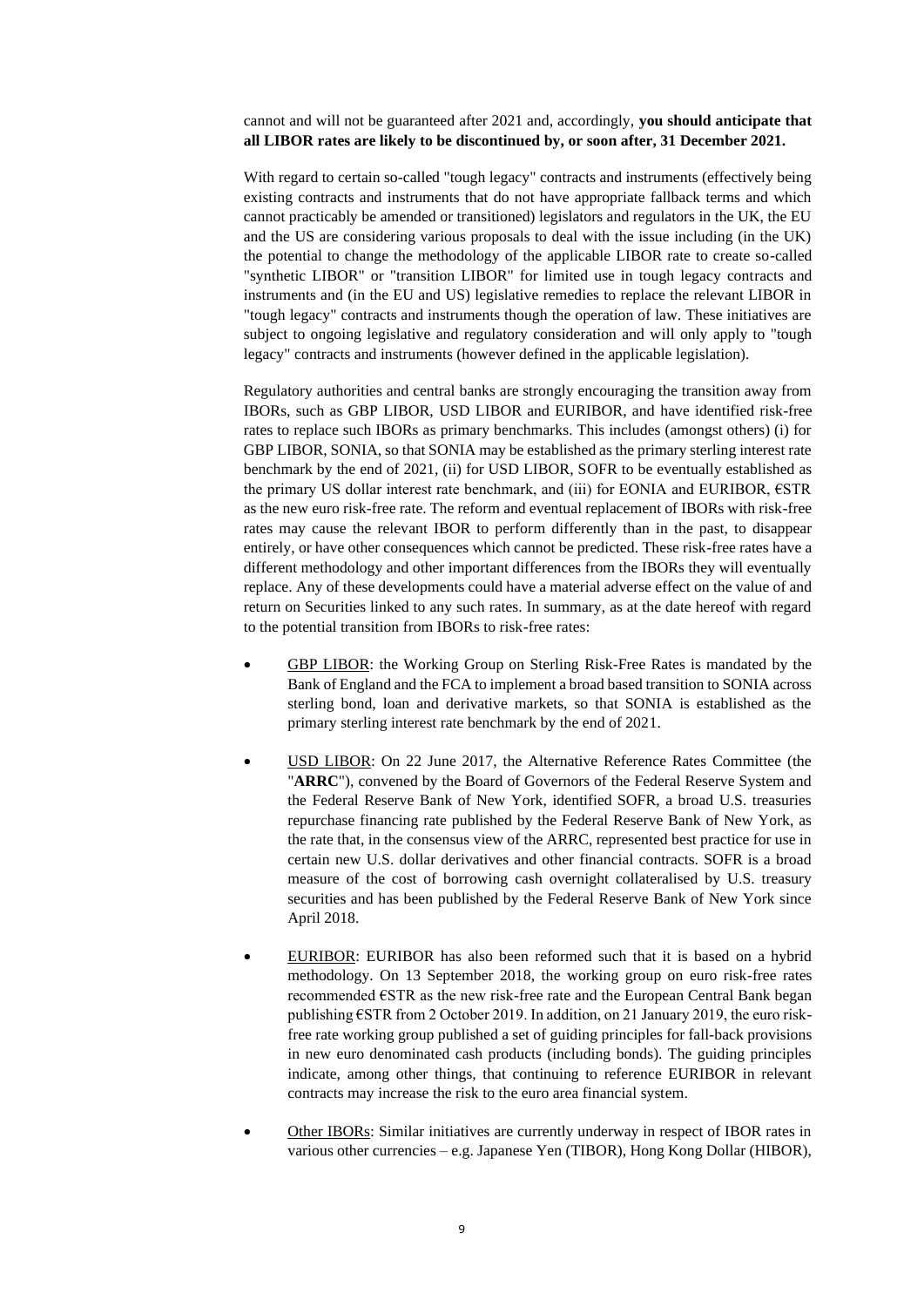## cannot and will not be guaranteed after 2021 and, accordingly, **you should anticipate that all LIBOR rates are likely to be discontinued by, or soon after, 31 December 2021.**

With regard to certain so-called "tough legacy" contracts and instruments (effectively being existing contracts and instruments that do not have appropriate fallback terms and which cannot practicably be amended or transitioned) legislators and regulators in the UK, the EU and the US are considering various proposals to deal with the issue including (in the UK) the potential to change the methodology of the applicable LIBOR rate to create so-called "synthetic LIBOR" or "transition LIBOR" for limited use in tough legacy contracts and instruments and (in the EU and US) legislative remedies to replace the relevant LIBOR in "tough legacy" contracts and instruments though the operation of law. These initiatives are subject to ongoing legislative and regulatory consideration and will only apply to "tough legacy" contracts and instruments (however defined in the applicable legislation).

Regulatory authorities and central banks are strongly encouraging the transition away from IBORs, such as GBP LIBOR, USD LIBOR and EURIBOR, and have identified risk-free rates to replace such IBORs as primary benchmarks. This includes (amongst others) (i) for GBP LIBOR, SONIA, so that SONIA may be established as the primary sterling interest rate benchmark by the end of 2021, (ii) for USD LIBOR, SOFR to be eventually established as the primary US dollar interest rate benchmark, and (iii) for EONIA and EURIBOR, €STR as the new euro risk-free rate. The reform and eventual replacement of IBORs with risk-free rates may cause the relevant IBOR to perform differently than in the past, to disappear entirely, or have other consequences which cannot be predicted. These risk-free rates have a different methodology and other important differences from the IBORs they will eventually replace. Any of these developments could have a material adverse effect on the value of and return on Securities linked to any such rates. In summary, as at the date hereof with regard to the potential transition from IBORs to risk-free rates:

- GBP LIBOR: the Working Group on Sterling Risk-Free Rates is mandated by the Bank of England and the FCA to implement a broad based transition to SONIA across sterling bond, loan and derivative markets, so that SONIA is established as the primary sterling interest rate benchmark by the end of 2021.
- USD LIBOR: On 22 June 2017, the Alternative Reference Rates Committee (the "**ARRC**"), convened by the Board of Governors of the Federal Reserve System and the Federal Reserve Bank of New York, identified SOFR, a broad U.S. treasuries repurchase financing rate published by the Federal Reserve Bank of New York, as the rate that, in the consensus view of the ARRC, represented best practice for use in certain new U.S. dollar derivatives and other financial contracts. SOFR is a broad measure of the cost of borrowing cash overnight collateralised by U.S. treasury securities and has been published by the Federal Reserve Bank of New York since April 2018.
- EURIBOR: EURIBOR has also been reformed such that it is based on a hybrid methodology. On 13 September 2018, the working group on euro risk-free rates recommended €STR as the new risk-free rate and the European Central Bank began publishing €STR from 2 October 2019. In addition, on 21 January 2019, the euro riskfree rate working group published a set of guiding principles for fall-back provisions in new euro denominated cash products (including bonds). The guiding principles indicate, among other things, that continuing to reference EURIBOR in relevant contracts may increase the risk to the euro area financial system.
- Other IBORs: Similar initiatives are currently underway in respect of IBOR rates in various other currencies – e.g. Japanese Yen (TIBOR), Hong Kong Dollar (HIBOR),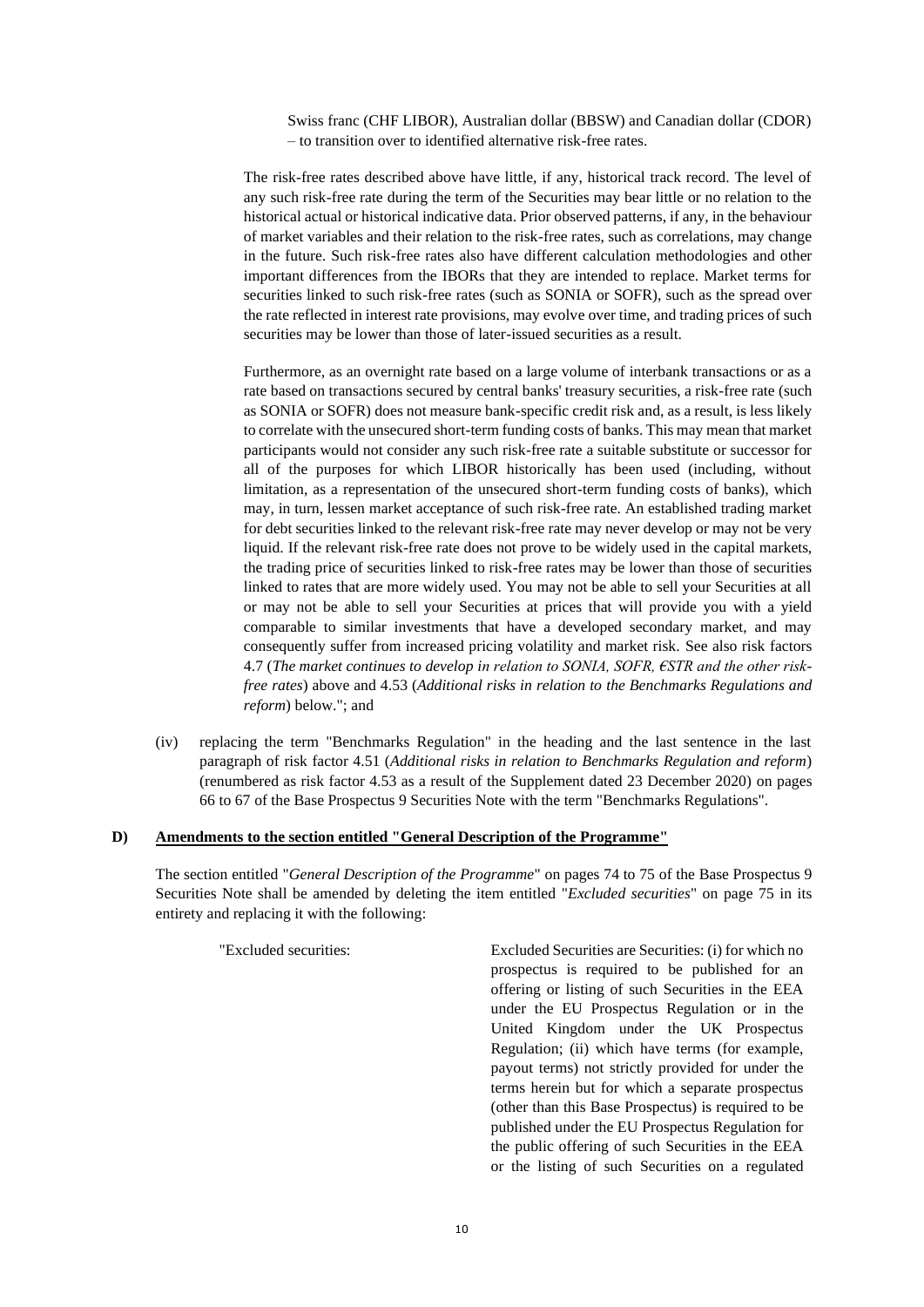Swiss franc (CHF LIBOR), Australian dollar (BBSW) and Canadian dollar (CDOR) – to transition over to identified alternative risk-free rates.

The risk-free rates described above have little, if any, historical track record. The level of any such risk-free rate during the term of the Securities may bear little or no relation to the historical actual or historical indicative data. Prior observed patterns, if any, in the behaviour of market variables and their relation to the risk-free rates, such as correlations, may change in the future. Such risk-free rates also have different calculation methodologies and other important differences from the IBORs that they are intended to replace. Market terms for securities linked to such risk-free rates (such as SONIA or SOFR), such as the spread over the rate reflected in interest rate provisions, may evolve over time, and trading prices of such securities may be lower than those of later-issued securities as a result.

Furthermore, as an overnight rate based on a large volume of interbank transactions or as a rate based on transactions secured by central banks' treasury securities, a risk-free rate (such as SONIA or SOFR) does not measure bank-specific credit risk and, as a result, is less likely to correlate with the unsecured short-term funding costs of banks. This may mean that market participants would not consider any such risk-free rate a suitable substitute or successor for all of the purposes for which LIBOR historically has been used (including, without limitation, as a representation of the unsecured short-term funding costs of banks), which may, in turn, lessen market acceptance of such risk-free rate. An established trading market for debt securities linked to the relevant risk-free rate may never develop or may not be very liquid. If the relevant risk-free rate does not prove to be widely used in the capital markets, the trading price of securities linked to risk-free rates may be lower than those of securities linked to rates that are more widely used. You may not be able to sell your Securities at all or may not be able to sell your Securities at prices that will provide you with a yield comparable to similar investments that have a developed secondary market, and may consequently suffer from increased pricing volatility and market risk. See also risk factors 4.7 (*The market continues to develop in relation to SONIA, SOFR, €STR and the other riskfree rates*) above and 4.53 (*Additional risks in relation to the Benchmarks Regulations and reform*) below."; and

(iv) replacing the term "Benchmarks Regulation" in the heading and the last sentence in the last paragraph of risk factor 4.51 (*Additional risks in relation to Benchmarks Regulation and reform*) (renumbered as risk factor 4.53 as a result of the Supplement dated 23 December 2020) on pages 66 to 67 of the Base Prospectus 9 Securities Note with the term "Benchmarks Regulations".

#### **D) Amendments to the section entitled "General Description of the Programme"**

The section entitled "*General Description of the Programme*" on pages 74 to 75 of the Base Prospectus 9 Securities Note shall be amended by deleting the item entitled "*Excluded securities*" on page 75 in its entirety and replacing it with the following:

"Excluded securities: Excluded Securities are Securities: (i) for which no prospectus is required to be published for an offering or listing of such Securities in the EEA under the EU Prospectus Regulation or in the United Kingdom under the UK Prospectus Regulation; (ii) which have terms (for example, payout terms) not strictly provided for under the terms herein but for which a separate prospectus (other than this Base Prospectus) is required to be published under the EU Prospectus Regulation for the public offering of such Securities in the EEA or the listing of such Securities on a regulated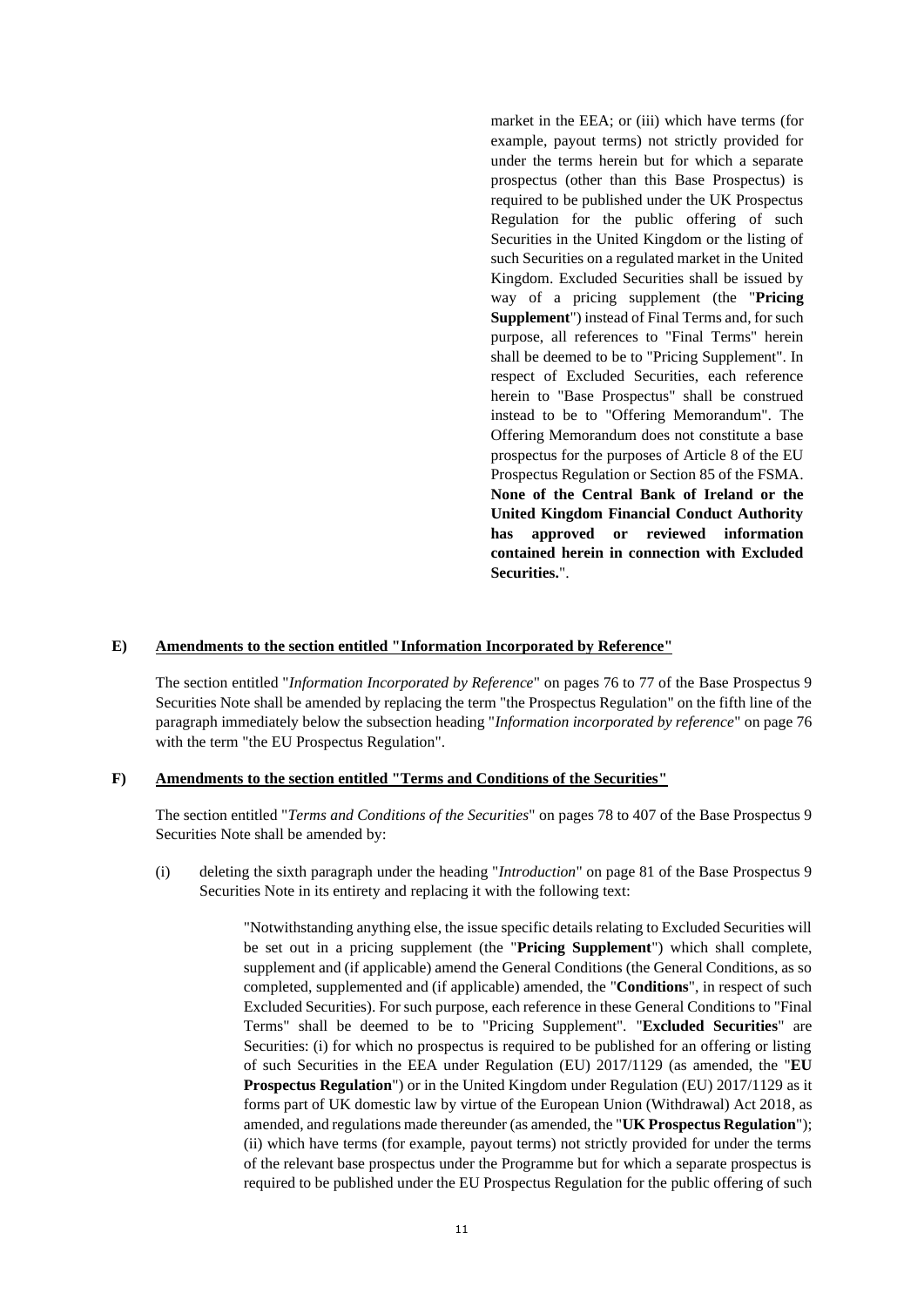market in the EEA; or (iii) which have terms (for example, payout terms) not strictly provided for under the terms herein but for which a separate prospectus (other than this Base Prospectus) is required to be published under the UK Prospectus Regulation for the public offering of such Securities in the United Kingdom or the listing of such Securities on a regulated market in the United Kingdom. Excluded Securities shall be issued by way of a pricing supplement (the "**Pricing Supplement**") instead of Final Terms and, for such purpose, all references to "Final Terms" herein shall be deemed to be to "Pricing Supplement". In respect of Excluded Securities, each reference herein to "Base Prospectus" shall be construed instead to be to "Offering Memorandum". The Offering Memorandum does not constitute a base prospectus for the purposes of Article 8 of the EU Prospectus Regulation or Section 85 of the FSMA. **None of the Central Bank of Ireland or the United Kingdom Financial Conduct Authority has approved or reviewed information contained herein in connection with Excluded Securities.**".

# **E) Amendments to the section entitled "Information Incorporated by Reference"**

The section entitled "*Information Incorporated by Reference*" on pages 76 to 77 of the Base Prospectus 9 Securities Note shall be amended by replacing the term "the Prospectus Regulation" on the fifth line of the paragraph immediately below the subsection heading "*Information incorporated by reference*" on page 76 with the term "the EU Prospectus Regulation".

## **F) Amendments to the section entitled "Terms and Conditions of the Securities"**

The section entitled "*Terms and Conditions of the Securities*" on pages 78 to 407 of the Base Prospectus 9 Securities Note shall be amended by:

(i) deleting the sixth paragraph under the heading "*Introduction*" on page 81 of the Base Prospectus 9 Securities Note in its entirety and replacing it with the following text:

> "Notwithstanding anything else, the issue specific details relating to Excluded Securities will be set out in a pricing supplement (the "**Pricing Supplement**") which shall complete, supplement and (if applicable) amend the General Conditions (the General Conditions, as so completed, supplemented and (if applicable) amended, the "**Conditions**", in respect of such Excluded Securities). For such purpose, each reference in these General Conditions to "Final Terms" shall be deemed to be to "Pricing Supplement". "**Excluded Securities**" are Securities: (i) for which no prospectus is required to be published for an offering or listing of such Securities in the EEA under Regulation (EU) 2017/1129 (as amended, the "**EU Prospectus Regulation**") or in the United Kingdom under Regulation (EU) 2017/1129 as it forms part of UK domestic law by virtue of the European Union (Withdrawal) Act 2018, as amended, and regulations made thereunder (as amended, the "**UK Prospectus Regulation**"); (ii) which have terms (for example, payout terms) not strictly provided for under the terms of the relevant base prospectus under the Programme but for which a separate prospectus is required to be published under the EU Prospectus Regulation for the public offering of such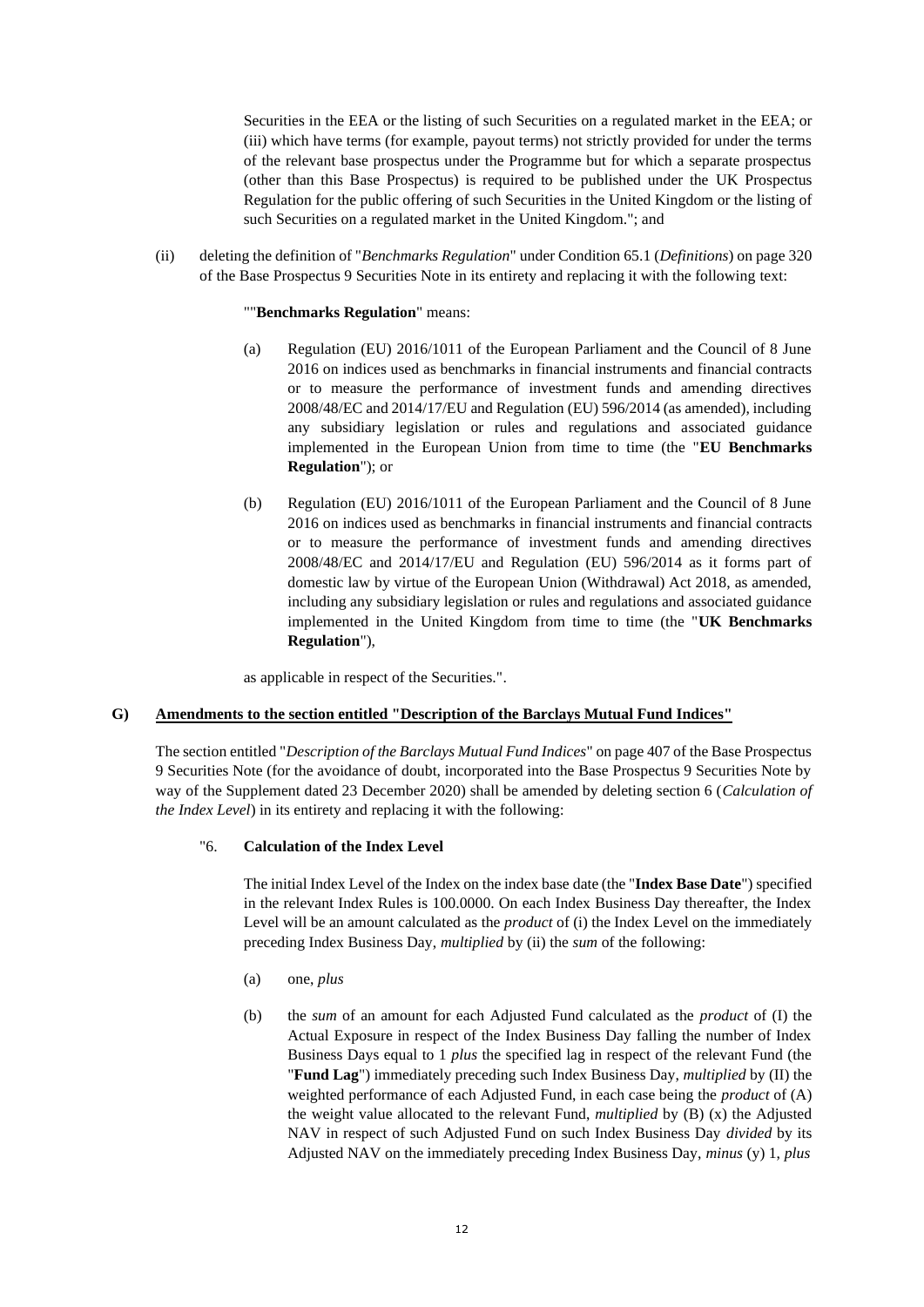Securities in the EEA or the listing of such Securities on a regulated market in the EEA; or (iii) which have terms (for example, payout terms) not strictly provided for under the terms of the relevant base prospectus under the Programme but for which a separate prospectus (other than this Base Prospectus) is required to be published under the UK Prospectus Regulation for the public offering of such Securities in the United Kingdom or the listing of such Securities on a regulated market in the United Kingdom."; and

(ii) deleting the definition of "*Benchmarks Regulation*" under Condition 65.1 (*Definitions*) on page 320 of the Base Prospectus 9 Securities Note in its entirety and replacing it with the following text:

## ""**Benchmarks Regulation**" means:

- (a) Regulation (EU) 2016/1011 of the European Parliament and the Council of 8 June 2016 on indices used as benchmarks in financial instruments and financial contracts or to measure the performance of investment funds and amending directives 2008/48/EC and 2014/17/EU and Regulation (EU) 596/2014 (as amended), including any subsidiary legislation or rules and regulations and associated guidance implemented in the European Union from time to time (the "**EU Benchmarks Regulation**"); or
- (b) Regulation (EU) 2016/1011 of the European Parliament and the Council of 8 June 2016 on indices used as benchmarks in financial instruments and financial contracts or to measure the performance of investment funds and amending directives 2008/48/EC and 2014/17/EU and Regulation (EU) 596/2014 as it forms part of domestic law by virtue of the European Union (Withdrawal) Act 2018, as amended, including any subsidiary legislation or rules and regulations and associated guidance implemented in the United Kingdom from time to time (the "**UK Benchmarks Regulation**"),

as applicable in respect of the Securities.".

# **G) Amendments to the section entitled "Description of the Barclays Mutual Fund Indices"**

The section entitled "*Description of the Barclays Mutual Fund Indices*" on page 407 of the Base Prospectus 9 Securities Note (for the avoidance of doubt, incorporated into the Base Prospectus 9 Securities Note by way of the Supplement dated 23 December 2020) shall be amended by deleting section 6 (*Calculation of the Index Level*) in its entirety and replacing it with the following:

# "6. **Calculation of the Index Level**

The initial Index Level of the Index on the index base date (the "**Index Base Date**") specified in the relevant Index Rules is 100.0000. On each Index Business Day thereafter, the Index Level will be an amount calculated as the *product* of (i) the Index Level on the immediately preceding Index Business Day, *multiplied* by (ii) the *sum* of the following:

- (a) one, *plus*
- (b) the *sum* of an amount for each Adjusted Fund calculated as the *product* of (I) the Actual Exposure in respect of the Index Business Day falling the number of Index Business Days equal to 1 *plus* the specified lag in respect of the relevant Fund (the "**Fund Lag**") immediately preceding such Index Business Day, *multiplied* by (II) the weighted performance of each Adjusted Fund, in each case being the *product* of (A) the weight value allocated to the relevant Fund, *multiplied* by (B) (x) the Adjusted NAV in respect of such Adjusted Fund on such Index Business Day *divided* by its Adjusted NAV on the immediately preceding Index Business Day, *minus* (y) 1, *plus*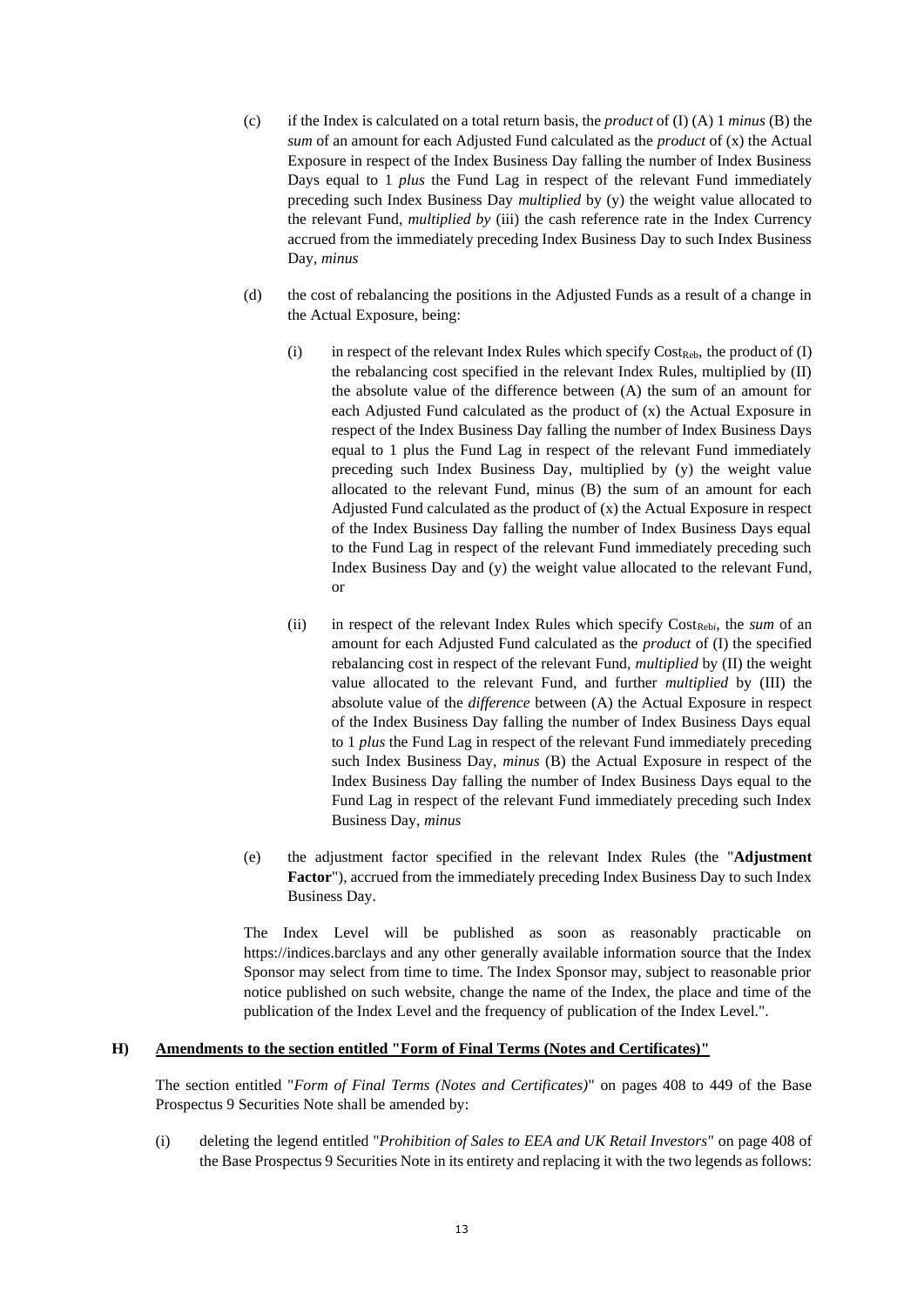- (c) if the Index is calculated on a total return basis, the *product* of (I) (A) 1 *minus* (B) the *sum* of an amount for each Adjusted Fund calculated as the *product* of (x) the Actual Exposure in respect of the Index Business Day falling the number of Index Business Days equal to 1 *plus* the Fund Lag in respect of the relevant Fund immediately preceding such Index Business Day *multiplied* by (y) the weight value allocated to the relevant Fund, *multiplied by* (iii) the cash reference rate in the Index Currency accrued from the immediately preceding Index Business Day to such Index Business Day, *minus*
- (d) the cost of rebalancing the positions in the Adjusted Funds as a result of a change in the Actual Exposure, being:
	- (i) in respect of the relevant Index Rules which specify  $Cost_{\text{Reb}}$ , the product of (I) the rebalancing cost specified in the relevant Index Rules, multiplied by (II) the absolute value of the difference between (A) the sum of an amount for each Adjusted Fund calculated as the product of (x) the Actual Exposure in respect of the Index Business Day falling the number of Index Business Days equal to 1 plus the Fund Lag in respect of the relevant Fund immediately preceding such Index Business Day, multiplied by (y) the weight value allocated to the relevant Fund, minus (B) the sum of an amount for each Adjusted Fund calculated as the product of (x) the Actual Exposure in respect of the Index Business Day falling the number of Index Business Days equal to the Fund Lag in respect of the relevant Fund immediately preceding such Index Business Day and (y) the weight value allocated to the relevant Fund, or
	- (ii) in respect of the relevant Index Rules which specify Cost<sub>Rebi</sub>, the *sum* of an amount for each Adjusted Fund calculated as the *product* of (I) the specified rebalancing cost in respect of the relevant Fund, *multiplied* by (II) the weight value allocated to the relevant Fund, and further *multiplied* by (III) the absolute value of the *difference* between (A) the Actual Exposure in respect of the Index Business Day falling the number of Index Business Days equal to 1 *plus* the Fund Lag in respect of the relevant Fund immediately preceding such Index Business Day, *minus* (B) the Actual Exposure in respect of the Index Business Day falling the number of Index Business Days equal to the Fund Lag in respect of the relevant Fund immediately preceding such Index Business Day, *minus*
- (e) the adjustment factor specified in the relevant Index Rules (the "**Adjustment Factor**"), accrued from the immediately preceding Index Business Day to such Index Business Day.

The Index Level will be published as soon as reasonably practicable on https://indices.barclays and any other generally available information source that the Index Sponsor may select from time to time. The Index Sponsor may, subject to reasonable prior notice published on such website, change the name of the Index, the place and time of the publication of the Index Level and the frequency of publication of the Index Level.".

# **H) Amendments to the section entitled "Form of Final Terms (Notes and Certificates)"**

The section entitled "*Form of Final Terms (Notes and Certificates)*" on pages 408 to 449 of the Base Prospectus 9 Securities Note shall be amended by:

(i) deleting the legend entitled "*Prohibition of Sales to EEA and UK Retail Investors*" on page 408 of the Base Prospectus 9 Securities Note in its entirety and replacing it with the two legends as follows: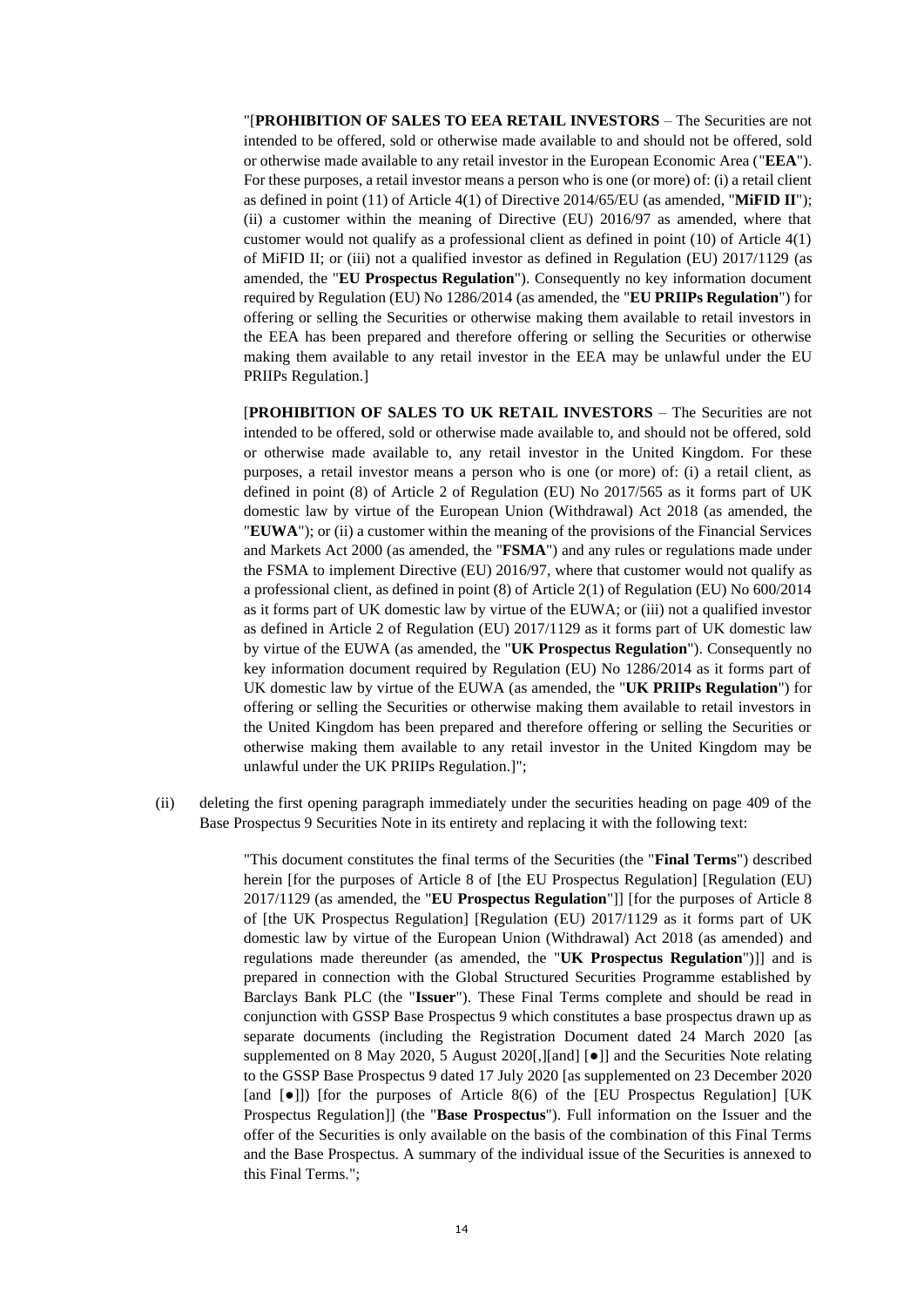"[**PROHIBITION OF SALES TO EEA RETAIL INVESTORS** – The Securities are not intended to be offered, sold or otherwise made available to and should not be offered, sold or otherwise made available to any retail investor in the European Economic Area ("**EEA**"). For these purposes, a retail investor means a person who is one (or more) of: (i) a retail client as defined in point (11) of Article 4(1) of Directive 2014/65/EU (as amended, "**MiFID II**"); (ii) a customer within the meaning of Directive (EU) 2016/97 as amended, where that customer would not qualify as a professional client as defined in point (10) of Article 4(1) of MiFID II; or (iii) not a qualified investor as defined in Regulation (EU) 2017/1129 (as amended, the "**EU Prospectus Regulation**"). Consequently no key information document required by Regulation (EU) No 1286/2014 (as amended, the "**EU PRIIPs Regulation**") for offering or selling the Securities or otherwise making them available to retail investors in the EEA has been prepared and therefore offering or selling the Securities or otherwise making them available to any retail investor in the EEA may be unlawful under the EU PRIIPs Regulation.]

[**PROHIBITION OF SALES TO UK RETAIL INVESTORS** – The Securities are not intended to be offered, sold or otherwise made available to, and should not be offered, sold or otherwise made available to, any retail investor in the United Kingdom. For these purposes, a retail investor means a person who is one (or more) of: (i) a retail client, as defined in point (8) of Article 2 of Regulation (EU) No 2017/565 as it forms part of UK domestic law by virtue of the European Union (Withdrawal) Act 2018 (as amended, the "**EUWA**"); or (ii) a customer within the meaning of the provisions of the Financial Services and Markets Act 2000 (as amended, the "**FSMA**") and any rules or regulations made under the FSMA to implement Directive (EU) 2016/97, where that customer would not qualify as a professional client, as defined in point (8) of Article 2(1) of Regulation (EU) No 600/2014 as it forms part of UK domestic law by virtue of the EUWA; or (iii) not a qualified investor as defined in Article 2 of Regulation (EU) 2017/1129 as it forms part of UK domestic law by virtue of the EUWA (as amended, the "**UK Prospectus Regulation**"). Consequently no key information document required by Regulation (EU) No 1286/2014 as it forms part of UK domestic law by virtue of the EUWA (as amended, the "**UK PRIIPs Regulation**") for offering or selling the Securities or otherwise making them available to retail investors in the United Kingdom has been prepared and therefore offering or selling the Securities or otherwise making them available to any retail investor in the United Kingdom may be unlawful under the UK PRIIPs Regulation.]";

(ii) deleting the first opening paragraph immediately under the securities heading on page 409 of the Base Prospectus 9 Securities Note in its entirety and replacing it with the following text:

> "This document constitutes the final terms of the Securities (the "**Final Terms**") described herein [for the purposes of Article 8 of [the EU Prospectus Regulation] [Regulation (EU) 2017/1129 (as amended, the "**EU Prospectus Regulation**"]] [for the purposes of Article 8 of [the UK Prospectus Regulation] [Regulation (EU) 2017/1129 as it forms part of UK domestic law by virtue of the European Union (Withdrawal) Act 2018 (as amended) and regulations made thereunder (as amended, the "**UK Prospectus Regulation**")]] and is prepared in connection with the Global Structured Securities Programme established by Barclays Bank PLC (the "**Issuer**"). These Final Terms complete and should be read in conjunction with GSSP Base Prospectus 9 which constitutes a base prospectus drawn up as separate documents (including the Registration Document dated 24 March 2020 [as supplemented on 8 May 2020, 5 August 2020[,][and] [●]] and the Securities Note relating to the GSSP Base Prospectus 9 dated 17 July 2020 [as supplemented on 23 December 2020 [and  $\bullet$ ]) [for the purposes of Article 8(6) of the [EU Prospectus Regulation] [UK Prospectus Regulation]] (the "**Base Prospectus**"). Full information on the Issuer and the offer of the Securities is only available on the basis of the combination of this Final Terms and the Base Prospectus. A summary of the individual issue of the Securities is annexed to this Final Terms.";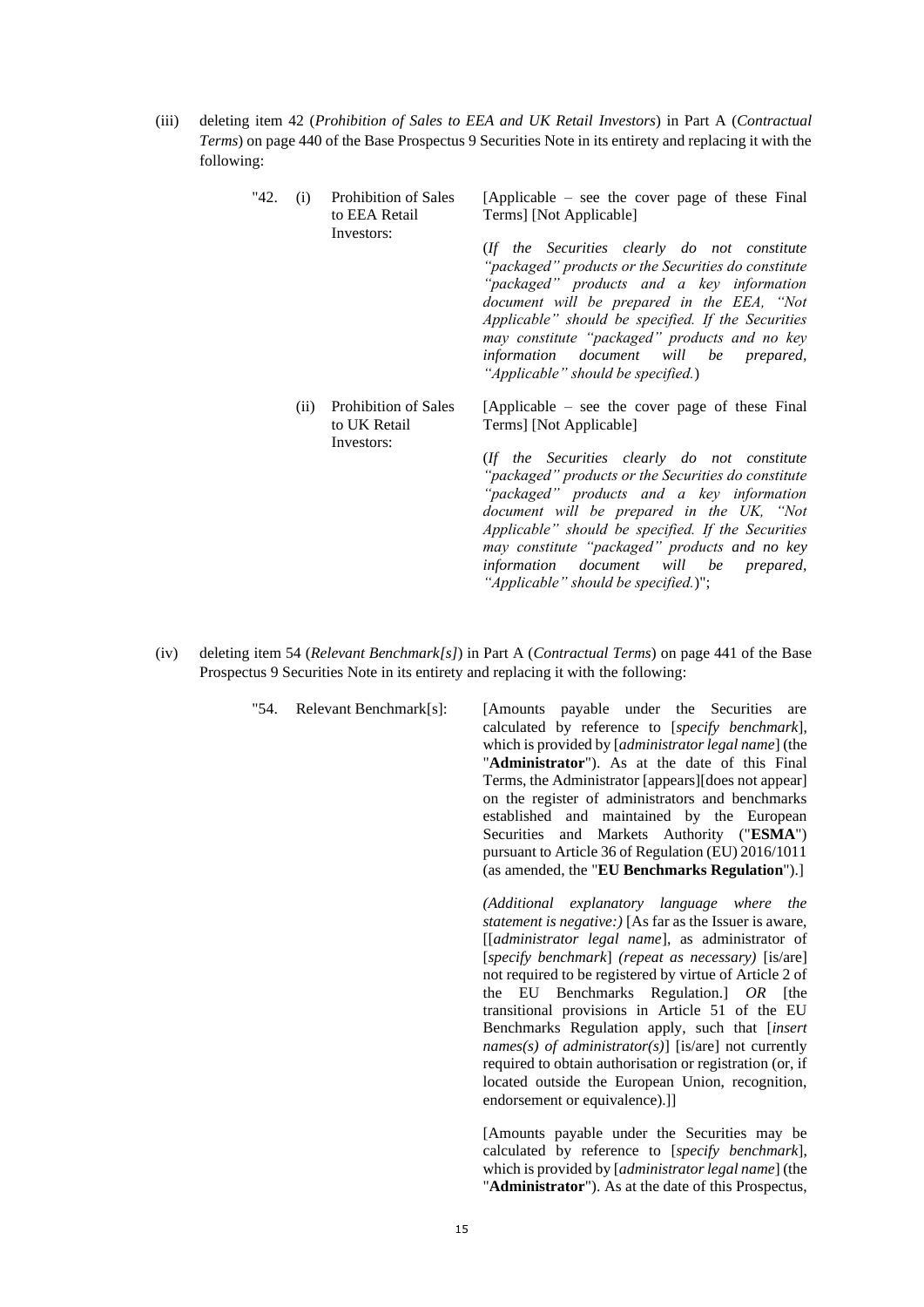(iii) deleting item 42 (*Prohibition of Sales to EEA and UK Retail Investors*) in Part A (*Contractual Terms*) on page 440 of the Base Prospectus 9 Securities Note in its entirety and replacing it with the following:

| "42. | (i)  | Prohibition of Sales<br>to EEA Retail<br>Investors: | [Applicable $-$ see the cover page of these Final<br>Terms] [Not Applicable]                                                                                                                                                                                                                                                                                                          |
|------|------|-----------------------------------------------------|---------------------------------------------------------------------------------------------------------------------------------------------------------------------------------------------------------------------------------------------------------------------------------------------------------------------------------------------------------------------------------------|
|      |      |                                                     | (If the Securities clearly do not constitute<br>"packaged" products or the Securities do constitute<br>"packaged" products and a key information<br>document will be prepared in the EEA, "Not<br>Applicable" should be specified. If the Securities<br>may constitute "packaged" products and no key<br>information document will be prepared,<br>"Applicable" should be specified.) |
|      | (ii) | Prohibition of Sales<br>to UK Retail<br>Investors:  | [Applicable – see the cover page of these Final<br>Terms] [Not Applicable]                                                                                                                                                                                                                                                                                                            |
|      |      |                                                     | (If the Securities clearly do not constitute<br>"packaged" products or the Securities do constitute<br>"packaged" products and a key information<br>document will be prepared in the UK, "Not<br>Applicable" should be specified. If the Securities<br>may constitute "packaged" products and no key<br>information document will be prepared,                                        |

(iv) deleting item 54 (*Relevant Benchmark[s]*) in Part A (*Contractual Terms*) on page 441 of the Base Prospectus 9 Securities Note in its entirety and replacing it with the following:

> "54. Relevant Benchmark[s]: [Amounts payable under the Securities are calculated by reference to [*specify benchmark*], which is provided by [*administrator legal name*] (the "**Administrator**"). As at the date of this Final Terms, the Administrator [appears][does not appear] on the register of administrators and benchmarks established and maintained by the European Securities and Markets Authority ("**ESMA**") pursuant to Article 36 of Regulation (EU) 2016/1011 (as amended, the "**EU Benchmarks Regulation**").] *(Additional explanatory language where the statement is negative:)* [As far as the Issuer is aware,

*"Applicable" should be specified.*)";

[[*administrator legal name*], as administrator of [*specify benchmark*] *(repeat as necessary)* [is/are] not required to be registered by virtue of Article 2 of the EU Benchmarks Regulation.] *OR* [the transitional provisions in Article 51 of the EU Benchmarks Regulation apply, such that [*insert names(s) of administrator(s)*] [is/are] not currently required to obtain authorisation or registration (or, if located outside the European Union, recognition, endorsement or equivalence).]]

[Amounts payable under the Securities may be calculated by reference to [*specify benchmark*], which is provided by [*administrator legal name*] (the "**Administrator**"). As at the date of this Prospectus,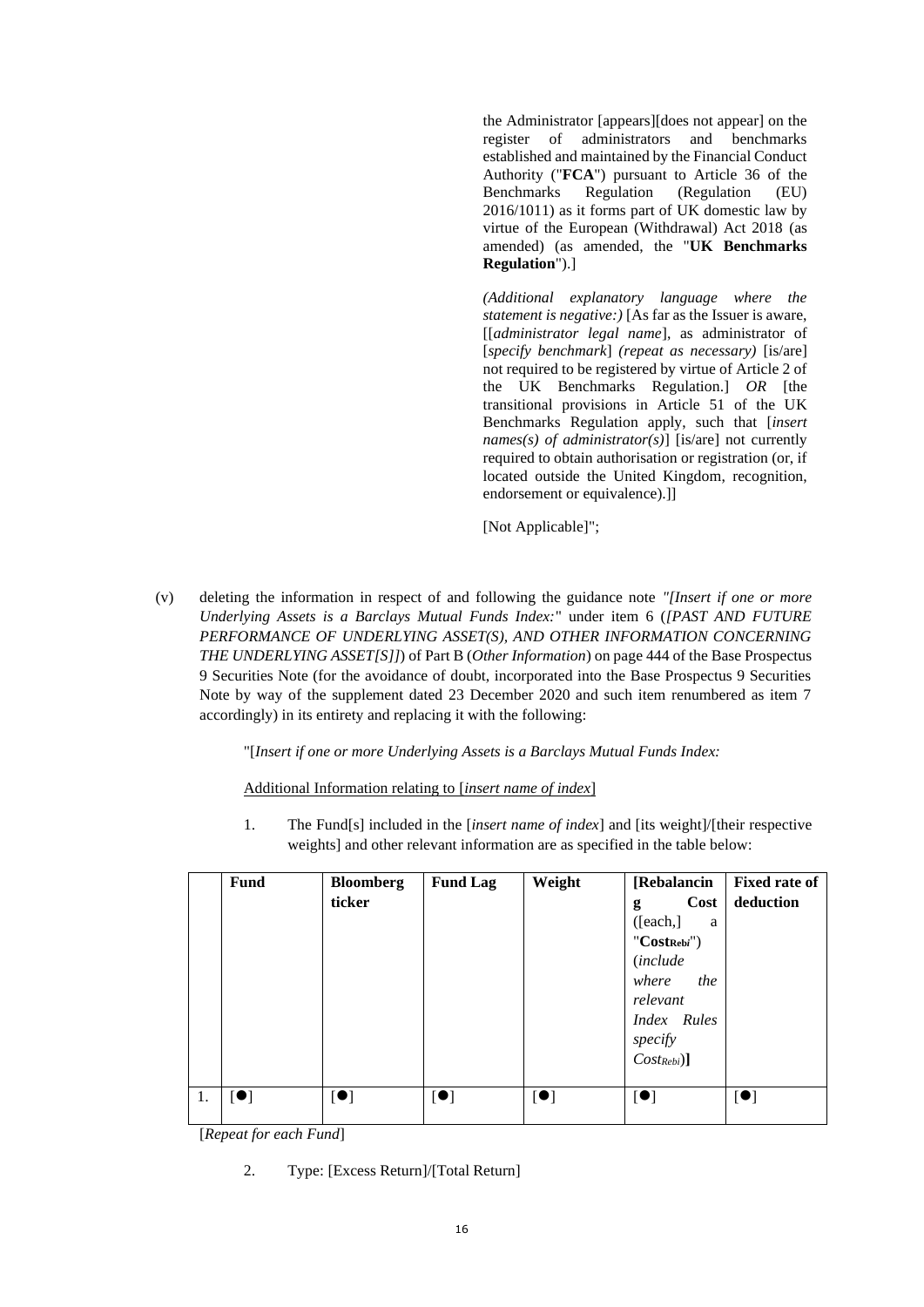the Administrator [appears][does not appear] on the register of administrators and benchmarks established and maintained by the Financial Conduct Authority ("**FCA**") pursuant to Article 36 of the Benchmarks Regulation (Regulation (EU) 2016/1011) as it forms part of UK domestic law by virtue of the European (Withdrawal) Act 2018 (as amended) (as amended, the "**UK Benchmarks Regulation**").]

*(Additional explanatory language where the statement is negative:)* [As far as the Issuer is aware, [[*administrator legal name*], as administrator of [*specify benchmark*] *(repeat as necessary)* [is/are] not required to be registered by virtue of Article 2 of the UK Benchmarks Regulation.] *OR* [the transitional provisions in Article 51 of the UK Benchmarks Regulation apply, such that [*insert names(s) of administrator(s)*] [is/are] not currently required to obtain authorisation or registration (or, if located outside the United Kingdom, recognition, endorsement or equivalence).]]

[Not Applicable]";

(v) deleting the information in respect of and following the guidance note *"[Insert if one or more Underlying Assets is a Barclays Mutual Funds Index:*" under item 6 (*[PAST AND FUTURE PERFORMANCE OF UNDERLYING ASSET(S), AND OTHER INFORMATION CONCERNING THE UNDERLYING ASSET[S]]*) of Part B (*Other Information*) on page 444 of the Base Prospectus 9 Securities Note (for the avoidance of doubt, incorporated into the Base Prospectus 9 Securities Note by way of the supplement dated 23 December 2020 and such item renumbered as item 7 accordingly) in its entirety and replacing it with the following:

"[*Insert if one or more Underlying Assets is a Barclays Mutual Funds Index:*

Additional Information relating to [*insert name of index*]

1. The Fund[s] included in the [*insert name of index*] and [its weight]/[their respective weights] and other relevant information are as specified in the table below:

| Fund      | <b>Bloomberg</b><br>ticker | <b>Fund Lag</b> | Weight                    | [Rebalancin<br>Cost<br>g<br>[each.]<br>a<br>$"Cost_{Rebi}"$<br><i>(include</i><br>where<br>the<br>relevant<br>Index Rules<br>specify<br>$Cost_{Rebi}]$ | <b>Fixed rate of</b><br>deduction |
|-----------|----------------------------|-----------------|---------------------------|--------------------------------------------------------------------------------------------------------------------------------------------------------|-----------------------------------|
| [•]<br>1. | $\left[ \bullet \right]$   | [•]             | $\lbrack \bullet \rbrack$ | $[\bullet]$                                                                                                                                            | [•]                               |

[*Repeat for each Fund*]

2. Type: [Excess Return]/[Total Return]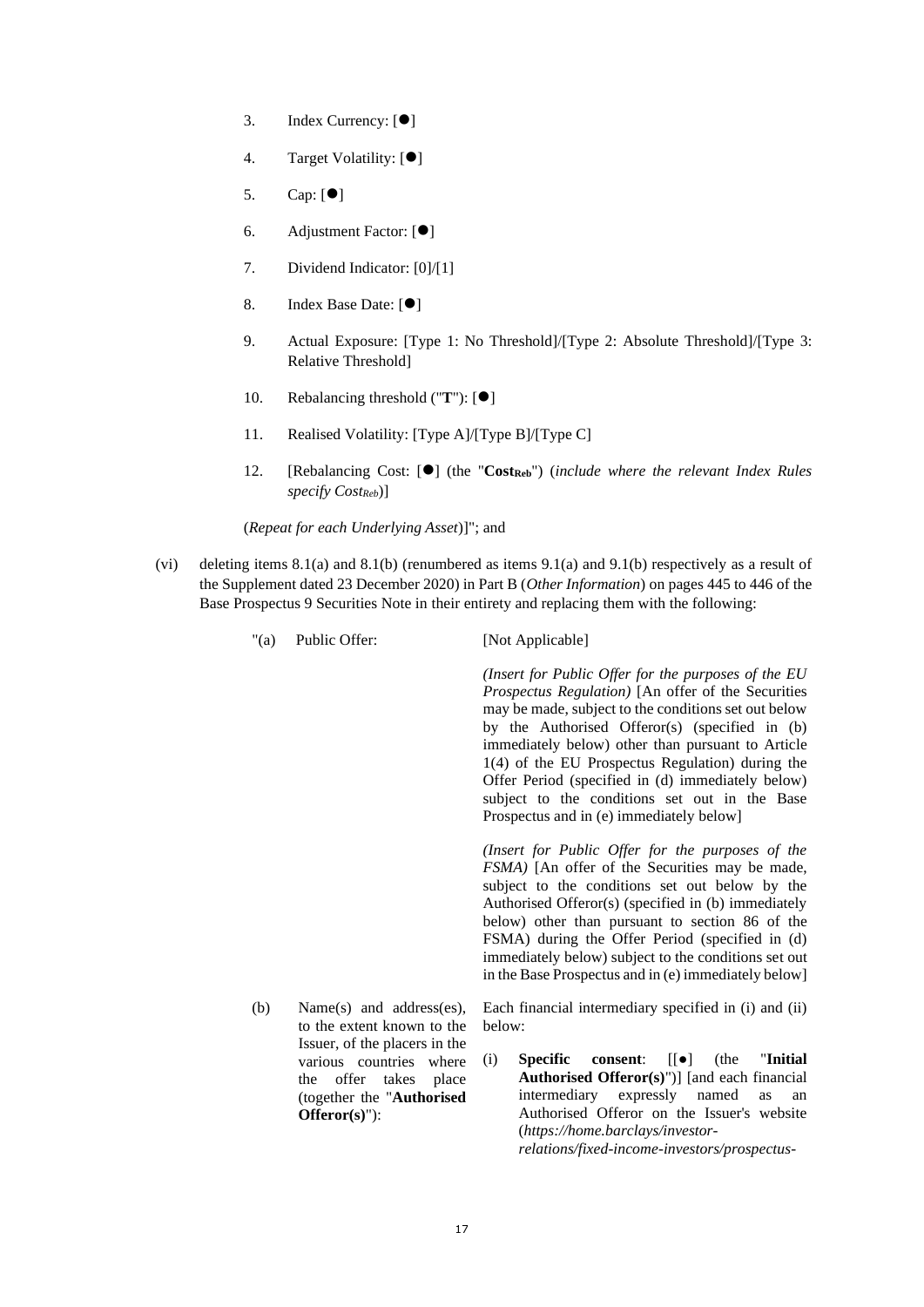- 3. Index Currency: [⚫]
- 4. Target Volatility: [ $\bullet$ ]
- 5. Cap: [⚫]
- 6. Adjustment Factor: [⚫]
- 7. Dividend Indicator: [0]/[1]
- 8. Index Base Date: [ $\bullet$ ]
- 9. Actual Exposure: [Type 1: No Threshold]/[Type 2: Absolute Threshold]/[Type 3: Relative Threshold]
- 10. Rebalancing threshold ("**T**"): [ $\bullet$ ]
- 11. Realised Volatility: [Type A]/[Type B]/[Type C]
- 12. [Rebalancing Cost: [⚫] (the "**CostReb**") (*include where the relevant Index Rules specify CostReb*)]

(*Repeat for each Underlying Asset*)]"; and

- (vi) deleting items 8.1(a) and 8.1(b) (renumbered as items 9.1(a) and 9.1(b) respectively as a result of the Supplement dated 23 December 2020) in Part B (*Other Information*) on pages 445 to 446 of the Base Prospectus 9 Securities Note in their entirety and replacing them with the following:
	- "(a) Public Offer: [Not Applicable]

*(Insert for Public Offer for the purposes of the EU Prospectus Regulation)* [An offer of the Securities may be made, subject to the conditions set out below by the Authorised Offeror(s) (specified in (b) immediately below) other than pursuant to Article 1(4) of the EU Prospectus Regulation) during the Offer Period (specified in (d) immediately below) subject to the conditions set out in the Base Prospectus and in (e) immediately below]

*(Insert for Public Offer for the purposes of the FSMA)* [An offer of the Securities may be made, subject to the conditions set out below by the Authorised Offeror(s) (specified in (b) immediately below) other than pursuant to section 86 of the FSMA) during the Offer Period (specified in (d) immediately below) subject to the conditions set out in the Base Prospectus and in (e) immediately below]

(b) Name(s) and address(es), to the extent known to the Issuer, of the placers in the various countries where the offer takes place (together the "**Authorised Offeror(s)**"):

Each financial intermediary specified in (i) and (ii) below:

(i) **Specific consent**: [[●] (the "**Initial Authorised Offeror(s)**")] [and each financial intermediary expressly named as an Authorised Offeror on the Issuer's website (*https://home.barclays/investorrelations/fixed-income-investors/prospectus-*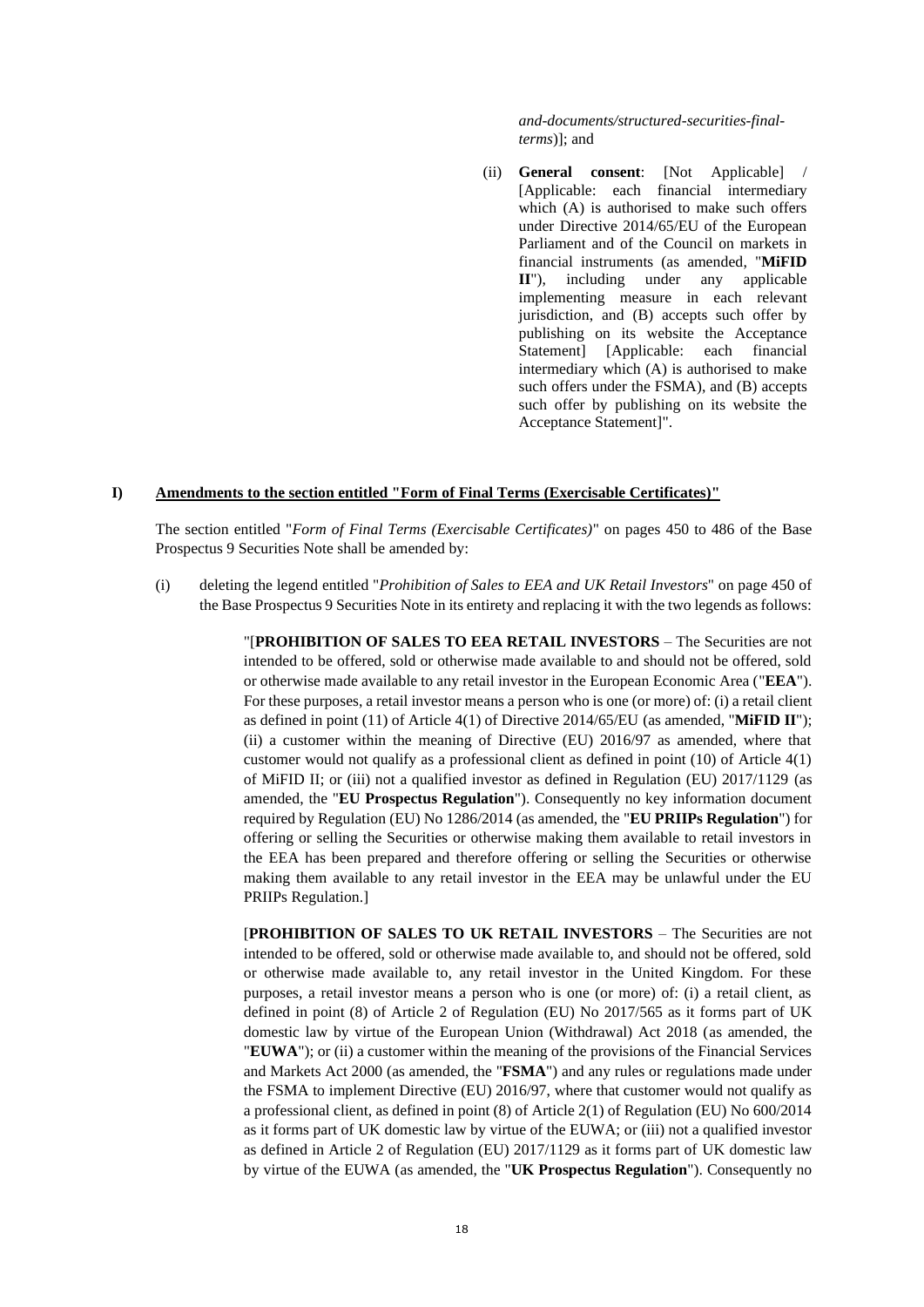*and-documents/structured-securities-finalterms*)]; and

(ii) **General consent**: [Not Applicable] [Applicable: each financial intermediary which (A) is authorised to make such offers under Directive 2014/65/EU of the European Parliament and of the Council on markets in financial instruments (as amended, "**MiFID II**"), including under any applicable implementing measure in each relevant jurisdiction, and (B) accepts such offer by publishing on its website the Acceptance Statement] [Applicable: each financial intermediary which (A) is authorised to make such offers under the FSMA), and (B) accepts such offer by publishing on its website the Acceptance Statement]".

## **I) Amendments to the section entitled "Form of Final Terms (Exercisable Certificates)"**

The section entitled "*Form of Final Terms (Exercisable Certificates)*" on pages 450 to 486 of the Base Prospectus 9 Securities Note shall be amended by:

(i) deleting the legend entitled "*Prohibition of Sales to EEA and UK Retail Investors*" on page 450 of the Base Prospectus 9 Securities Note in its entirety and replacing it with the two legends as follows:

> "[**PROHIBITION OF SALES TO EEA RETAIL INVESTORS** – The Securities are not intended to be offered, sold or otherwise made available to and should not be offered, sold or otherwise made available to any retail investor in the European Economic Area ("**EEA**"). For these purposes, a retail investor means a person who is one (or more) of: (i) a retail client as defined in point (11) of Article 4(1) of Directive 2014/65/EU (as amended, "**MiFID II**"); (ii) a customer within the meaning of Directive (EU) 2016/97 as amended, where that customer would not qualify as a professional client as defined in point (10) of Article 4(1) of MiFID II; or (iii) not a qualified investor as defined in Regulation (EU) 2017/1129 (as amended, the "**EU Prospectus Regulation**"). Consequently no key information document required by Regulation (EU) No 1286/2014 (as amended, the "**EU PRIIPs Regulation**") for offering or selling the Securities or otherwise making them available to retail investors in the EEA has been prepared and therefore offering or selling the Securities or otherwise making them available to any retail investor in the EEA may be unlawful under the EU PRIIPs Regulation.]

> [**PROHIBITION OF SALES TO UK RETAIL INVESTORS** – The Securities are not intended to be offered, sold or otherwise made available to, and should not be offered, sold or otherwise made available to, any retail investor in the United Kingdom. For these purposes, a retail investor means a person who is one (or more) of: (i) a retail client, as defined in point (8) of Article 2 of Regulation (EU) No 2017/565 as it forms part of UK domestic law by virtue of the European Union (Withdrawal) Act 2018 (as amended, the "**EUWA**"); or (ii) a customer within the meaning of the provisions of the Financial Services and Markets Act 2000 (as amended, the "**FSMA**") and any rules or regulations made under the FSMA to implement Directive (EU) 2016/97, where that customer would not qualify as a professional client, as defined in point (8) of Article 2(1) of Regulation (EU) No 600/2014 as it forms part of UK domestic law by virtue of the EUWA; or (iii) not a qualified investor as defined in Article 2 of Regulation (EU) 2017/1129 as it forms part of UK domestic law by virtue of the EUWA (as amended, the "**UK Prospectus Regulation**"). Consequently no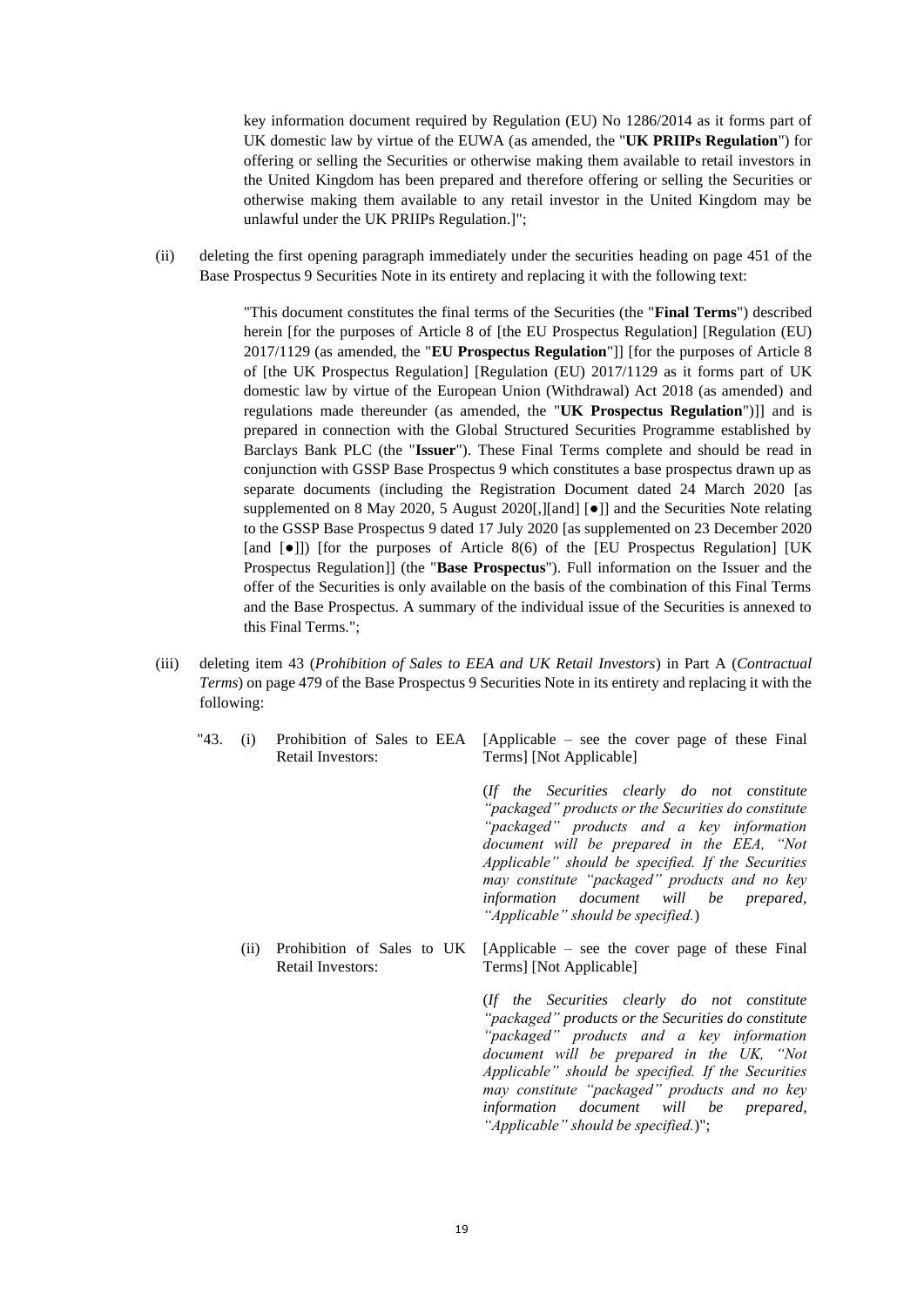key information document required by Regulation (EU) No 1286/2014 as it forms part of UK domestic law by virtue of the EUWA (as amended, the "**UK PRIIPs Regulation**") for offering or selling the Securities or otherwise making them available to retail investors in the United Kingdom has been prepared and therefore offering or selling the Securities or otherwise making them available to any retail investor in the United Kingdom may be unlawful under the UK PRIIPs Regulation.]";

(ii) deleting the first opening paragraph immediately under the securities heading on page 451 of the Base Prospectus 9 Securities Note in its entirety and replacing it with the following text:

> "This document constitutes the final terms of the Securities (the "**Final Terms**") described herein [for the purposes of Article 8 of [the EU Prospectus Regulation] [Regulation (EU) 2017/1129 (as amended, the "**EU Prospectus Regulation**"]] [for the purposes of Article 8 of [the UK Prospectus Regulation] [Regulation (EU) 2017/1129 as it forms part of UK domestic law by virtue of the European Union (Withdrawal) Act 2018 (as amended) and regulations made thereunder (as amended, the "**UK Prospectus Regulation**")]] and is prepared in connection with the Global Structured Securities Programme established by Barclays Bank PLC (the "**Issuer**"). These Final Terms complete and should be read in conjunction with GSSP Base Prospectus 9 which constitutes a base prospectus drawn up as separate documents (including the Registration Document dated 24 March 2020 [as supplemented on 8 May 2020, 5 August 2020[,][and] [●]] and the Securities Note relating to the GSSP Base Prospectus 9 dated 17 July 2020 [as supplemented on 23 December 2020 [and [●]]) [for the purposes of Article 8(6) of the [EU Prospectus Regulation] [UK Prospectus Regulation]] (the "**Base Prospectus**"). Full information on the Issuer and the offer of the Securities is only available on the basis of the combination of this Final Terms and the Base Prospectus. A summary of the individual issue of the Securities is annexed to this Final Terms.";

- (iii) deleting item 43 (*Prohibition of Sales to EEA and UK Retail Investors*) in Part A (*Contractual Terms*) on page 479 of the Base Prospectus 9 Securities Note in its entirety and replacing it with the following:
	- "43. (i) Prohibition of Sales to EEA Retail Investors:
- [Applicable see the cover page of these Final Terms] [Not Applicable]

(*If the Securities clearly do not constitute "packaged" products or the Securities do constitute "packaged" products and a key information document will be prepared in the EEA, "Not Applicable" should be specified. If the Securities may constitute "packaged" products and no key information document will be prepared, "Applicable" should be specified.*)

(ii) Prohibition of Sales to UK Retail Investors: [Applicable – see the cover page of these Final Terms] [Not Applicable]

> (*If the Securities clearly do not constitute "packaged" products or the Securities do constitute "packaged" products and a key information document will be prepared in the UK, "Not Applicable" should be specified. If the Securities may constitute "packaged" products and no key information document will be prepared, "Applicable" should be specified.*)";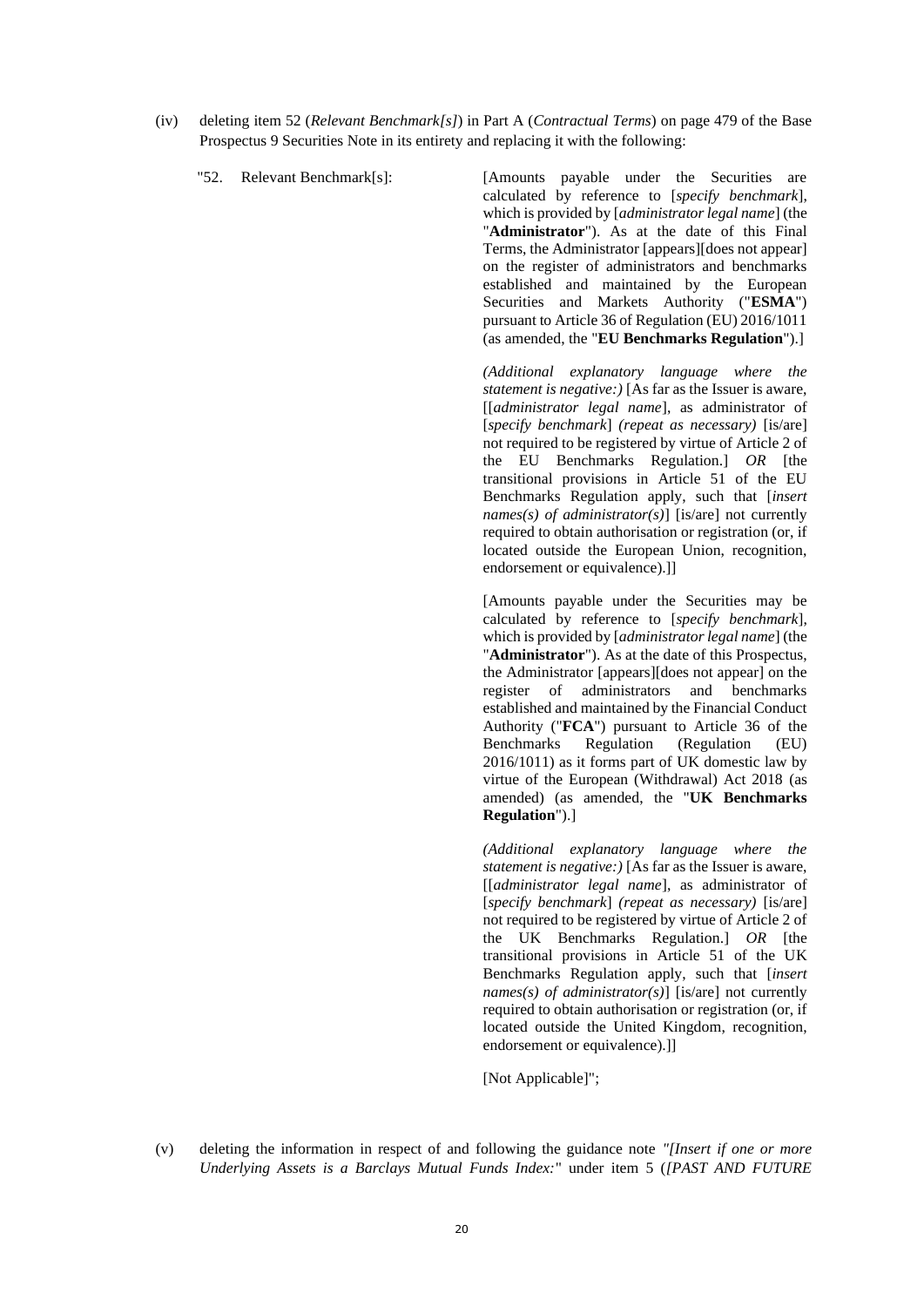(iv) deleting item 52 (*Relevant Benchmark[s]*) in Part A (*Contractual Terms*) on page 479 of the Base Prospectus 9 Securities Note in its entirety and replacing it with the following:

"52. Relevant Benchmark[s]: [Amounts payable under the Securities are calculated by reference to [*specify benchmark*], which is provided by [*administrator legal name*] (the "**Administrator**"). As at the date of this Final Terms, the Administrator [appears][does not appear] on the register of administrators and benchmarks established and maintained by the European Securities and Markets Authority ("**ESMA**") pursuant to Article 36 of Regulation (EU) 2016/1011 (as amended, the "**EU Benchmarks Regulation**").]

> *(Additional explanatory language where the statement is negative:)* [As far as the Issuer is aware, [[*administrator legal name*], as administrator of [*specify benchmark*] *(repeat as necessary)* [is/are] not required to be registered by virtue of Article 2 of the EU Benchmarks Regulation.] *OR* [the transitional provisions in Article 51 of the EU Benchmarks Regulation apply, such that [*insert names(s) of administrator(s)*] [is/are] not currently required to obtain authorisation or registration (or, if located outside the European Union, recognition, endorsement or equivalence).]]

> [Amounts payable under the Securities may be calculated by reference to [*specify benchmark*], which is provided by [*administrator legal name*] (the "**Administrator**"). As at the date of this Prospectus, the Administrator [appears][does not appear] on the register of administrators and benchmarks established and maintained by the Financial Conduct Authority ("**FCA**") pursuant to Article 36 of the Benchmarks Regulation (Regulation (EU) 2016/1011) as it forms part of UK domestic law by virtue of the European (Withdrawal) Act 2018 (as amended) (as amended, the "**UK Benchmarks Regulation**").]

> *(Additional explanatory language where the statement is negative:)* [As far as the Issuer is aware, [[*administrator legal name*], as administrator of [*specify benchmark*] *(repeat as necessary)* [is/are] not required to be registered by virtue of Article 2 of the UK Benchmarks Regulation.] *OR* [the transitional provisions in Article 51 of the UK Benchmarks Regulation apply, such that [*insert names(s) of administrator(s)*] [is/are] not currently required to obtain authorisation or registration (or, if located outside the United Kingdom, recognition, endorsement or equivalence).]]

[Not Applicable]";

(v) deleting the information in respect of and following the guidance note *"[Insert if one or more Underlying Assets is a Barclays Mutual Funds Index:*" under item 5 (*[PAST AND FUTURE*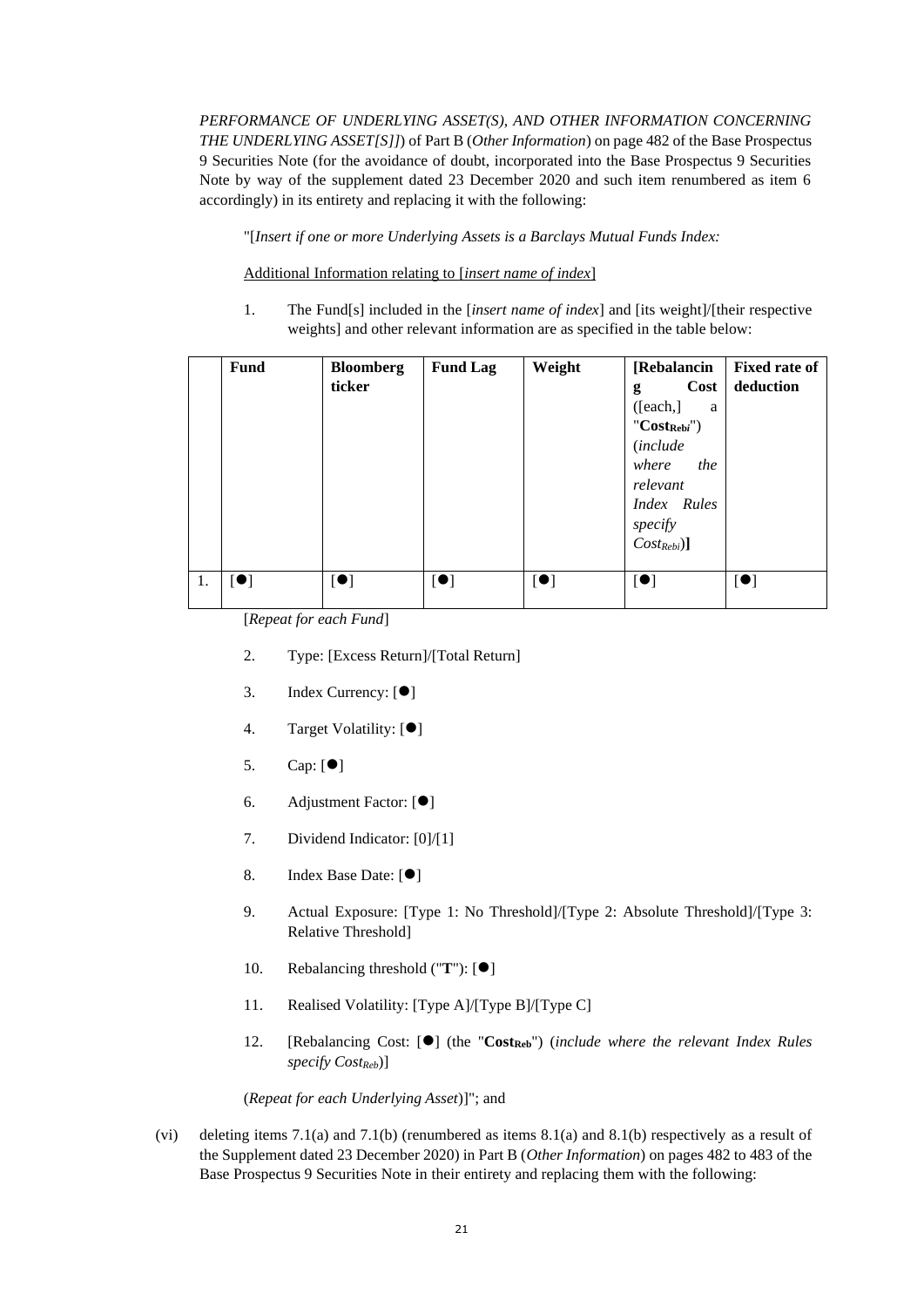*PERFORMANCE OF UNDERLYING ASSET(S), AND OTHER INFORMATION CONCERNING THE UNDERLYING ASSET[S]]*) of Part B (*Other Information*) on page 482 of the Base Prospectus 9 Securities Note (for the avoidance of doubt, incorporated into the Base Prospectus 9 Securities Note by way of the supplement dated 23 December 2020 and such item renumbered as item 6 accordingly) in its entirety and replacing it with the following:

"[*Insert if one or more Underlying Assets is a Barclays Mutual Funds Index:*

Additional Information relating to [*insert name of index*]

1. The Fund[s] included in the [*insert name of index*] and [its weight]/[their respective weights] and other relevant information are as specified in the table below:

|    | <b>Fund</b> | <b>Bloomberg</b><br>ticker | <b>Fund Lag</b>          | Weight                   | [Rebalancin<br>Cost<br>g<br>[each.]<br>a<br>$"Cost_{Rebi}"$<br><i>(include)</i><br>where the<br>relevant<br>Index Rules<br>specify<br>$Cost_{Rebi}$ ] | <b>Fixed rate of</b><br>deduction |
|----|-------------|----------------------------|--------------------------|--------------------------|-------------------------------------------------------------------------------------------------------------------------------------------------------|-----------------------------------|
| 1. | [•]         | $\lbrack \bullet \rbrack$  | $\left[ \bullet \right]$ | $\left[ \bullet \right]$ | [•]                                                                                                                                                   | $\left[ \bullet \right]$          |

[*Repeat for each Fund*]

- 2. Type: [Excess Return]/[Total Return]
- 3. Index Currency: [●]
- 4. Target Volatility: [ $\bullet$ ]
- 5. Cap: [⚫]
- 6. Adjustment Factor: [⚫]
- 7. Dividend Indicator: [0]/[1]
- 8. Index Base Date: [ $\bullet$ ]
- 9. Actual Exposure: [Type 1: No Threshold]/[Type 2: Absolute Threshold]/[Type 3: Relative Threshold]
- 10. Rebalancing threshold ("**T**"): [ $\bullet$ ]
- 11. Realised Volatility: [Type A]/[Type B]/[Type C]
- 12. [Rebalancing Cost: [⚫] (the "**CostReb**") (*include where the relevant Index Rules specify CostReb*)]

(*Repeat for each Underlying Asset*)]"; and

(vi) deleting items 7.1(a) and 7.1(b) (renumbered as items 8.1(a) and 8.1(b) respectively as a result of the Supplement dated 23 December 2020) in Part B (*Other Information*) on pages 482 to 483 of the Base Prospectus 9 Securities Note in their entirety and replacing them with the following: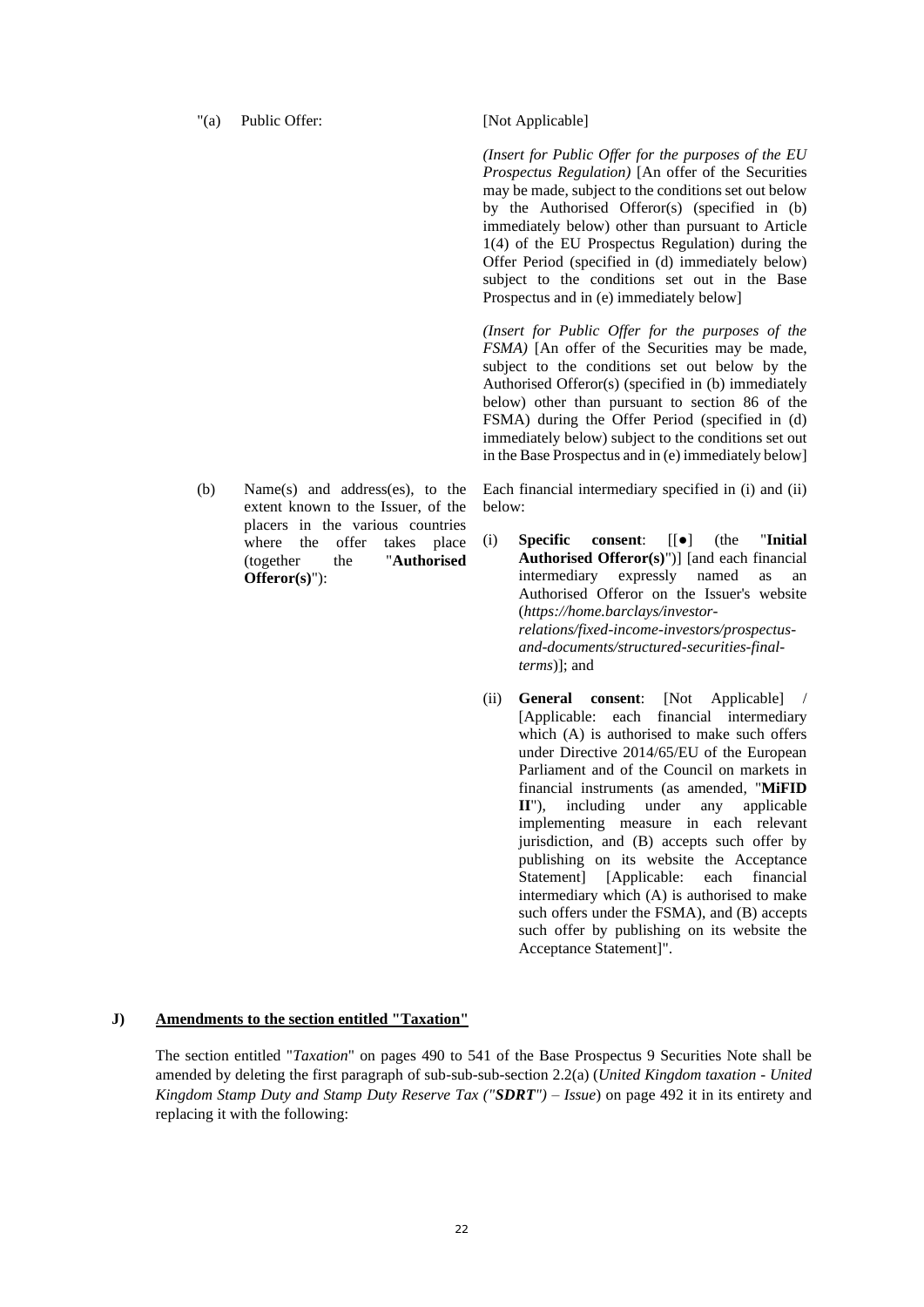#### "(a) Public Offer: [Not Applicable]

(b) Name(s) and address(es), to the extent known to the Issuer, of the placers in the various countries where the offer takes place (together the "**Authorised Offeror(s)**"):

*(Insert for Public Offer for the purposes of the EU Prospectus Regulation)* [An offer of the Securities may be made, subject to the conditions set out below by the Authorised Offeror(s) (specified in (b) immediately below) other than pursuant to Article 1(4) of the EU Prospectus Regulation) during the Offer Period (specified in (d) immediately below) subject to the conditions set out in the Base Prospectus and in (e) immediately below]

*(Insert for Public Offer for the purposes of the FSMA)* [An offer of the Securities may be made, subject to the conditions set out below by the Authorised Offeror(s) (specified in (b) immediately below) other than pursuant to section 86 of the FSMA) during the Offer Period (specified in (d) immediately below) subject to the conditions set out in the Base Prospectus and in (e) immediately below]

Each financial intermediary specified in (i) and (ii) below:

- (i) **Specific consent**: [[●] (the "**Initial Authorised Offeror(s)**")] [and each financial intermediary expressly named as an Authorised Offeror on the Issuer's website (*https://home.barclays/investorrelations/fixed-income-investors/prospectusand-documents/structured-securities-finalterms*)]; and
- (ii) **General consent**: [Not Applicable] / [Applicable: each financial intermediary which (A) is authorised to make such offers under Directive 2014/65/EU of the European Parliament and of the Council on markets in financial instruments (as amended, "**MiFID II**"), including under any applicable implementing measure in each relevant jurisdiction, and (B) accepts such offer by publishing on its website the Acceptance Statement] [Applicable: each financial intermediary which (A) is authorised to make such offers under the FSMA), and (B) accepts such offer by publishing on its website the Acceptance Statement]".

#### **J) Amendments to the section entitled "Taxation"**

The section entitled "*Taxation*" on pages 490 to 541 of the Base Prospectus 9 Securities Note shall be amended by deleting the first paragraph of sub-sub-sub-section 2.2(a) (*United Kingdom taxation - United Kingdom Stamp Duty and Stamp Duty Reserve Tax ("SDRT") – Issue*) on page 492 it in its entirety and replacing it with the following: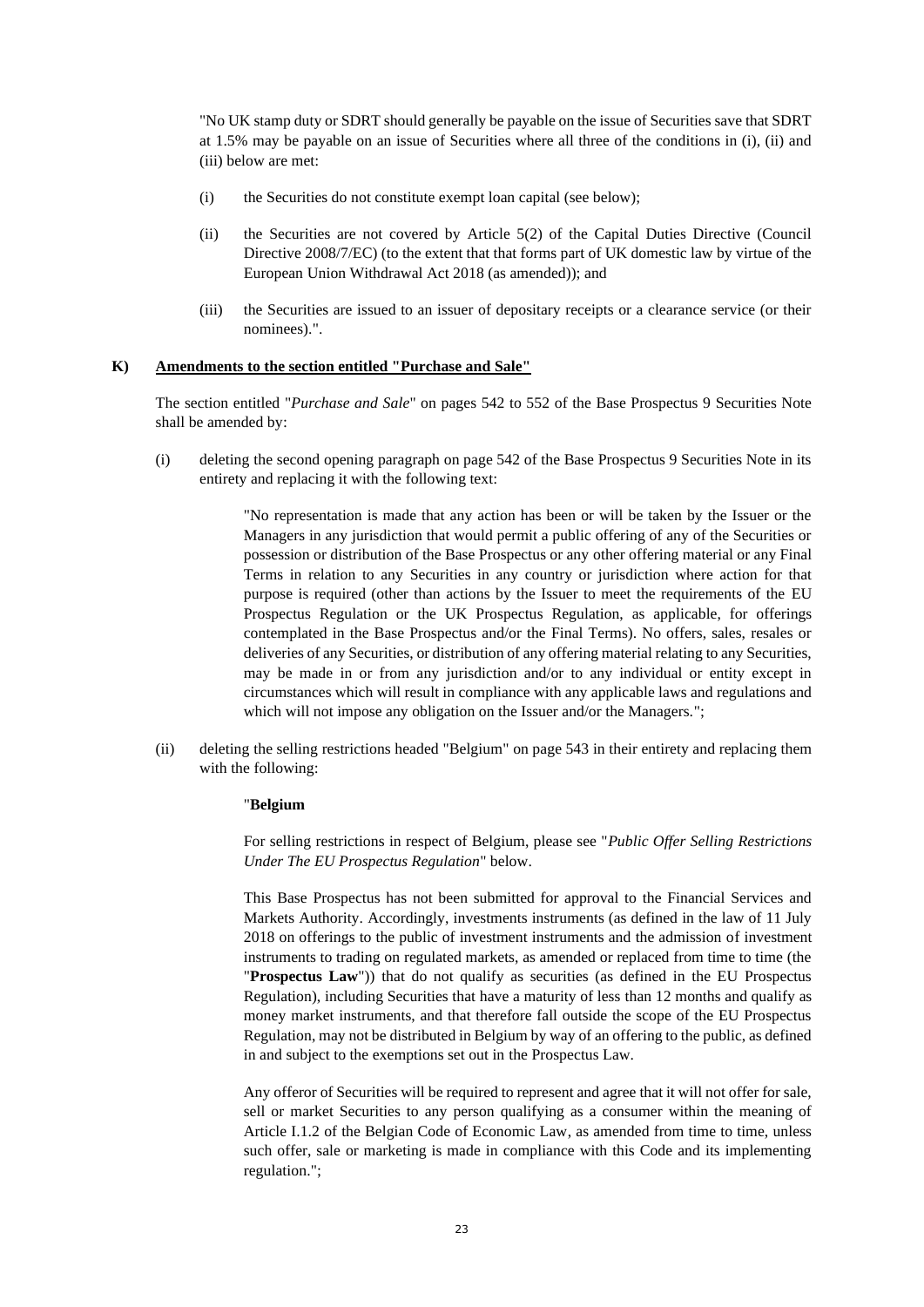"No UK stamp duty or SDRT should generally be payable on the issue of Securities save that SDRT at 1.5% may be payable on an issue of Securities where all three of the conditions in (i), (ii) and (iii) below are met:

- (i) the Securities do not constitute exempt loan capital (see below);
- (ii) the Securities are not covered by Article 5(2) of the Capital Duties Directive (Council Directive 2008/7/EC) (to the extent that that forms part of UK domestic law by virtue of the European Union Withdrawal Act 2018 (as amended)); and
- (iii) the Securities are issued to an issuer of depositary receipts or a clearance service (or their nominees).".

## **K) Amendments to the section entitled "Purchase and Sale"**

The section entitled "*Purchase and Sale*" on pages 542 to 552 of the Base Prospectus 9 Securities Note shall be amended by:

(i) deleting the second opening paragraph on page 542 of the Base Prospectus 9 Securities Note in its entirety and replacing it with the following text:

> "No representation is made that any action has been or will be taken by the Issuer or the Managers in any jurisdiction that would permit a public offering of any of the Securities or possession or distribution of the Base Prospectus or any other offering material or any Final Terms in relation to any Securities in any country or jurisdiction where action for that purpose is required (other than actions by the Issuer to meet the requirements of the EU Prospectus Regulation or the UK Prospectus Regulation, as applicable, for offerings contemplated in the Base Prospectus and/or the Final Terms). No offers, sales, resales or deliveries of any Securities, or distribution of any offering material relating to any Securities, may be made in or from any jurisdiction and/or to any individual or entity except in circumstances which will result in compliance with any applicable laws and regulations and which will not impose any obligation on the Issuer and/or the Managers.";

(ii) deleting the selling restrictions headed "Belgium" on page 543 in their entirety and replacing them with the following:

## "**Belgium**

For selling restrictions in respect of Belgium, please see "*Public Offer Selling Restrictions Under The EU Prospectus Regulation*" below.

This Base Prospectus has not been submitted for approval to the Financial Services and Markets Authority. Accordingly, investments instruments (as defined in the law of 11 July 2018 on offerings to the public of investment instruments and the admission of investment instruments to trading on regulated markets, as amended or replaced from time to time (the "**Prospectus Law**")) that do not qualify as securities (as defined in the EU Prospectus Regulation), including Securities that have a maturity of less than 12 months and qualify as money market instruments, and that therefore fall outside the scope of the EU Prospectus Regulation, may not be distributed in Belgium by way of an offering to the public, as defined in and subject to the exemptions set out in the Prospectus Law.

Any offeror of Securities will be required to represent and agree that it will not offer for sale, sell or market Securities to any person qualifying as a consumer within the meaning of Article I.1.2 of the Belgian Code of Economic Law, as amended from time to time, unless such offer, sale or marketing is made in compliance with this Code and its implementing regulation.";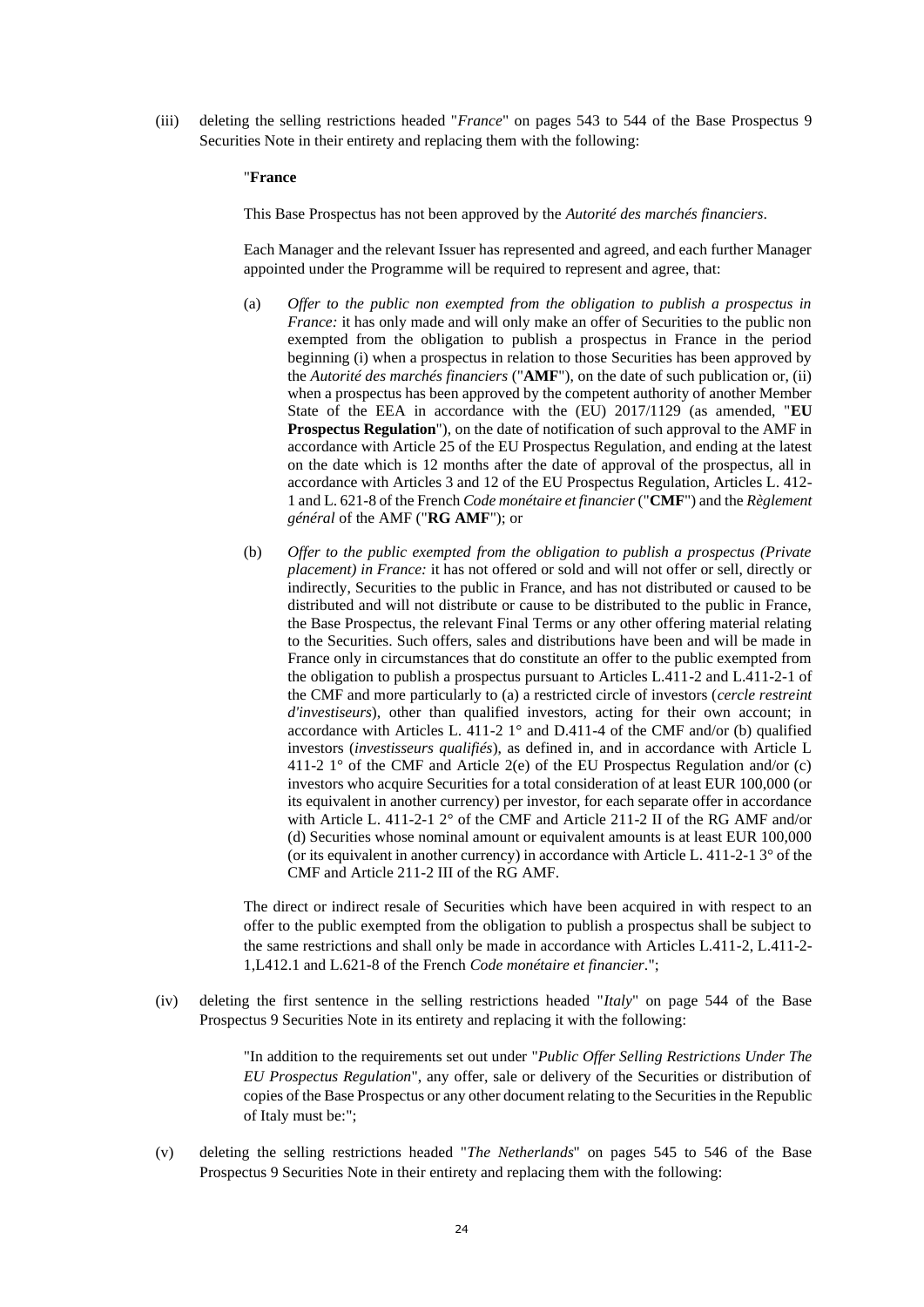(iii) deleting the selling restrictions headed "*France*" on pages 543 to 544 of the Base Prospectus 9 Securities Note in their entirety and replacing them with the following:

### "**France**

This Base Prospectus has not been approved by the *Autorité des marchés financiers*.

Each Manager and the relevant Issuer has represented and agreed, and each further Manager appointed under the Programme will be required to represent and agree, that:

- (a) *Offer to the public non exempted from the obligation to publish a prospectus in France:* it has only made and will only make an offer of Securities to the public non exempted from the obligation to publish a prospectus in France in the period beginning (i) when a prospectus in relation to those Securities has been approved by the *Autorité des marchés financiers* ("**AMF**"), on the date of such publication or, (ii) when a prospectus has been approved by the competent authority of another Member State of the EEA in accordance with the (EU) 2017/1129 (as amended, "**EU Prospectus Regulation**"), on the date of notification of such approval to the AMF in accordance with Article 25 of the EU Prospectus Regulation, and ending at the latest on the date which is 12 months after the date of approval of the prospectus, all in accordance with Articles 3 and 12 of the EU Prospectus Regulation, Articles L. 412- 1 and L. 621-8 of the French *Code monétaire et financier* ("**CMF**") and the *Règlement général* of the AMF ("**RG AMF**"); or
- (b) *Offer to the public exempted from the obligation to publish a prospectus (Private placement) in France:* it has not offered or sold and will not offer or sell, directly or indirectly, Securities to the public in France, and has not distributed or caused to be distributed and will not distribute or cause to be distributed to the public in France, the Base Prospectus, the relevant Final Terms or any other offering material relating to the Securities. Such offers, sales and distributions have been and will be made in France only in circumstances that do constitute an offer to the public exempted from the obligation to publish a prospectus pursuant to Articles L.411-2 and L.411-2-1 of the CMF and more particularly to (a) a restricted circle of investors (*cercle restreint d'investiseurs*), other than qualified investors, acting for their own account; in accordance with Articles L. 411-2  $1^{\circ}$  and D.411-4 of the CMF and/or (b) qualified investors (*investisseurs qualifiés*), as defined in, and in accordance with Article L 411-2 1° of the CMF and Article 2(e) of the EU Prospectus Regulation and/or (c) investors who acquire Securities for a total consideration of at least EUR 100,000 (or its equivalent in another currency) per investor, for each separate offer in accordance with Article L. 411-2-1 2° of the CMF and Article 211-2 II of the RG AMF and/or (d) Securities whose nominal amount or equivalent amounts is at least EUR 100,000 (or its equivalent in another currency) in accordance with Article L. 411-2-1 3° of the CMF and Article 211-2 III of the RG AMF.

The direct or indirect resale of Securities which have been acquired in with respect to an offer to the public exempted from the obligation to publish a prospectus shall be subject to the same restrictions and shall only be made in accordance with Articles L.411-2, L.411-2- 1,L412.1 and L.621-8 of the French *Code monétaire et financier*.";

(iv) deleting the first sentence in the selling restrictions headed "*Italy*" on page 544 of the Base Prospectus 9 Securities Note in its entirety and replacing it with the following:

> "In addition to the requirements set out under "*Public Offer Selling Restrictions Under The EU Prospectus Regulation*", any offer, sale or delivery of the Securities or distribution of copies of the Base Prospectus or any other document relating to the Securities in the Republic of Italy must be:";

(v) deleting the selling restrictions headed "*The Netherlands*" on pages 545 to 546 of the Base Prospectus 9 Securities Note in their entirety and replacing them with the following: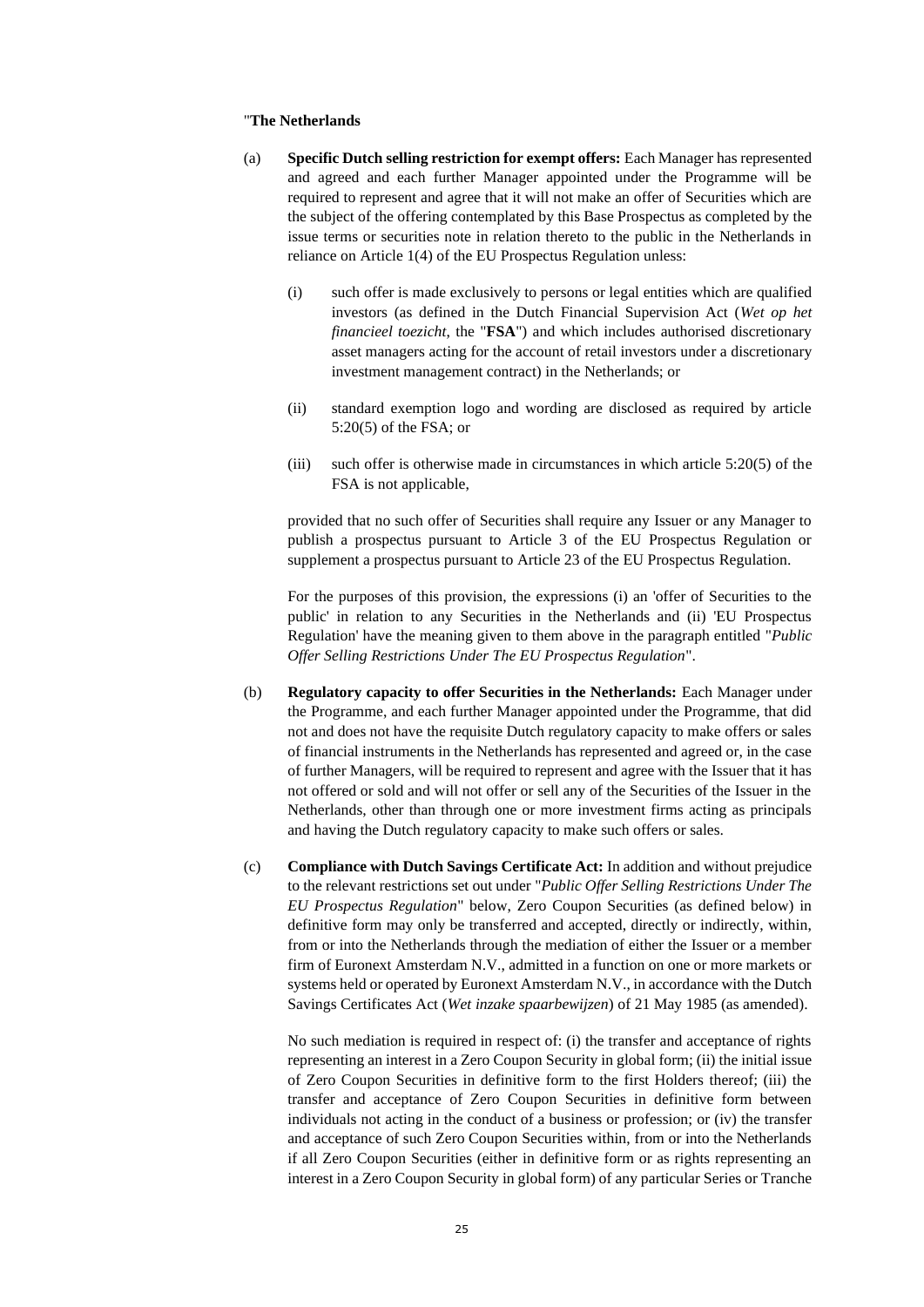#### "**The Netherlands**

- (a) **Specific Dutch selling restriction for exempt offers:** Each Manager has represented and agreed and each further Manager appointed under the Programme will be required to represent and agree that it will not make an offer of Securities which are the subject of the offering contemplated by this Base Prospectus as completed by the issue terms or securities note in relation thereto to the public in the Netherlands in reliance on Article 1(4) of the EU Prospectus Regulation unless:
	- (i) such offer is made exclusively to persons or legal entities which are qualified investors (as defined in the Dutch Financial Supervision Act (*Wet op het financieel toezicht*, the "**FSA**") and which includes authorised discretionary asset managers acting for the account of retail investors under a discretionary investment management contract) in the Netherlands; or
	- (ii) standard exemption logo and wording are disclosed as required by article 5:20(5) of the FSA; or
	- (iii) such offer is otherwise made in circumstances in which article 5:20(5) of the FSA is not applicable,

provided that no such offer of Securities shall require any Issuer or any Manager to publish a prospectus pursuant to Article 3 of the EU Prospectus Regulation or supplement a prospectus pursuant to Article 23 of the EU Prospectus Regulation.

For the purposes of this provision, the expressions (i) an 'offer of Securities to the public' in relation to any Securities in the Netherlands and (ii) 'EU Prospectus Regulation' have the meaning given to them above in the paragraph entitled "*Public Offer Selling Restrictions Under The EU Prospectus Regulation*".

- (b) **Regulatory capacity to offer Securities in the Netherlands:** Each Manager under the Programme, and each further Manager appointed under the Programme, that did not and does not have the requisite Dutch regulatory capacity to make offers or sales of financial instruments in the Netherlands has represented and agreed or, in the case of further Managers, will be required to represent and agree with the Issuer that it has not offered or sold and will not offer or sell any of the Securities of the Issuer in the Netherlands, other than through one or more investment firms acting as principals and having the Dutch regulatory capacity to make such offers or sales.
- (c) **Compliance with Dutch Savings Certificate Act:** In addition and without prejudice to the relevant restrictions set out under "*Public Offer Selling Restrictions Under The EU Prospectus Regulation*" below, Zero Coupon Securities (as defined below) in definitive form may only be transferred and accepted, directly or indirectly, within, from or into the Netherlands through the mediation of either the Issuer or a member firm of Euronext Amsterdam N.V., admitted in a function on one or more markets or systems held or operated by Euronext Amsterdam N.V., in accordance with the Dutch Savings Certificates Act (*Wet inzake spaarbewijzen*) of 21 May 1985 (as amended).

No such mediation is required in respect of: (i) the transfer and acceptance of rights representing an interest in a Zero Coupon Security in global form; (ii) the initial issue of Zero Coupon Securities in definitive form to the first Holders thereof; (iii) the transfer and acceptance of Zero Coupon Securities in definitive form between individuals not acting in the conduct of a business or profession; or (iv) the transfer and acceptance of such Zero Coupon Securities within, from or into the Netherlands if all Zero Coupon Securities (either in definitive form or as rights representing an interest in a Zero Coupon Security in global form) of any particular Series or Tranche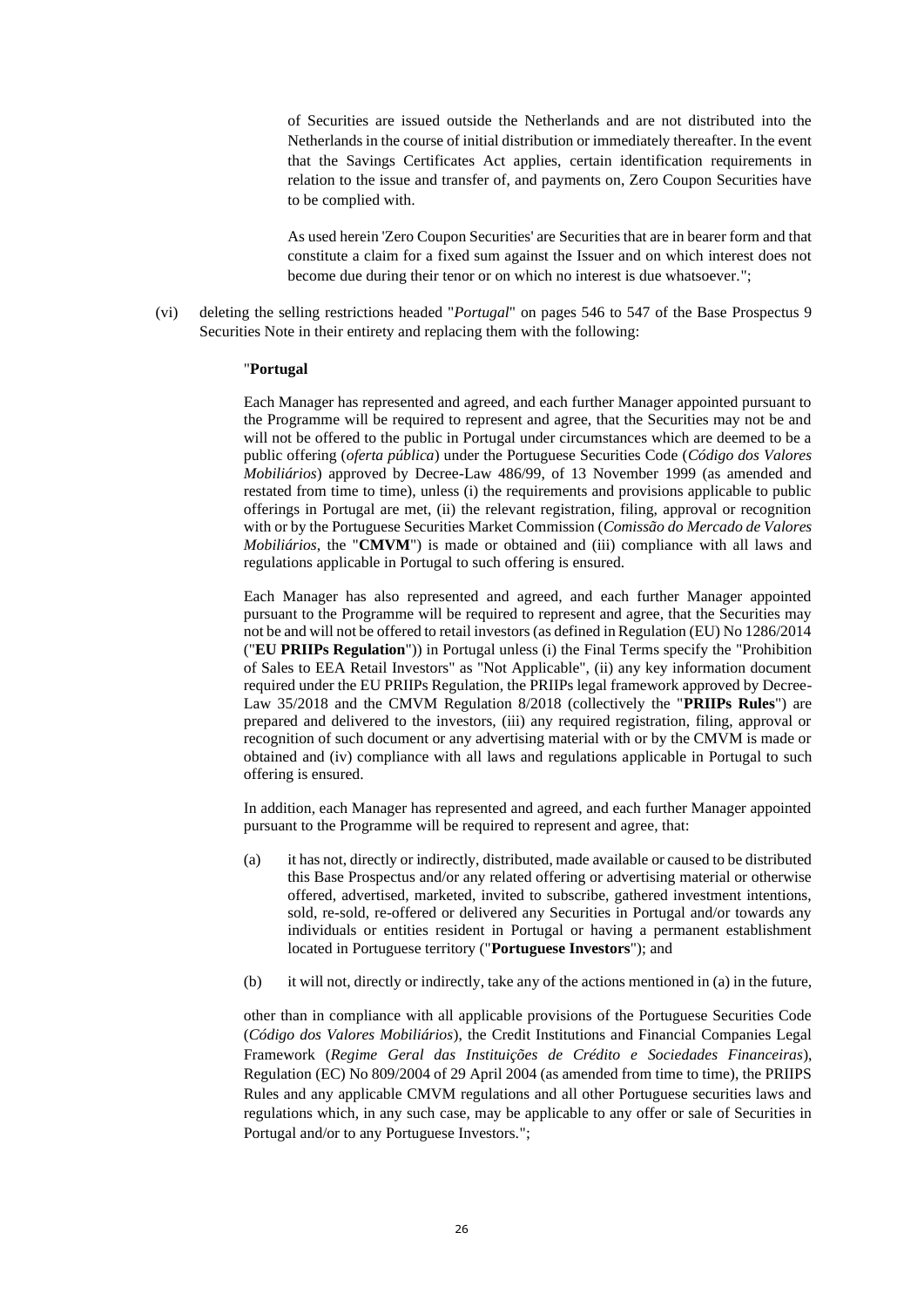of Securities are issued outside the Netherlands and are not distributed into the Netherlands in the course of initial distribution or immediately thereafter. In the event that the Savings Certificates Act applies, certain identification requirements in relation to the issue and transfer of, and payments on, Zero Coupon Securities have to be complied with.

As used herein 'Zero Coupon Securities' are Securities that are in bearer form and that constitute a claim for a fixed sum against the Issuer and on which interest does not become due during their tenor or on which no interest is due whatsoever.";

(vi) deleting the selling restrictions headed "*Portugal*" on pages 546 to 547 of the Base Prospectus 9 Securities Note in their entirety and replacing them with the following:

#### "**Portugal**

Each Manager has represented and agreed, and each further Manager appointed pursuant to the Programme will be required to represent and agree, that the Securities may not be and will not be offered to the public in Portugal under circumstances which are deemed to be a public offering (*oferta pública*) under the Portuguese Securities Code (*Código dos Valores Mobiliários*) approved by Decree-Law 486/99, of 13 November 1999 (as amended and restated from time to time), unless (i) the requirements and provisions applicable to public offerings in Portugal are met, (ii) the relevant registration, filing, approval or recognition with or by the Portuguese Securities Market Commission (*Comissão do Mercado de Valores Mobiliários*, the "**CMVM**") is made or obtained and (iii) compliance with all laws and regulations applicable in Portugal to such offering is ensured.

Each Manager has also represented and agreed, and each further Manager appointed pursuant to the Programme will be required to represent and agree, that the Securities may not be and will not be offered to retail investors (as defined in Regulation (EU) No 1286/2014 ("**EU PRIIPs Regulation**")) in Portugal unless (i) the Final Terms specify the "Prohibition of Sales to EEA Retail Investors" as "Not Applicable", (ii) any key information document required under the EU PRIIPs Regulation, the PRIIPs legal framework approved by Decree-Law 35/2018 and the CMVM Regulation 8/2018 (collectively the "**PRIIPs Rules**") are prepared and delivered to the investors, (iii) any required registration, filing, approval or recognition of such document or any advertising material with or by the CMVM is made or obtained and (iv) compliance with all laws and regulations applicable in Portugal to such offering is ensured.

In addition, each Manager has represented and agreed, and each further Manager appointed pursuant to the Programme will be required to represent and agree, that:

- (a) it has not, directly or indirectly, distributed, made available or caused to be distributed this Base Prospectus and/or any related offering or advertising material or otherwise offered, advertised, marketed, invited to subscribe, gathered investment intentions, sold, re-sold, re-offered or delivered any Securities in Portugal and/or towards any individuals or entities resident in Portugal or having a permanent establishment located in Portuguese territory ("**Portuguese Investors**"); and
- (b) it will not, directly or indirectly, take any of the actions mentioned in (a) in the future,

other than in compliance with all applicable provisions of the Portuguese Securities Code (*Código dos Valores Mobiliários*), the Credit Institutions and Financial Companies Legal Framework (*Regime Geral das Instituições de Crédito e Sociedades Financeiras*), Regulation (EC) No 809/2004 of 29 April 2004 (as amended from time to time), the PRIIPS Rules and any applicable CMVM regulations and all other Portuguese securities laws and regulations which, in any such case, may be applicable to any offer or sale of Securities in Portugal and/or to any Portuguese Investors.";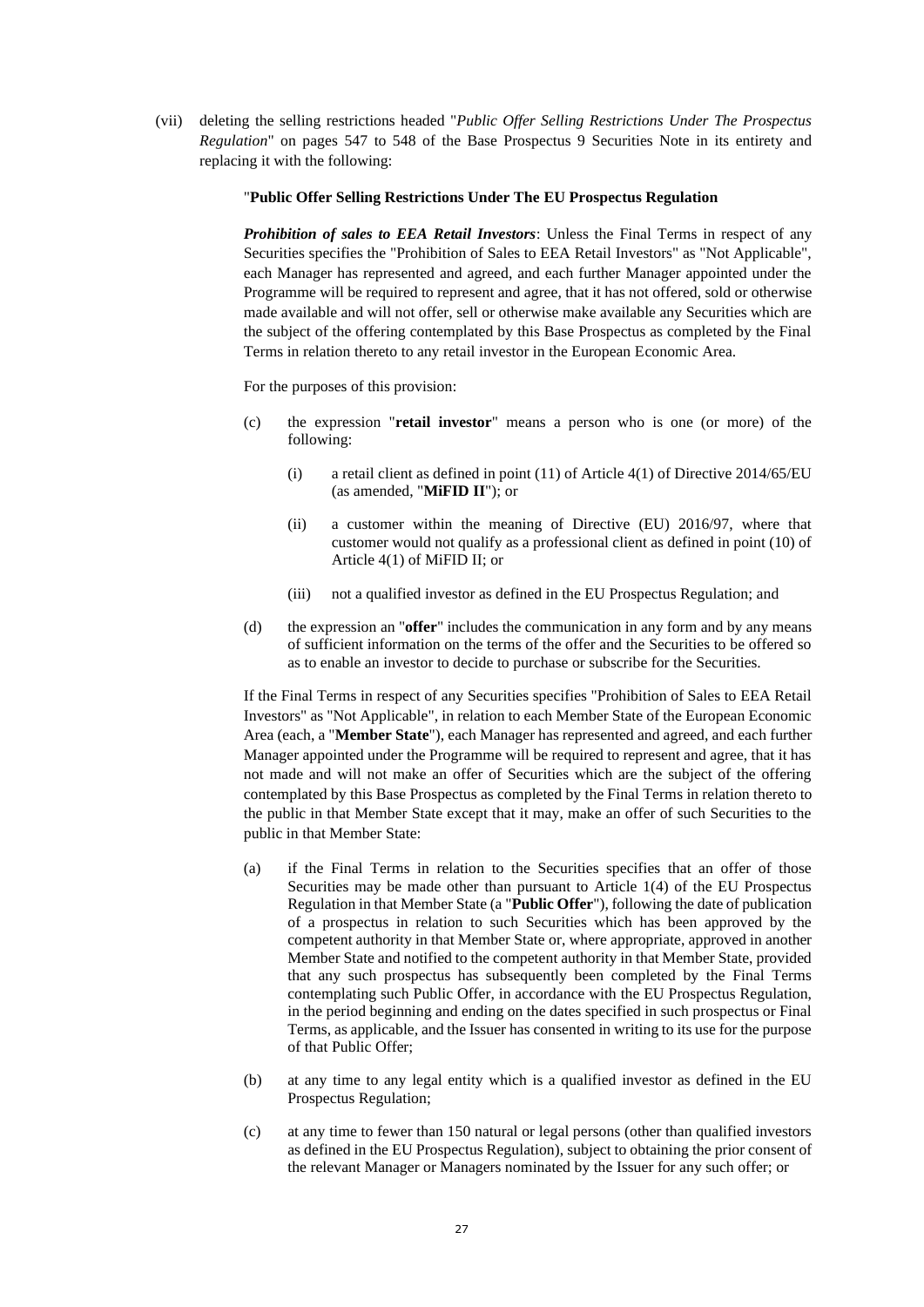(vii) deleting the selling restrictions headed "*Public Offer Selling Restrictions Under The Prospectus Regulation*" on pages 547 to 548 of the Base Prospectus 9 Securities Note in its entirety and replacing it with the following:

### "**Public Offer Selling Restrictions Under The EU Prospectus Regulation**

*Prohibition of sales to EEA Retail Investors*: Unless the Final Terms in respect of any Securities specifies the "Prohibition of Sales to EEA Retail Investors" as "Not Applicable", each Manager has represented and agreed, and each further Manager appointed under the Programme will be required to represent and agree, that it has not offered, sold or otherwise made available and will not offer, sell or otherwise make available any Securities which are the subject of the offering contemplated by this Base Prospectus as completed by the Final Terms in relation thereto to any retail investor in the European Economic Area.

For the purposes of this provision:

- (c) the expression "**retail investor**" means a person who is one (or more) of the following:
	- (i) a retail client as defined in point (11) of Article 4(1) of Directive 2014/65/EU (as amended, "**MiFID II**"); or
	- (ii) a customer within the meaning of Directive (EU) 2016/97, where that customer would not qualify as a professional client as defined in point (10) of Article 4(1) of MiFID II; or
	- (iii) not a qualified investor as defined in the EU Prospectus Regulation; and
- (d) the expression an "**offer**" includes the communication in any form and by any means of sufficient information on the terms of the offer and the Securities to be offered so as to enable an investor to decide to purchase or subscribe for the Securities.

If the Final Terms in respect of any Securities specifies "Prohibition of Sales to EEA Retail Investors" as "Not Applicable", in relation to each Member State of the European Economic Area (each, a "**Member State**"), each Manager has represented and agreed, and each further Manager appointed under the Programme will be required to represent and agree, that it has not made and will not make an offer of Securities which are the subject of the offering contemplated by this Base Prospectus as completed by the Final Terms in relation thereto to the public in that Member State except that it may, make an offer of such Securities to the public in that Member State:

- (a) if the Final Terms in relation to the Securities specifies that an offer of those Securities may be made other than pursuant to Article 1(4) of the EU Prospectus Regulation in that Member State (a "**Public Offer**"), following the date of publication of a prospectus in relation to such Securities which has been approved by the competent authority in that Member State or, where appropriate, approved in another Member State and notified to the competent authority in that Member State, provided that any such prospectus has subsequently been completed by the Final Terms contemplating such Public Offer, in accordance with the EU Prospectus Regulation, in the period beginning and ending on the dates specified in such prospectus or Final Terms, as applicable, and the Issuer has consented in writing to its use for the purpose of that Public Offer;
- (b) at any time to any legal entity which is a qualified investor as defined in the EU Prospectus Regulation;
- (c) at any time to fewer than 150 natural or legal persons (other than qualified investors as defined in the EU Prospectus Regulation), subject to obtaining the prior consent of the relevant Manager or Managers nominated by the Issuer for any such offer; or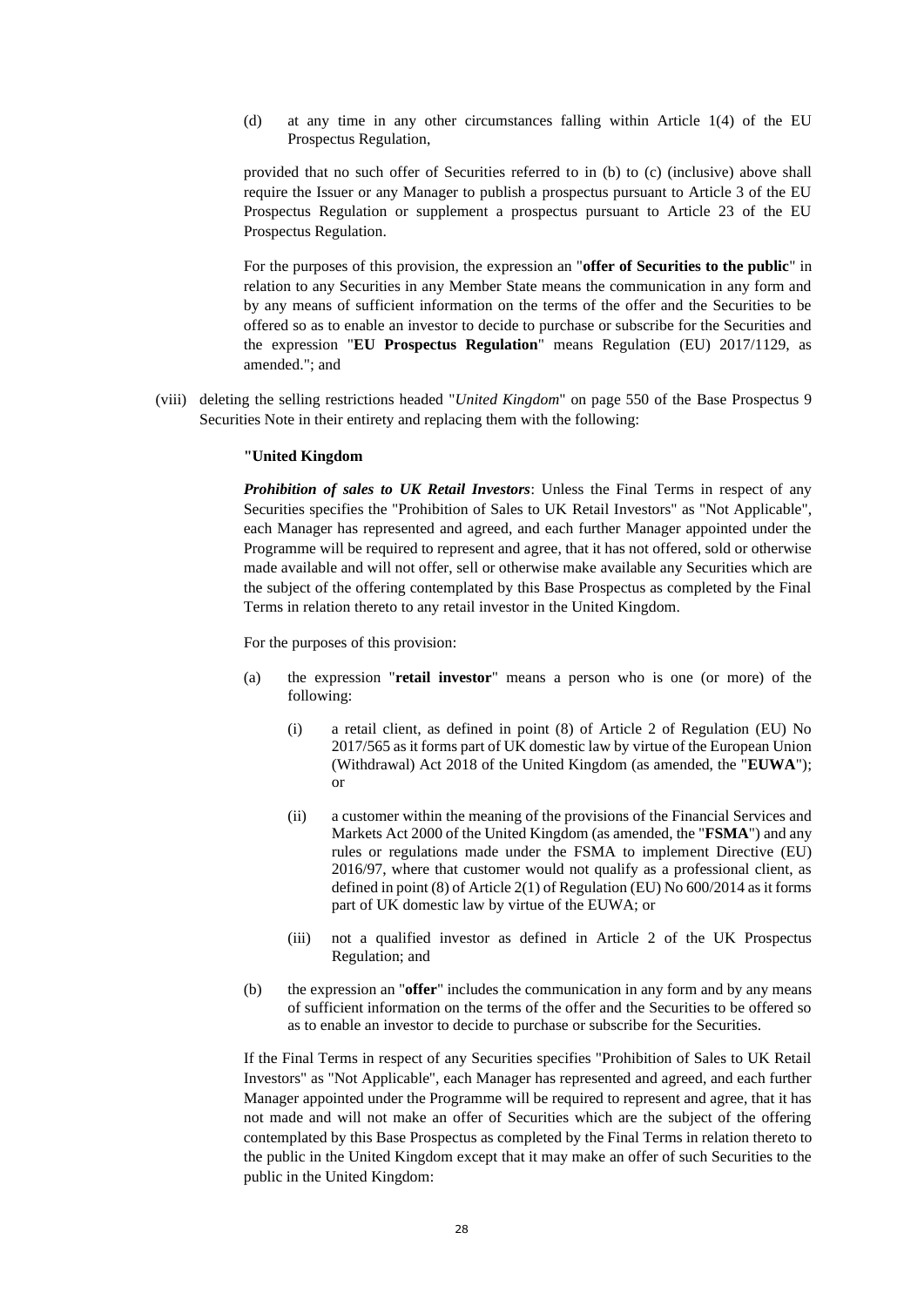(d) at any time in any other circumstances falling within Article 1(4) of the EU Prospectus Regulation,

provided that no such offer of Securities referred to in (b) to (c) (inclusive) above shall require the Issuer or any Manager to publish a prospectus pursuant to Article 3 of the EU Prospectus Regulation or supplement a prospectus pursuant to Article 23 of the EU Prospectus Regulation.

For the purposes of this provision, the expression an "**offer of Securities to the public**" in relation to any Securities in any Member State means the communication in any form and by any means of sufficient information on the terms of the offer and the Securities to be offered so as to enable an investor to decide to purchase or subscribe for the Securities and the expression "**EU Prospectus Regulation**" means Regulation (EU) 2017/1129, as amended."; and

(viii) deleting the selling restrictions headed "*United Kingdom*" on page 550 of the Base Prospectus 9 Securities Note in their entirety and replacing them with the following:

#### **"United Kingdom**

*Prohibition of sales to UK Retail Investors*: Unless the Final Terms in respect of any Securities specifies the "Prohibition of Sales to UK Retail Investors" as "Not Applicable", each Manager has represented and agreed, and each further Manager appointed under the Programme will be required to represent and agree, that it has not offered, sold or otherwise made available and will not offer, sell or otherwise make available any Securities which are the subject of the offering contemplated by this Base Prospectus as completed by the Final Terms in relation thereto to any retail investor in the United Kingdom.

For the purposes of this provision:

- (a) the expression "**retail investor**" means a person who is one (or more) of the following:
	- (i) a retail client, as defined in point (8) of Article 2 of Regulation (EU) No 2017/565 as it forms part of UK domestic law by virtue of the European Union (Withdrawal) Act 2018 of the United Kingdom (as amended, the "**EUWA**"); or
	- (ii) a customer within the meaning of the provisions of the Financial Services and Markets Act 2000 of the United Kingdom (as amended, the "**FSMA**") and any rules or regulations made under the FSMA to implement Directive (EU) 2016/97, where that customer would not qualify as a professional client, as defined in point (8) of Article 2(1) of Regulation (EU) No 600/2014 as it forms part of UK domestic law by virtue of the EUWA; or
	- (iii) not a qualified investor as defined in Article 2 of the UK Prospectus Regulation; and
- (b) the expression an "**offer**" includes the communication in any form and by any means of sufficient information on the terms of the offer and the Securities to be offered so as to enable an investor to decide to purchase or subscribe for the Securities.

If the Final Terms in respect of any Securities specifies "Prohibition of Sales to UK Retail Investors" as "Not Applicable", each Manager has represented and agreed, and each further Manager appointed under the Programme will be required to represent and agree, that it has not made and will not make an offer of Securities which are the subject of the offering contemplated by this Base Prospectus as completed by the Final Terms in relation thereto to the public in the United Kingdom except that it may make an offer of such Securities to the public in the United Kingdom: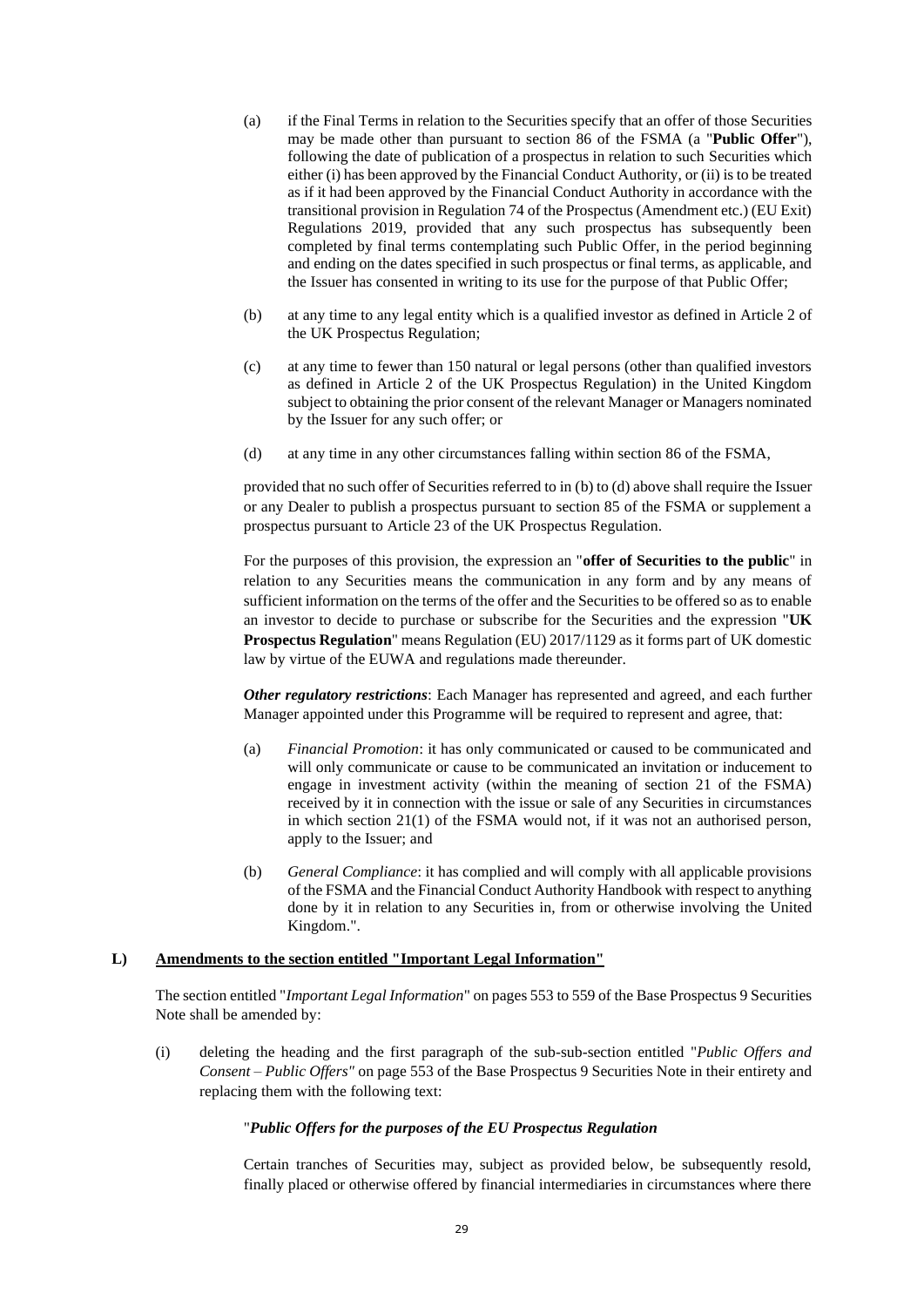- (a) if the Final Terms in relation to the Securities specify that an offer of those Securities may be made other than pursuant to section 86 of the FSMA (a "**Public Offer**"), following the date of publication of a prospectus in relation to such Securities which either (i) has been approved by the Financial Conduct Authority, or (ii) is to be treated as if it had been approved by the Financial Conduct Authority in accordance with the transitional provision in Regulation 74 of the Prospectus (Amendment etc.) (EU Exit) Regulations 2019, provided that any such prospectus has subsequently been completed by final terms contemplating such Public Offer, in the period beginning and ending on the dates specified in such prospectus or final terms, as applicable, and the Issuer has consented in writing to its use for the purpose of that Public Offer;
- (b) at any time to any legal entity which is a qualified investor as defined in Article 2 of the UK Prospectus Regulation;
- (c) at any time to fewer than 150 natural or legal persons (other than qualified investors as defined in Article 2 of the UK Prospectus Regulation) in the United Kingdom subject to obtaining the prior consent of the relevant Manager or Managers nominated by the Issuer for any such offer; or
- (d) at any time in any other circumstances falling within section 86 of the FSMA,

provided that no such offer of Securities referred to in (b) to (d) above shall require the Issuer or any Dealer to publish a prospectus pursuant to section 85 of the FSMA or supplement a prospectus pursuant to Article 23 of the UK Prospectus Regulation.

For the purposes of this provision, the expression an "**offer of Securities to the public**" in relation to any Securities means the communication in any form and by any means of sufficient information on the terms of the offer and the Securities to be offered so as to enable an investor to decide to purchase or subscribe for the Securities and the expression "**UK Prospectus Regulation**" means Regulation (EU) 2017/1129 as it forms part of UK domestic law by virtue of the EUWA and regulations made thereunder.

*Other regulatory restrictions*: Each Manager has represented and agreed, and each further Manager appointed under this Programme will be required to represent and agree, that:

- (a) *Financial Promotion*: it has only communicated or caused to be communicated and will only communicate or cause to be communicated an invitation or inducement to engage in investment activity (within the meaning of section 21 of the FSMA) received by it in connection with the issue or sale of any Securities in circumstances in which section 21(1) of the FSMA would not, if it was not an authorised person, apply to the Issuer; and
- (b) *General Compliance*: it has complied and will comply with all applicable provisions of the FSMA and the Financial Conduct Authority Handbook with respect to anything done by it in relation to any Securities in, from or otherwise involving the United Kingdom.".

# **L) Amendments to the section entitled "Important Legal Information"**

The section entitled "*Important Legal Information*" on pages 553 to 559 of the Base Prospectus 9 Securities Note shall be amended by:

(i) deleting the heading and the first paragraph of the sub-sub-section entitled "*Public Offers and Consent – Public Offers"* on page 553 of the Base Prospectus 9 Securities Note in their entirety and replacing them with the following text:

# "*Public Offers for the purposes of the EU Prospectus Regulation*

Certain tranches of Securities may, subject as provided below, be subsequently resold, finally placed or otherwise offered by financial intermediaries in circumstances where there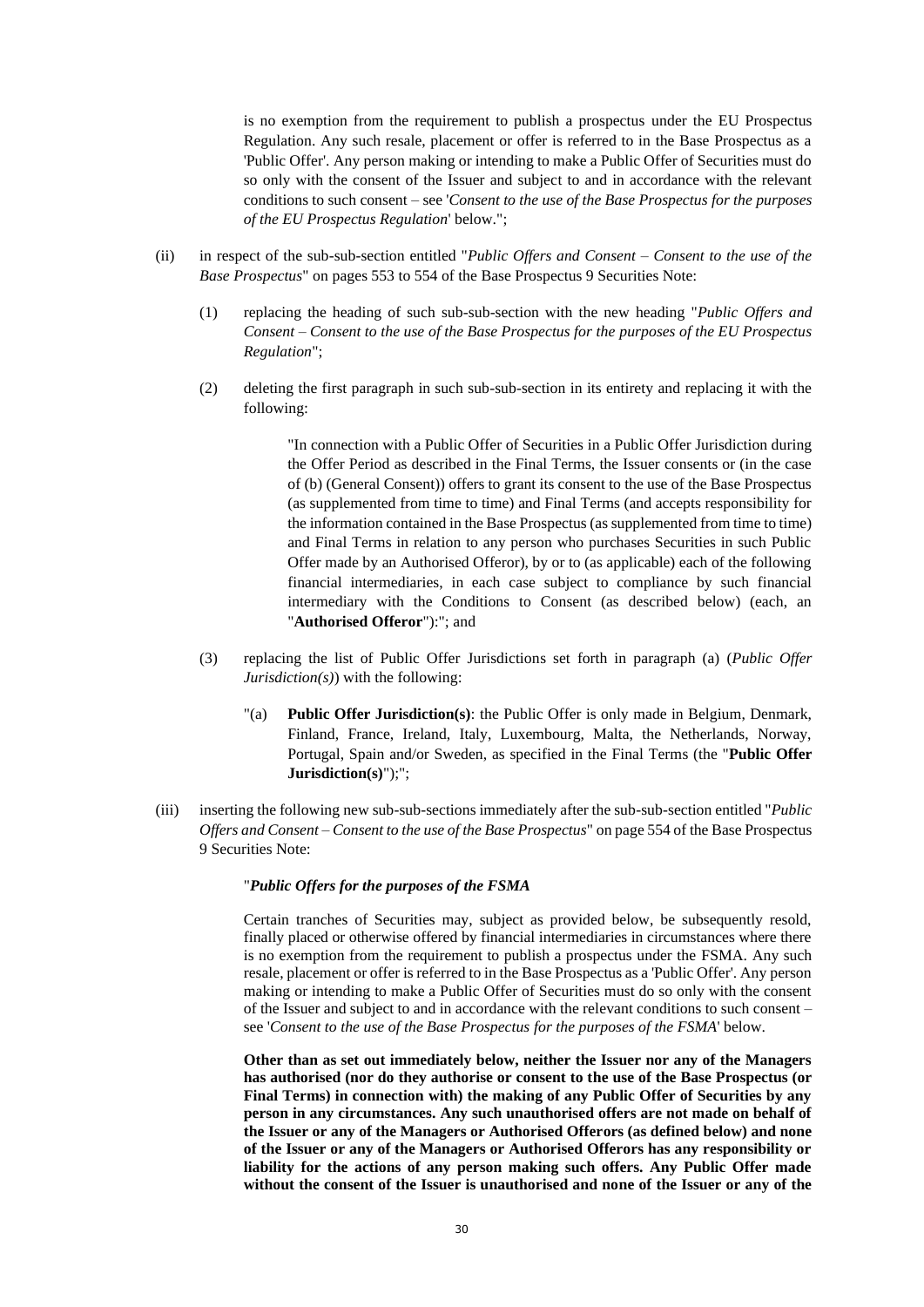is no exemption from the requirement to publish a prospectus under the EU Prospectus Regulation. Any such resale, placement or offer is referred to in the Base Prospectus as a 'Public Offer'. Any person making or intending to make a Public Offer of Securities must do so only with the consent of the Issuer and subject to and in accordance with the relevant conditions to such consent – see '*Consent to the use of the Base Prospectus for the purposes of the EU Prospectus Regulation*' below.";

- (ii) in respect of the sub-sub-section entitled "*Public Offers and Consent – Consent to the use of the Base Prospectus*" on pages 553 to 554 of the Base Prospectus 9 Securities Note:
	- (1) replacing the heading of such sub-sub-section with the new heading "*Public Offers and Consent – Consent to the use of the Base Prospectus for the purposes of the EU Prospectus Regulation*";
	- (2) deleting the first paragraph in such sub-sub-section in its entirety and replacing it with the following:

"In connection with a Public Offer of Securities in a Public Offer Jurisdiction during the Offer Period as described in the Final Terms, the Issuer consents or (in the case of (b) (General Consent)) offers to grant its consent to the use of the Base Prospectus (as supplemented from time to time) and Final Terms (and accepts responsibility for the information contained in the Base Prospectus (as supplemented from time to time) and Final Terms in relation to any person who purchases Securities in such Public Offer made by an Authorised Offeror), by or to (as applicable) each of the following financial intermediaries, in each case subject to compliance by such financial intermediary with the Conditions to Consent (as described below) (each, an "**Authorised Offeror**"):"; and

- (3) replacing the list of Public Offer Jurisdictions set forth in paragraph (a) (*Public Offer Jurisdiction(s)*) with the following:
	- "(a) **Public Offer Jurisdiction(s)**: the Public Offer is only made in Belgium, Denmark, Finland, France, Ireland, Italy, Luxembourg, Malta, the Netherlands, Norway, Portugal, Spain and/or Sweden, as specified in the Final Terms (the "**Public Offer Jurisdiction(s)**");";
- (iii) inserting the following new sub-sub-sections immediately after the sub-sub-section entitled "*Public Offers and Consent – Consent to the use of the Base Prospectus*" on page 554 of the Base Prospectus 9 Securities Note:

## "*Public Offers for the purposes of the FSMA*

Certain tranches of Securities may, subject as provided below, be subsequently resold, finally placed or otherwise offered by financial intermediaries in circumstances where there is no exemption from the requirement to publish a prospectus under the FSMA. Any such resale, placement or offer is referred to in the Base Prospectus as a 'Public Offer'. Any person making or intending to make a Public Offer of Securities must do so only with the consent of the Issuer and subject to and in accordance with the relevant conditions to such consent – see '*Consent to the use of the Base Prospectus for the purposes of the FSMA*' below.

**Other than as set out immediately below, neither the Issuer nor any of the Managers has authorised (nor do they authorise or consent to the use of the Base Prospectus (or Final Terms) in connection with) the making of any Public Offer of Securities by any person in any circumstances. Any such unauthorised offers are not made on behalf of the Issuer or any of the Managers or Authorised Offerors (as defined below) and none of the Issuer or any of the Managers or Authorised Offerors has any responsibility or liability for the actions of any person making such offers. Any Public Offer made without the consent of the Issuer is unauthorised and none of the Issuer or any of the**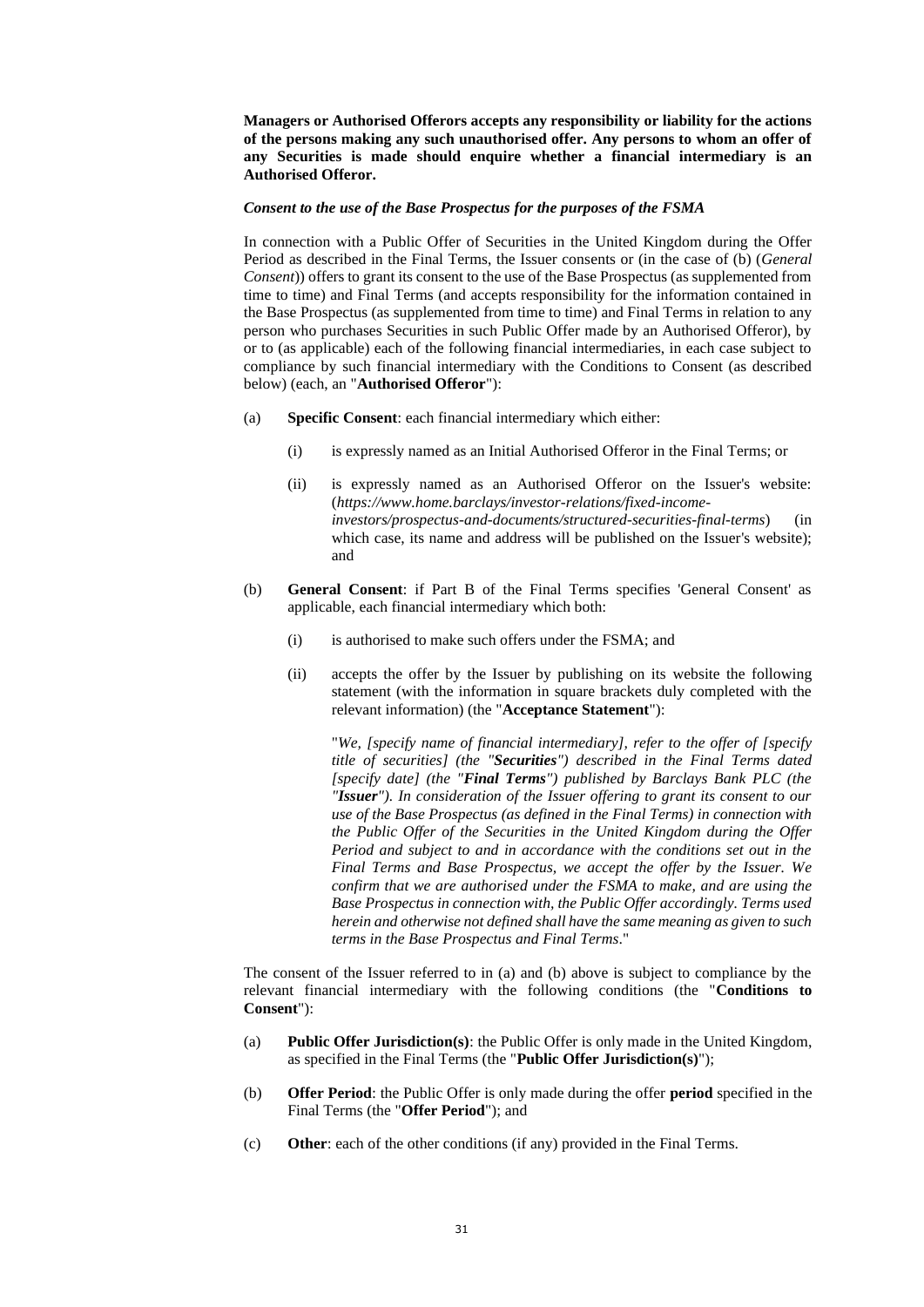**Managers or Authorised Offerors accepts any responsibility or liability for the actions of the persons making any such unauthorised offer. Any persons to whom an offer of any Securities is made should enquire whether a financial intermediary is an Authorised Offeror.**

#### *Consent to the use of the Base Prospectus for the purposes of the FSMA*

In connection with a Public Offer of Securities in the United Kingdom during the Offer Period as described in the Final Terms, the Issuer consents or (in the case of (b) (*General Consent*)) offers to grant its consent to the use of the Base Prospectus (as supplemented from time to time) and Final Terms (and accepts responsibility for the information contained in the Base Prospectus (as supplemented from time to time) and Final Terms in relation to any person who purchases Securities in such Public Offer made by an Authorised Offeror), by or to (as applicable) each of the following financial intermediaries, in each case subject to compliance by such financial intermediary with the Conditions to Consent (as described below) (each, an "**Authorised Offeror**"):

- (a) **Specific Consent**: each financial intermediary which either:
	- (i) is expressly named as an Initial Authorised Offeror in the Final Terms; or
	- (ii) is expressly named as an Authorised Offeror on the Issuer's website: (*https://www.home.barclays/investor-relations/fixed-incomeinvestors/prospectus-and-documents/structured-securities-final-terms*) (in which case, its name and address will be published on the Issuer's website); and
- (b) **General Consent**: if Part B of the Final Terms specifies 'General Consent' as applicable, each financial intermediary which both:
	- (i) is authorised to make such offers under the FSMA; and
	- (ii) accepts the offer by the Issuer by publishing on its website the following statement (with the information in square brackets duly completed with the relevant information) (the "**Acceptance Statement**"):

"*We, [specify name of financial intermediary], refer to the offer of [specify title of securities] (the "Securities") described in the Final Terms dated [specify date] (the "Final Terms") published by Barclays Bank PLC (the "Issuer"). In consideration of the Issuer offering to grant its consent to our use of the Base Prospectus (as defined in the Final Terms) in connection with the Public Offer of the Securities in the United Kingdom during the Offer Period and subject to and in accordance with the conditions set out in the Final Terms and Base Prospectus, we accept the offer by the Issuer. We confirm that we are authorised under the FSMA to make, and are using the Base Prospectus in connection with, the Public Offer accordingly. Terms used herein and otherwise not defined shall have the same meaning as given to such terms in the Base Prospectus and Final Terms*."

The consent of the Issuer referred to in (a) and (b) above is subject to compliance by the relevant financial intermediary with the following conditions (the "**Conditions to Consent**"):

- (a) **Public Offer Jurisdiction(s)**: the Public Offer is only made in the United Kingdom, as specified in the Final Terms (the "**Public Offer Jurisdiction(s)**");
- (b) **Offer Period**: the Public Offer is only made during the offer **period** specified in the Final Terms (the "**Offer Period**"); and
- (c) **Other**: each of the other conditions (if any) provided in the Final Terms.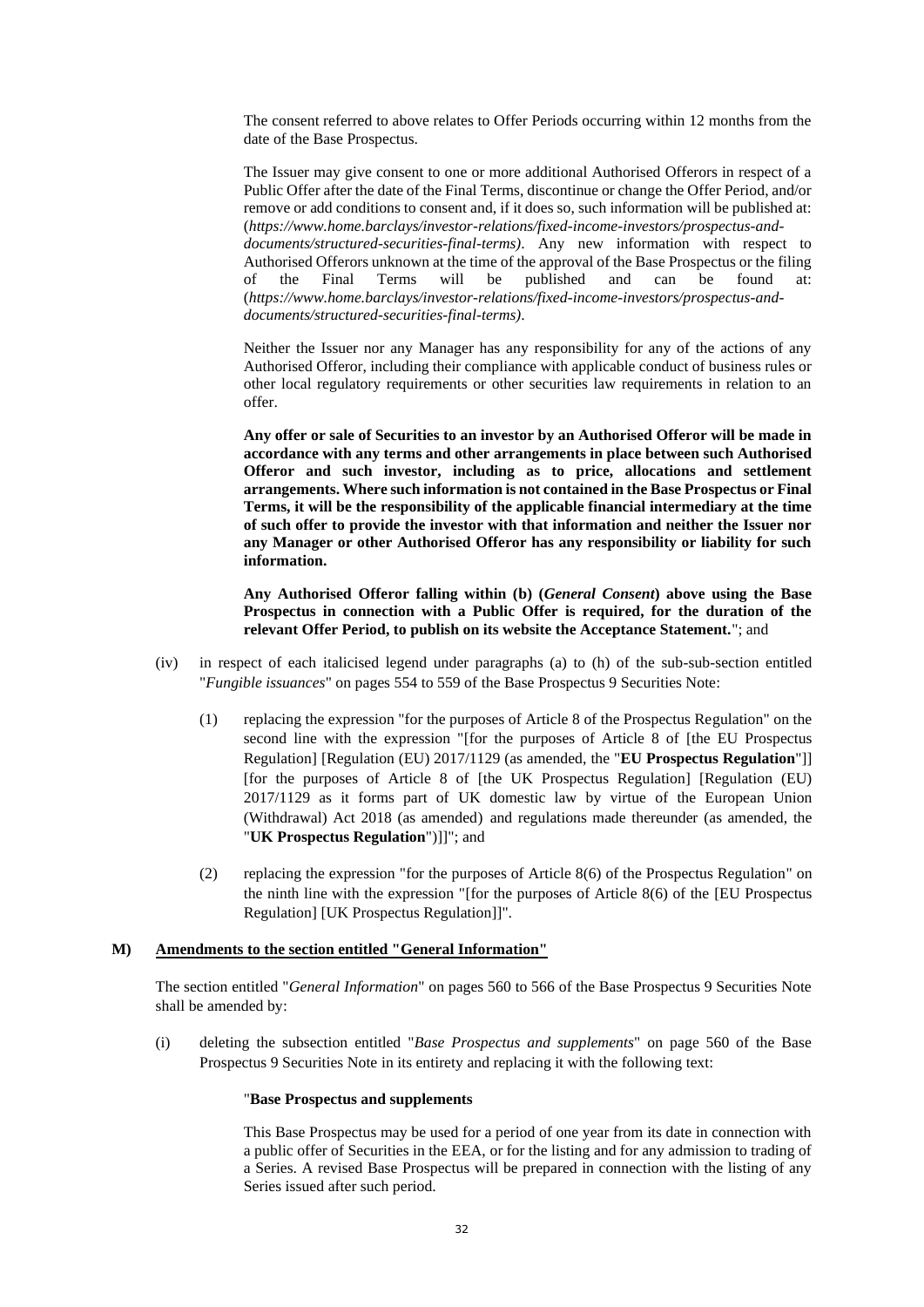The consent referred to above relates to Offer Periods occurring within 12 months from the date of the Base Prospectus.

The Issuer may give consent to one or more additional Authorised Offerors in respect of a Public Offer after the date of the Final Terms, discontinue or change the Offer Period, and/or remove or add conditions to consent and, if it does so, such information will be published at: (*https://www.home.barclays/investor-relations/fixed-income-investors/prospectus-anddocuments/structured-securities-final-terms)*. Any new information with respect to Authorised Offerors unknown at the time of the approval of the Base Prospectus or the filing of the Final Terms will be published and can be found at: (*https://www.home.barclays/investor-relations/fixed-income-investors/prospectus-anddocuments/structured-securities-final-terms)*.

Neither the Issuer nor any Manager has any responsibility for any of the actions of any Authorised Offeror, including their compliance with applicable conduct of business rules or other local regulatory requirements or other securities law requirements in relation to an offer.

**Any offer or sale of Securities to an investor by an Authorised Offeror will be made in accordance with any terms and other arrangements in place between such Authorised Offeror and such investor, including as to price, allocations and settlement arrangements. Where such information is not contained in the Base Prospectus or Final Terms, it will be the responsibility of the applicable financial intermediary at the time of such offer to provide the investor with that information and neither the Issuer nor any Manager or other Authorised Offeror has any responsibility or liability for such information.**

**Any Authorised Offeror falling within (b) (***General Consent***) above using the Base Prospectus in connection with a Public Offer is required, for the duration of the relevant Offer Period, to publish on its website the Acceptance Statement.**"; and

- (iv) in respect of each italicised legend under paragraphs (a) to (h) of the sub-sub-section entitled "*Fungible issuances*" on pages 554 to 559 of the Base Prospectus 9 Securities Note:
	- (1) replacing the expression "for the purposes of Article 8 of the Prospectus Regulation" on the second line with the expression "[for the purposes of Article 8 of [the EU Prospectus Regulation] [Regulation (EU) 2017/1129 (as amended, the "**EU Prospectus Regulation**"]] [for the purposes of Article 8 of [the UK Prospectus Regulation] [Regulation (EU) 2017/1129 as it forms part of UK domestic law by virtue of the European Union (Withdrawal) Act 2018 (as amended) and regulations made thereunder (as amended, the "**UK Prospectus Regulation**")]]"; and
	- (2) replacing the expression "for the purposes of Article 8(6) of the Prospectus Regulation" on the ninth line with the expression "[for the purposes of Article 8(6) of the [EU Prospectus Regulation] [UK Prospectus Regulation]]".

#### **M) Amendments to the section entitled "General Information"**

The section entitled "*General Information*" on pages 560 to 566 of the Base Prospectus 9 Securities Note shall be amended by:

(i) deleting the subsection entitled "*Base Prospectus and supplements*" on page 560 of the Base Prospectus 9 Securities Note in its entirety and replacing it with the following text:

#### "**Base Prospectus and supplements**

This Base Prospectus may be used for a period of one year from its date in connection with a public offer of Securities in the EEA, or for the listing and for any admission to trading of a Series. A revised Base Prospectus will be prepared in connection with the listing of any Series issued after such period.